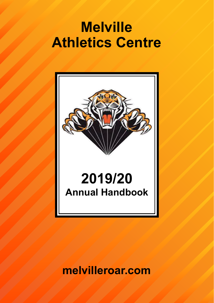# **Melville Athletics Centre**



**melvilleroar.com**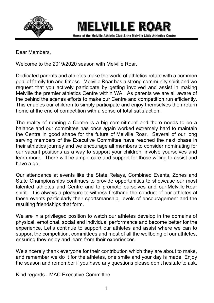

MELVILLE ROAR

Home of the Melville Athletic Club & the Melville Little Athletics Centre

Dear Members.

Welcome to the 2019/2020 season with Melville Roar

Dedicated parents and athletes make the world of athletics rotate with a common goal of family fun and fitness. Melville Roar has a strong community spirit and we request that you actively participate by getting involved and assist in making Melville the premier athletics Centre within WA. As parents we are all aware of the behind the scenes efforts to make our Centre and competition run efficiently. This enables our children to simply participate and eniov themselves then return home at the end of competition with a sense of total satisfaction.

The reality of running a Centre is a big commitment and there needs to be a balance and our committee has once again worked extremely hard to maintain the Centre in good shape for the future of Melville Roar. Several of our long serving members of the Executive Committee have reached the next phase in their athletics journey and we encourage all members to consider nominating for our vacant positions as a way to support your children, involve vourselves and learn more. There will be ample care and support for those willing to assist and have a go.

Our attendance at events like the State Relays, Combined Events, Zones and State Championships continues to provide opportunities to showcase our most talented athletes and Centre and to promote ourselves and our Melville Roar spirit. It is always a pleasure to witness firsthand the conduct of our athletes at these events particularly their sportsmanship, levels of encouragement and the resulting friendships that form.

We are in a privileged position to watch our athletes develop in the domains of physical, emotional, social and individual performance and become better for the experience. Let's continue to support our athletes and assist where we can to support the competition, committees and most of all the wellbeing of our athletes, ensuring they enjoy and learn from their experiences.

We sincerely thank everyone for their contribution which they are about to make. and remember we do it for the athletes, one smile and your day is made. Enjoy the season and remember if you have any questions please don't hesitate to ask.

Kind regards - MAC Executive Committee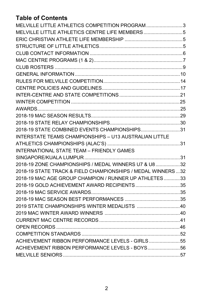# **Table of Contents**

| MELVILLE LITTLE ATHLETICS COMPETITION PROGRAM3                |  |
|---------------------------------------------------------------|--|
| MELVILLE LITTLE ATHLETICS CENTRE LIFE MEMBERS5                |  |
|                                                               |  |
|                                                               |  |
|                                                               |  |
|                                                               |  |
|                                                               |  |
|                                                               |  |
|                                                               |  |
|                                                               |  |
|                                                               |  |
|                                                               |  |
|                                                               |  |
|                                                               |  |
|                                                               |  |
| 2018-19 STATE COMBINED EVENTS CHAMPIONSHIPS31                 |  |
| <b>INTERSTATE TEAMS CHAMPIONSHIPS - U13 AUSTRALIAN LITTLE</b> |  |
|                                                               |  |
| INTERNATIONAL STATE TEAM - FRIENDLY GAMES                     |  |
|                                                               |  |
| 2018-19 ZONE CHAMPIONSHIPS / MEDAL WINNERS U7 & U8 32         |  |
| 2018-19 STATE TRACK & FIELD CHAMPIONSHIPS / MEDAL WINNERS  32 |  |
| 2018-19 MAC AGE GROUP CHAMPION / RUNNER UP ATHLETES 33        |  |
| 2018-19 GOLD ACHIEVEMENT AWARD RECIPIENTS35                   |  |
|                                                               |  |
|                                                               |  |
| 2019 STATE CHAMPIONSHIPS WINTER MEDALISTS 40                  |  |
|                                                               |  |
|                                                               |  |
|                                                               |  |
|                                                               |  |
| ACHIEVEMENT RIBBON PERFORMANCE LEVELS - GIRLS55               |  |
| ACHIEVEMENT RIBBON PERFORMANCE LEVELS - BOYS56                |  |
|                                                               |  |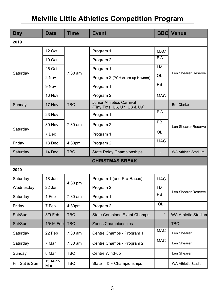# **Melville Little Athletics Competition Program**

| <b>Day</b>     | Date            | <b>Time</b> | <b>Event</b>                                                     | <b>BBQ</b> | Venue                      |
|----------------|-----------------|-------------|------------------------------------------------------------------|------------|----------------------------|
| 2019           |                 |             |                                                                  |            |                            |
|                | 12 Oct          |             | Program 1                                                        | <b>MAC</b> |                            |
|                | 19 Oct          |             | Program 2                                                        | <b>BW</b>  |                            |
|                | 26 Oct          | $7:30$ am   | Program 1                                                        | LM         |                            |
| Saturday       | 2 Nov           |             | Program 2 (PCH dress-up H'ween)                                  | <b>OL</b>  | Len Shearer Reserve        |
|                | 9 Nov           |             | Program 1                                                        | <b>PB</b>  |                            |
|                | 16 Nov          |             | Program 2                                                        | <b>MAC</b> |                            |
| Sunday         | 17 Nov          | <b>TBC</b>  | <b>Junior Athletics Carnival</b><br>(Tiny Tots, U6, U7, U8 & U9) |            | Ern Clarke                 |
|                | 23 Nov          |             | Program 1                                                        | <b>BW</b>  |                            |
|                | 30 Nov          | $7:30$ am   | Program 2                                                        | <b>PB</b>  | Len Shearer Reserve        |
| Saturday       | 7 Dec           |             | Program 1                                                        | <b>OL</b>  |                            |
| Friday         | 13 Dec          | 4:30pm      | Program 2                                                        | <b>MAC</b> |                            |
| Saturday       | 14 Dec          | <b>TBC</b>  | <b>State Relay Championships</b>                                 |            | <b>WA Athletic Stadium</b> |
|                |                 |             | <b>CHRISTMAS BREAK</b>                                           |            |                            |
| 2020           |                 |             |                                                                  |            |                            |
| Saturday       | 18 Jan          |             | Program 1 (and Pro-Races)                                        | <b>MAC</b> |                            |
| Wednesday      | 22 Jan          | $4:30$ pm   | Program 2                                                        | LM         |                            |
| Saturday       | 1 Feb           | $7:30$ am   | Program 1                                                        | PB         | Len Shearer Reserve        |
| Friday         | 7 Feb           | 4:30pm      | Program 2                                                        | OL         |                            |
| Sat/Sun        | 8/9 Feb         | <b>TBC</b>  | <b>State Combined Event Champs</b>                               |            | <b>WA Athletic Stadium</b> |
| Sat/Sun        | 15/16 Feb       | <b>TBC</b>  | Zones Championships                                              |            | <b>TBC</b>                 |
| Saturday       | 22 Feb          | $7:30$ am   | Centre Champs - Program 1                                        | <b>MAC</b> | Len Shearer                |
| Saturday       | 7 Mar           | $7:30$ am   | Centre Champs - Program 2                                        | <b>MAC</b> | Len Shearer                |
| Sunday         | 8 Mar           | TBC         | Centre Wind-up                                                   |            | Len Shearer                |
| Fri, Sat & Sun | 13,14&15<br>Mar | <b>TBC</b>  | State T & F Championships                                        |            | <b>WA Athletic Stadium</b> |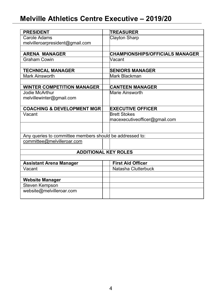# Melville Athletics Centre Executive - 2019/20

| <b>PRESIDENT</b>                                         | <b>TREASURER</b>                       |
|----------------------------------------------------------|----------------------------------------|
| Carole Adams                                             | Clayton Sharp                          |
| melvilleroarpresident@gmail.com                          |                                        |
|                                                          |                                        |
| <b>ARENA MANAGER</b>                                     | <b>CHAMPIONSHIPS/OFFICIALS MANAGER</b> |
| Graham Cowin                                             | Vacant                                 |
|                                                          |                                        |
| <b>TECHNICAL MANAGER</b>                                 | <b>SENIORS MANAGER</b>                 |
| Mark Ainsworth                                           | Mark Blackman                          |
|                                                          |                                        |
| <b>WINTER COMPETITION MANAGER</b>                        | <b>CANTEEN MANAGER</b>                 |
| Jodie McArthur                                           | Marie Ainsworth                        |
| melvillewinter@gmail.com                                 |                                        |
|                                                          |                                        |
| <b>COACHING &amp; DEVELOPMENT MGR</b>                    | <b>EXECUTIVE OFFICER</b>               |
| Vacant                                                   | <b>Brett Stokes</b>                    |
|                                                          | macexecutiveofficer@gmail.com          |
|                                                          |                                        |
|                                                          |                                        |
| Any queries to committee members should be addressed to: |                                        |
| committee@melvilleroar.com                               |                                        |
|                                                          |                                        |
|                                                          | <b>ADDITIONAL KEY ROLES</b>            |
|                                                          |                                        |
| Assistant Arena Manager                                  | <b>First Aid Officer</b>               |
| Vacant                                                   | Natasha Clutterbuck                    |
|                                                          |                                        |
| <b>Website Manager</b>                                   |                                        |
| Steven Kempson                                           |                                        |
| website@melvilleroar.com                                 |                                        |
|                                                          |                                        |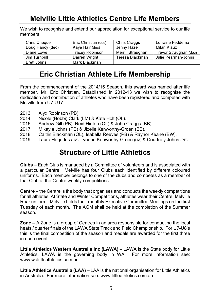# **Melville Little Athletics Centre Life Members**

We wish to recognise and extend our appreciation for exceptional service to our life members

| <b>Chris Chequer</b> | Eric Christian (dec) | Chris Craggs      | Lorraine Feddema       |
|----------------------|----------------------|-------------------|------------------------|
| Doug Hancy (dec)     | Kaye Hair (dec)      | Jenny Hazell      | Milan Klauz            |
| Diane Lowe           | Tracev Robinson      | Merrill Straughan | Trevor Straughan (dec) |
| Jim Turnbull         | Darren Wright        | Teresa Blackman   | Julie Pearman-Johns    |
| Brett Johns          | Mark Blackman        |                   |                        |

# Eric Christian Athlete Life Membership

From the commencement of the 2014/15 Season, this award was named after life member. Mr. Eric Christian. Established in 2012-13 we wish to recognise the dedication and contribution of athletes who have been registered and competed with Melville from U7-U17.

- 2013 Alyx Robinson (PB).
- 2014 Nicole (Bobbi) Clark (LM) & Kate Holt (OL).
- 2016 Andrew Gill (PB), Reid Hinton (OL) & John Craggs (BB).
- 2017 Mikavla Johns (PB) & Jizelle Kenworthy-Groen (BB).
- 2018 Caitlin Blackman (OL), Isabella Reeves (PB) & Raynor Keane (BW).
- 2019 Laura Hegedus (LM), Lyndon Kenworthy-Groen (LM) & Courtney Johns (PB).

# **Structure of Little Athletics**

**Clubs** – Each Club is managed by a Committee of volunteers and is associated with a particular Centre. Melville has four Clubs each identified by different coloured uniforms. Each member belongs to one of the clubs and competes as a member of that Club at the Centre weekly competitions.

**Centre** – the Centre is the body that organises and conducts the weekly competitions for all athletes. At State and Winter Competitions, athletes wear their Centre, Melville Roar uniform. Melville holds their monthly Executive Committee Meetings on the first Tuesday of each month. The AGM shall be held at the completion of the Summer season.

**Zone – A Zone is a group of Centres in an area responsible for conducting the local** heats / quarter finals of the LAWA State Track and Field Championship. For U7-U8's this is the final competition of the season and medals are awarded for the first three in each event.

Little Athletics Western Australia Inc (LAWA) - LAWA is the State body for Little Athletics. LAWA is the governing body in WA. For more information see: www.walittleathletics.com.au

**Little Athletics Australia (LAA)** – LAA is the national organisation for Little Athletics in Australia. For more information see: www.littleathletics.com.au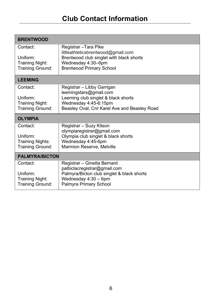| <b>BRENTWOOD</b>                    |                                                                                |
|-------------------------------------|--------------------------------------------------------------------------------|
| Contact:                            | Registrar - Tara Pike                                                          |
| Uniform:                            | littleathleticsbrentwood@gmail.com<br>Brentwood club singlet with black shorts |
| Training Night:<br>Training Ground: | Wednesday 4:30-6pm<br><b>Brentwood Primary School</b>                          |
|                                     |                                                                                |
| <b>LEEMING</b>                      |                                                                                |
| Contact:                            | Registrar - Libby Garrigan<br>leemingstars@gmail.com                           |
| Uniform:                            | Leeming club singlet & black shorts                                            |
| Training Night:                     | Wednesday 4:45-6:15pm<br>Beasley Oval, Cnr Karel Ave and Beasley Road          |
| Training Ground:                    |                                                                                |
|                                     |                                                                                |
| <b>OLYMPIA</b>                      |                                                                                |
| Contact:                            | Registrar – Suzy Kitson                                                        |
| Uniform:                            | olympiaregistrar@gmail.com<br>Olympia club singlet & black shorts              |
| Training Nights:                    | Wednesday 4:45-6pm                                                             |
| Training Ground:                    | Marmion Reserve, Melville                                                      |
| <b>PALMYRA/BICTON</b>               |                                                                                |
| Contact:                            | Registrar - Ginetta Bernard                                                    |
| Uniform:                            | palbiclacregistrar@gmail.com<br>Palmyra/Bicton club singlet & black shorts     |
| Training Night:<br>Training Ground: | Wednesday 4:30 - 6pm<br>Palmyra Primary School                                 |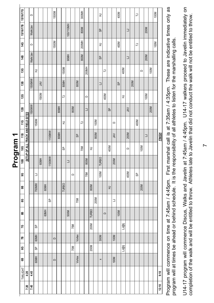|           | 15/16/17G     |                                    | $\Omega$ |       |           |      |        | 1500M         |      |                |           |                      |        | 300MH |                      |              |      | $\vec{x}$    |                |      |           | 400M |              |            |      | $\overline{r}$ |          |      |      | 100M |               |
|-----------|---------------|------------------------------------|----------|-------|-----------|------|--------|---------------|------|----------------|-----------|----------------------|--------|-------|----------------------|--------------|------|--------------|----------------|------|-----------|------|--------------|------------|------|----------------|----------|------|------|------|---------------|
|           | 15/16/17B     |                                    | WalkJav  |       |           |      |        |               |      |                | 100/110MH |                      |        | 800M  |                      |              |      | မှ           |                |      |           |      |              | ∃          |      |                |          | 200M |      |      |               |
|           | 14G           |                                    | $\circ$  |       |           |      |        | 1500M         |      |                |           |                      |        | 200MH |                      |              |      | 궆            |                |      |           | 400M |              |            |      | $\overline{r}$ |          |      |      | 100M |               |
|           | 94            |                                    | Walk/Jav |       |           |      |        |               |      |                | 90MH      |                      |        | 800M  |                      |              |      | $\mathbf{e}$ |                |      |           |      |              | ∃          |      |                |          | 200M |      |      |               |
|           | 13G           |                                    |          | 궆     |           |      |        |               |      | 1500M          |           |                      |        |       | 200MH                |              |      |              | $\overline{r}$ |      |           |      | 400M         |            |      |                | $\Omega$ |      | 100M |      |               |
|           | 13B           |                                    | 1500MW   |       | <b>AN</b> |      |        |               |      | 80MH           |           |                      | 800M   |       |                      |              |      | ∃            |                |      |           | 9    |              |            | 200M |                |          |      |      |      |               |
|           | 12G           |                                    |          |       | 1500M     |      |        |               |      | $\overline{r}$ |           |                      |        |       | $\qquad \qquad \Box$ |              |      |              | 400M           |      |           |      | 궆            |            |      |                |          | 100M |      |      |               |
|           | 12B           |                                    | 1500MW   |       |           |      |        |               | BOMH |                |           | 800M                 |        |       | ∃                    |              |      |              |                | 95   |           |      |              | <b>NAL</b> |      |                |          |      | 200M |      |               |
|           | 116           | SETUP OF ALL TRACK AND FIELD SITES |          | 1500M |           |      |        |               |      | 궆              |           |                      |        | 17    |                      |              | 100M |              |                |      | $\Omega$  |      |              |            |      | 400M           |          |      |      |      |               |
|           | ٣             |                                    |          |       |           |      | 1100MW |               | BOMH |                |           |                      | 95     |       |                      |              | 800M |              |                |      | <b>AN</b> |      |              | 200M       |      |                |          | 3    |      |      | <b>FINISH</b> |
| Program 1 | $\frac{6}{2}$ |                                    |          |       |           |      |        |               |      | 9              |           |                      |        | 70M   |                      | $\exists$    |      |              |                | 400M |           |      |              | $\Omega$   |      |                | 100M     |      |      |      |               |
|           | 10B           |                                    |          |       | 60MH      |      | 1100MW |               |      |                | ∃         |                      |        |       | 800M                 |              |      | <b>TURBO</b> |                |      | 200M      |      |              |            |      |                |          |      |      |      |               |
|           | g             |                                    |          | 3     |           |      |        |               |      |                |           | $\qquad \qquad \Box$ |        |       | 70M                  |              |      | 100M         |                |      |           |      |              | 400M       |      | 9              |          |      |      |      |               |
|           | 99            |                                    |          | 700MW |           | 60MH |        |               |      | <b>TURBO</b>   |           |                      |        |       |                      | 800M         |      |              |                | 궆    |           |      |              |            |      |                | 200M     |      |      |      |               |
|           | ద్ద           |                                    |          |       |           |      | မ္တ    |               |      |                |           |                      | 70M    |       |                      |              | 200M |              |                |      | ∃         |      |              |            |      |                |          |      |      |      |               |
|           | 99            |                                    |          |       |           | 60MH |        |               |      |                | 500M      |                      |        |       |                      | <b>TURBO</b> |      |              | $\Box$         |      |           | 100M |              |            |      |                |          |      |      |      |               |
|           | Č,            |                                    |          | ಹಿ    |           |      |        |               |      |                |           | 70M                  |        |       |                      | 200M         |      |              |                |      |           |      | <b>LJ@tj</b> |            |      |                |          |      |      |      |               |
|           | Æ             |                                    |          | 60MH  |           |      |        | $\hfill \Box$ |      |                |           |                      | Vortex |       |                      |              |      | 300M         |                |      | 100M      |      |              |            |      |                |          |      |      |      |               |
|           | ပ္စ           |                                    |          | ₿     |           |      |        |               |      |                |           | 70M                  |        |       |                      | 200M         |      |              |                |      |           |      | <b>LJ@tj</b> |            |      |                |          |      |      |      |               |
|           | æ             |                                    |          | 60MH  |           |      |        | $\hfill \Box$ |      |                |           |                      | Vortex |       |                      |              |      | $\times$     |                |      | 100M      |      |              |            |      |                |          |      |      |      |               |
|           | TWILIGHT      | 4:20                               | 4:45     |       |           |      |        |               |      |                |           |                      |        |       |                      |              |      |              |                |      |           |      |              |            |      |                |          |      |      |      | 9:10          |
|           |               | 7:20                               | 7:45     |       |           |      |        |               |      |                |           |                      |        |       |                      |              |      |              |                |      |           |      |              |            |      |                |          |      |      |      | 12:10         |
|           |               |                                    |          |       |           |      |        |               |      |                |           |                      |        |       |                      |              |      |              |                |      |           |      |              |            |      |                |          |      |      |      |               |

Program will commence on time at 7:45am / 4:45pm. Firs t mars hal call is s at 7:35am / 4:35pm. Thes Φ e are indicative times s only as program will at times s be ahead or behind s chedu le. It is s the res pons ibility of all athletes s to lis ten for the mars halling calls c.

s proceed to Javelin immediately on completion of the walk and will be entitled to throw. Athletes late to Javelin that did not conduct the walk will not be entitled to throw. ct the walk will not be entitled to throw. s and Javelin at 7:45am / 4:45pm. U14-17 walkers s late to Javelin that did not condu completion of the walk and will be entitled to throw. Athletes cus, Walks U14-17 program will commence Dis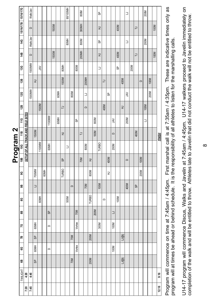|                      | 15/16/17G     |                                           | WalkJav  |           |        |      |        |       |      |              | 90/100MH |          |        | 800M           |        |              |      | မ္တ          |                |      |          |      |              | ∃        |      |                |          | 200M         |      |      |        |
|----------------------|---------------|-------------------------------------------|----------|-----------|--------|------|--------|-------|------|--------------|----------|----------|--------|----------------|--------|--------------|------|--------------|----------------|------|----------|------|--------------|----------|------|----------------|----------|--------------|------|------|--------|
|                      | 15/16/17B     |                                           | $\circ$  |           |        |      |        | 1500M |      |              |          |          |        | 300MH          |        |              |      | 궆            |                |      |          | 400M |              |          |      | 17             |          |              |      | 100M |        |
|                      | 14G           |                                           | Walk/Jav |           |        |      |        |       |      |              | BOMH     |          |        | 800M           |        |              |      | 9            |                |      |          |      |              | ∃        |      |                |          | 200M         |      |      |        |
|                      | 48            |                                           | $\Omega$ |           |        |      |        | 1500M |      |              |          |          |        | 200MH          |        |              |      | $\exists$    |                |      |          | 400M |              |          |      | $\overline{r}$ |          |              |      | 100M |        |
|                      | 13G           |                                           | 1500MW   |           | $\geq$ |      |        |       |      | BOMH         |          |          | 800M   |                |        |              |      | $\mathbf{r}$ |                |      |          | မ္တ  |              |          | 200M |                |          |              |      |      |        |
|                      | 13B           |                                           |          | $\exists$ |        |      |        |       |      | 1500M        |          |          |        |                | 200MH  |              |      |              | $\overline{r}$ |      |          |      | 400M         |          |      |                | $\Omega$ |              | 100M |      |        |
|                      | 12G           |                                           | 1500MW   |           |        |      |        |       | 60MH |              |          | 800M     |        |                | ∃      |              |      |              |                | မ္တ  |          |      |              | ŠΥ       |      |                |          |              | 200M |      |        |
|                      | 12B           |                                           |          |           | 1500M  |      |        |       |      | 17           |          |          |        |                | $\Box$ |              |      |              | 400M           |      |          |      | 군            |          |      |                |          | 100M         |      |      |        |
|                      | ţ\$           | <b>SETUP OF ALL TRACK AND FIELD SITES</b> |          |           |        |      | 1100MW |       | 60MH |              |          |          | မ္တ    |                |        |              | 800M |              |                |      | ŠΥ       |      |              | 200M     |      |                |          | $\mathbf{C}$ |      |      |        |
|                      | 11B           |                                           |          | 1500M     |        |      |        |       |      | $\exists$    |          |          |        | $\overline{r}$ |        |              | 100M |              |                |      | $\Omega$ |      |              |          |      | 400M           |          |              |      |      | FINISH |
| Program <sub>2</sub> | $\frac{6}{2}$ |                                           |          |           | 1100MW |      | 60MH   |       |      |              | ∃        |          |        |                | 800M   |              |      | <b>TURBO</b> |                |      | 200M     |      |              |          |      |                |          |              |      |      |        |
|                      | 10B           |                                           |          |           |        |      |        |       |      | 9s           |          |          |        | 70M            |        | 궆            |      |              |                | 400M |          |      |              | $\Omega$ |      |                | 100M     |              |      |      |        |
|                      | g             |                                           |          | 700MW     |        | 60MH |        |       |      | <b>TURBO</b> |          |          |        |                |        | 800M         |      |              |                | 궆    |          |      |              |          |      |                | 200M     |              |      |      |        |
|                      | 9             |                                           |          | 3         |        |      |        |       |      |              |          | $\Omega$ |        |                | 70M    |              |      | 100M         |                |      |          |      |              | 400M     |      | 9              |          |              |      |      |        |
|                      | ల్ల           |                                           |          |           | 60MH   |      |        |       |      |              | 500M     |          |        |                |        | <b>TURBO</b> |      |              | $\Box$         |      |          | 100M |              |          |      |                |          |              |      |      |        |
|                      | 99            |                                           |          |           |        |      | 95     |       |      |              |          |          | 70M    |                |        |              | 200M |              |                |      | ∃        |      |              |          |      |                |          |              |      |      |        |
|                      | SZ            |                                           |          | 60MH      |        |      | $\Box$ |       |      |              |          |          | Vortex |                |        |              |      | 300M         |                |      | 100M     |      |              |          |      |                |          |              |      |      |        |
|                      | ŗ             |                                           |          | 9         |        |      |        |       |      |              |          | 70M      |        |                |        | 200M         |      |              |                |      |          |      | <b>LJ@tj</b> |          |      |                |          |              |      |      |        |
|                      | ల్ల           |                                           |          | 60MH      |        |      | $\Box$ |       |      |              |          |          | Vortex |                |        |              |      |              |                |      | 100M     |      |              |          |      |                |          |              |      |      |        |
|                      | g             |                                           |          | 95        |        |      |        |       |      |              |          | 70M      |        |                |        | 200M         |      |              |                |      |          |      | <b>LJ@tj</b> |          |      |                |          |              |      |      |        |
|                      | TWILIGHT      | 4:20                                      | 4:45     |           |        |      |        |       |      |              |          |          |        |                |        |              |      |              |                |      |          |      |              |          |      |                |          |              |      |      | 9:10   |
|                      |               | 7:20                                      | 7:45     |           |        |      |        |       |      |              |          |          |        |                |        |              |      |              |                |      |          |      |              |          |      |                |          |              |      |      | 12:10  |
|                      |               |                                           |          |           |        |      |        |       |      |              |          |          |        |                |        |              |      |              |                |      |          |      |              |          |      |                |          |              |      |      |        |

Program will commence on time at 7:45am / 4:45pm. First marshal call is at 7:35am / 4:35pm. These are indicative times only as irst marshal call is at 7:35am / 4:35pm. These are indicative times only as program will at times be ahead or behind schedule. It is the responsibility of all athletes to listen for the marshalling calls. ility of all athletes to listen for the marshalling calls. ehind schedule. It is the responsib Program will commence on time at 7:45am / 4:45pm. F e ahead or b program will at times b

U14-17 program will commence Discus, Walks and Javelin at 7:45am / 4:45pm. U14-17 walkers proceed to Javelin immediately on U14-17 program will commence Discus, Walks and Javelin at 7:45am / 4:45pm. U14-17 walkers proceed to Javelin immediately on e entitled to throw. Φ e entitled to throw. Athletes late to Javelin that did not conduct the walk will not b Φ completion of the walk and will b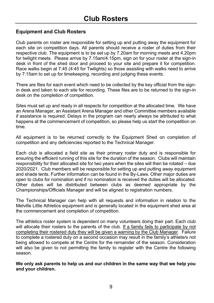#### **Equipment and Club Rosters**

Club parents on roster are responsible for setting up and putting away the equipment for each site on competition days. All parents should receive a roster of duties from their respective club. The equipment is to be set up by 7.20am for morning meets and 4.20pm for twilight meets. Please arrive by 7.15am/4.15pm, sign on for your roster at the sign-in desk in front of the shed door and proceed to your site and prepare it for competition. Race walks begin at 7:45 (4:45 for Twilights) so those assisting with walks need to arrive by 7:15am to set up for timekeeping, recording and judging these events.

There are files for each event which need to be collected by the key official from the signin desk and taken to each site for recording. These files are to be returned to the sign-in desk on the completion of competition.

Sites must set up and ready in all respects for competition at the allocated time. We have an Arena Manager, an Assistant Arena Manager and other Committee members available if assistance is required. Delays in the program can nearly always be attributed to what happens at the commencement of competition, so please help us start the competition on time

All equipment is to be returned correctly to the Equipment Shed on completion of competition and any deficiencies reported to the Technical Manager.

Each club is allocated a field site as their primary roster duty and is responsible for ensuring the efficient running of this site for the duration of the season. Clubs will maintain responsibility for their allocated site for two years when the sites will then be rotated - due 2020/2021. Club members will be responsible for setting up and putting away equipment and shade tents. Further information can be found in the By-Laws. Other major duties are open to clubs for nomination and if no nomination is received the duties will be allocated. Other duties will be distributed between clubs as deemed appropriate by the Championships/Officials Manager and will be aligned to registration numbers.

The Technical Manager can help with all requests and information in relation to the Melville Little Athletics equipment and is generally located in the equipment shed area at the commencement and completion of competition.

The athletics roster system is dependent on many volunteers doing their part. Each club will allocate their rosters to the parents of the club. <u>If a family fails to participate by not</u> completing their rostered duty they will be given a warning by the Club Manager. Failure to complete a rostered duty on a second occasion may result in the family's athlete/s not being allowed to compete at the Centre for the remainder of the season. Consideration will also be given to not permitting the family to register with the Centre the following season

We only ask parents to help us and our children in the same way that we help you and your children.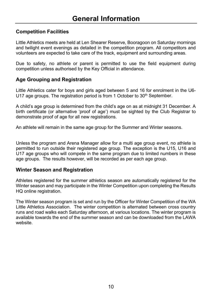#### **Competition Facilities**

Little Athletics meets are held at Len Shearer Reserve, Booragoon on Saturday mornings and twilight event evenings as detailed in the competition program. All competitors and volunteers are expected to take care of the track, equipment and surrounding areas.

Due to safety, no athlete or parent is permitted to use the field equipment during competition unless authorised by the Key Official in attendance.

#### **Age Grouping and Registration**

Little Athletics cater for boys and girls aged between 5 and 16 for enrolment in the U6-U17 age groups. The registration period is from 1 October to 30<sup>th</sup> September.

A child's age group is determined from the child's age on as at midnight 31 December. A birth certificate (or alternative 'proof of age') must be sighted by the Club Registrar to demonstrate proof of age for all new registrations.

An athlete will remain in the same age group for the Summer and Winter seasons.

Unless the program and Arena Manager allow for a multi age group event, no athlete is permitted to run outside their registered age group. The exception is the U15, U16 and U17 age groups who will compete in the same program due to limited numbers in these age groups. The results however, will be recorded as per each age group.

#### **Winter Season and Registration**

Athletes registered for the summer athletics season are automatically registered for the Winter season and may participate in the Winter Competition upon completing the Results HQ online registration.

The Winter season program is set and run by the Officer for Winter Competition of the WA Little Athletics Association. The winter competition is alternated between cross country runs and road walks each Saturday afternoon, at various locations. The winter program is available towards the end of the summer season and can be downloaded from the LAWA website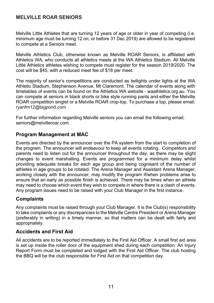#### **MFI VILLE ROAR SENIORS**

Melville Little Athletes that are turning 12 years of age or older in year of competing (i.e. minimum age must be turning 12 on, or before 31 Dec 2019) are allowed to be registered to compete at a Seniors meet.

Melville Athletics Club, otherwise known as Melville ROAR Seniors, is affiliated with Athletics WA. who conducts all athletics meets at the WA Athletics Stadium. All Melville Little Athletics athletes wishing to compete must register for the season 2019/2020. The cost will be \$45, with a reduced meet fee of \$18 per meet.

The majority of senior's competitions are conducted as twilights under lights at the WA Athletic Stadium, Stephenson Avenue, Mt Claremont. The calendar of events along with timetables of events can be found on the Athletics WA website - waathletics.org.au. You can compete at seniors in black shorts or bike style running pants and either the Melville ROAR competition singlet or a Melville ROAR crop-top. To purchase a top, please email: ryanfm12@biqpond.com

For further information regarding Melville seniors you can email the following email; seniors@melvilleroar.com

#### **Program Management at MAC**

Events are directed by the announcer over the PA system from the start to completion of the program. The announcer will endeavour to keep all events rotating. Competitors and parents need to listen out for the announcer throughout the day, as there may be slight changes to event marshalling. Events are programmed for a minimum delay whilst providing adequate breaks for each age group and being cognisant of the number of athletes in age groups to be rotated. The Arena Manager and Assistant Arena Manager. working closely with the announcer, may modify the program if/when problems arise to ensure that an early as possible finish is achieved. There may be times when an athlete may need to choose which event they wish to compete in where there is a clash of events. Any program issues need to be raised with your Club Manager in the first instance.

#### **Complaints**

Any complaints must be raised through your Club Manager. It is the Club(s) responsibility to take complaints or any discrepancies to the Melville Centre President or Arena Manager (preferably in writing) in a timely manner, so that matters can be dealt with fairly and appropriately.

#### **Accidents and First Aid**

All accidents are to be reported immediately to the First Aid Officer. A small first aid area is set up inside the roller door of the equipment shed during each competition. An Injury Report Form must be completed and lodged with the First Aid Officer. The club hosting the BBQ will be the club responsible for First Aid on that competition day.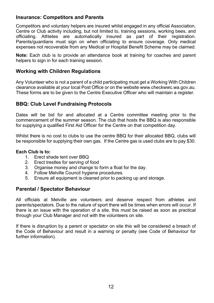#### **Insurance: Competitors and Parents**

Competitors and voluntary helpers are insured whilst engaged in any official Association, Centre or Club activity including, but not limited to, training sessions, working bees, and officiating. Athletes are automatically insured as part of their registration. Parents/quardians must sign on when officiating to ensure coverage. Only medical expenses not recoverable from any Medical or Hospital Benefit Scheme may be claimed.

Note: Each club is to provide an attendance book at training for coaches and parent helpers to sign in for each training session.

#### **Working with Children Requlations**

Any Volunteer who is not a parent of a child participating must get a Working With Children clearance available at your local Post Office or on the website www.checkwwc.wa.gov.au. These forms are to be given to the Centre Executive Officer who will maintain a register.

#### **BBQ: Club Level Fundraising Protocols**

Dates will be bid for and allocated at a Centre committee meeting prior to the commencement of the summer season. The club that hosts the BBQ is also responsible for supplying a qualified First Aid Officer for the Centre on that competition day.

Whilst there is no cost to clubs to use the centre BBQ for their allocated BBQ, clubs will be responsible for supplying their own gas. If the Centre gas is used clubs are to pay \$30.

#### Each Club is to:

- 1. Erect shade tent over BBQ
- $2^{1}$ Erect trestles for serving of food
- $3<sub>1</sub>$ Organise money and change to form a float for the day.
- 4. Follow Melville Council hygiene procedures.
- Ensure all equipment is cleaned prior to packing up and storage.  $5<sub>1</sub>$

#### **Parental / Spectator Behaviour**

All officials at Melville are volunteers and deserve respect from athletes and parents/spectators. Due to the nature of sport there will be times when errors will occur. If there is an issue with the operation of a site, this must be raised as soon as practical through your Club Manager and not with the volunteers on site.

If there is disruption by a parent or spectator on site this will be considered a breach of the Code of Behaviour and result in a warning or penalty (see Code of Behaviour for further information).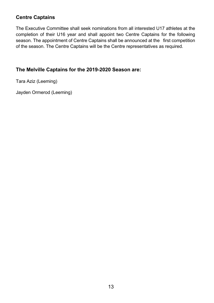#### **Centre Captains**

The Executive Committee shall seek nominations from all interested U17 athletes at the completion of their U16 year and shall appoint two Centre Captains for the following season. The appointment of Centre Captains shall be announced at the first competition of the season. The Centre Captains will be the Centre representatives as required.

#### The Melville Captains for the 2019-2020 Season are:

Tara Aziz (Leeming)

Jayden Ormerod (Leeming)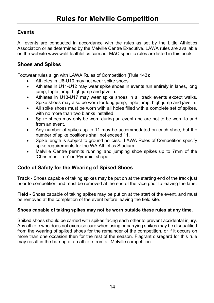#### **Events**

All events are conducted in accordance with the rules as set by the Little Athletics Association or as determined by the Melville Centre Executive. LAWA rules are available on the website www.walittleathletics.com.au. MAC specific rules are listed in this book.

#### **Shoes and Spikes**

Footwear rules align with LAWA Rules of Competition (Rule 143):

- Athletes in U6-U10 may not wear spike shoes.
- Athletes in U11-U12 may wear spike shoes in events run entirely in lanes, long  $\bullet$ jump, triple jump, high jump and javelin.
- Athletes in U13-U17 may wear spike shoes in all track events except walks.  $\bullet$ Spike shoes may also be worn for long jump, triple jump, high jump and javelin.
- All spike shoes must be worn with all holes filled with a complete set of spikes, with no more than two blanks installed.
- Spike shoes may only be worn during an event and are not to be worn to and from an event.
- Any number of spikes up to 11 may be accommodated on each shoe, but the number of spike positions shall not exceed 11.
- Spike length is subject to ground policies. LAWA Rules of Competition specify  $\bullet$ spike requirements for the WA Athletics Stadium.
- Melville Centre permits running and jumping shoe spikes up to 7mm of the  $\bullet$ 'Christmas Tree' or 'Pyramid' shape.

#### **Code of Safety for the Wearing of Spiked Shoes**

Track - Shoes capable of taking spikes may be put on at the starting end of the track just prior to competition and must be removed at the end of the race prior to leaving the lane.

Field - Shoes capable of taking spikes may be put on at the start of the event, and must be removed at the completion of the event before leaving the field site.

#### Shoes capable of taking spikes may not be worn outside these rules at any time.

Spiked shoes should be carried with spikes facing each other to prevent accidental injury. Any athlete who does not exercise care when using or carrying spikes may be disqualified from the wearing of spiked shoes for the remainder of the competition, or if it occurs on more than one occasion then for the rest of the season. Flagrant disregard for this rule may result in the barring of an athlete from all Melville competition.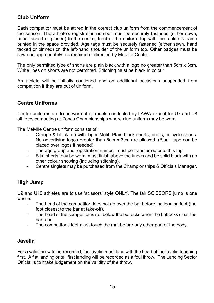#### Club Uniform

Each competitor must be attired in the correct club uniform from the commencement of the season. The athlete's registration number must be securely fastened (either sewn, hand tacked or pinned) to the centre, front of the uniform top with the athlete's name printed in the space provided. Age tags must be securely fastened (either sewn, hand tacked or pinned) on the left-hand shoulder of the uniform top. Other badges must be sewn on appropriately, as required or directed by Melville Centre.

The only permitted type of shorts are plain black with a logo no greater than 5cm x 3cm. White lines on shorts are not permitted. Stitching must be black in colour.

An athlete will be initially cautioned and on additional occasions suspended from competition if they are out of uniform.

#### **Centre Uniforms**

Centre uniforms are to be worn at all meets conducted by LAWA except for U7 and U8 athletes competing at Zones Championships where club uniform may be worn.

The Melville Centre uniform consists of:

- Orange & black top with Tiger Motif. Plain black shorts, briefs, or cycle shorts. No advertising logos greater than 5cm x 3cm are allowed. (Black tape can be placed over logos if needed).
- The age group and registration number must be transferred onto this top.
- Bike shorts may be worn, must finish above the knees and be solid black with no other colour showing (including stitching).
- Centre singlets may be purchased from the Championships & Officials Manager.  $\sim 10^{-11}$

#### **High Jump**

U9 and U10 athletes are to use 'scissors' style ONLY. The fair SCISSORS jump is one where:

- The head of the competitor does not go over the bar before the leading foot (the  $\overline{a}$ foot closest to the bar at take-off).
- The head of the competitor is not below the buttocks when the buttocks clear the bar, and
- The competitor's feet must touch the mat before any other part of the body.  $\sim 100$

#### Javelin

For a valid throw to be recorded, the javelin must land with the head of the javelin touching first. A flat landing or tail first landing will be recorded as a foul throw. The Landing Sector Official is to make judgement on the validity of the throw.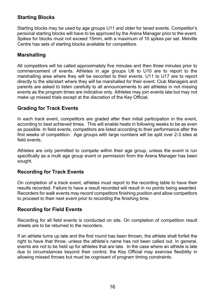#### **Starting Blocks**

Starting blocks may be used by age groups U11 and older for laned events. Competitor's personal starting blocks will have to be approved by the Arena Manager prior to the event. Spikes for blocks must not exceed 15mm, with a maximum of 10 spikes per set. Melville Centre has sets of starting blocks available for competitors.

#### **Marshalling**

All competitors will be called approximately five minutes and then three minutes prior to commencement of events. Athletes in age groups U6 to U10 are to report to the marshalling area where they will be escorted to their events. U11 to U17 are to report directly to the site/start where they will be marshalled for their event. Club Managers and parents are asked to listen carefully to all announcements to aid athletes in not missing events as the program times are indicative only. Athletes may join events late but may not make up missed trials except at the discretion of the Key Official.

#### **Grading for Track Events**

In each track event, competitors are graded after their initial participation in the event, according to best achieved times. This will enable heats in following weeks to be as even as possible. In field events, competitors are listed according to their performance after the first weeks of competition. Age groups with large numbers will be split over 2-3 sites at field events.

Athletes are only permitted to compete within their age group, unless the event is run specifically as a multi age group event or permission from the Arena Manager has been sought.

#### **Recording for Track Events**

On completion of a track event, athletes must report to the recording table to have their results recorded. Failure to have a result recorded will result in no points being awarded. Recorders for walk events may record competitors finishing position and allow competitors to proceed to their next event prior to recording the finishing time.

#### **Recording for Field Events**

Recording for all field events is conducted on site. On completion of competition result sheets are to be returned to the recorders.

If an athlete turns up late and the first round has been thrown, the athlete shall forfeit the right to have that throw, unless the athlete's name has not been called out. In general, events are not to be held up for athletes that are late. In the case where an athlete is late due to circumstances beyond their control, the Key Official may exercise flexibility in allowing missed throws but must be cognisant of program timing constraints.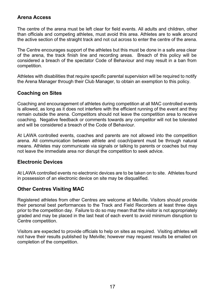#### Arana Accass

The centre of the arena must be left clear for field events. All adults and children, other than officials and competing athletes, must avoid this area. Athletes are to walk around the active section of the straight track and not cut across to enter the centre of the arena.

The Centre encourages support of the athletes but this must be done in a safe area clear of the arena, the track finish line and recording areas. Breach of this policy will be considered a breach of the spectator Code of Behaviour and may result in a ban from competition.

Athletes with disabilities that require specific parental supervision will be required to notify the Arena Manager through their Club Manager, to obtain an exemption to this policy.

#### **Coaching on Sites**

Coaching and encouragement of athletes during competition at all MAC controlled events is allowed, as long as it does not interfere with the efficient running of the event and they remain outside the arena. Competitors should not leave the competition area to receive coaching. Negative feedback or comments towards any competitor will not be tolerated and will be considered a breach of the Code of Behaviour.

At LAWA controlled events, coaches and parents are not allowed into the competition arena. All communication between athlete and coach/parent must be through natural means. Athletes may communicate via signals or talking to parents or coaches but may not leave the immediate area nor disrupt the competition to seek advice.

#### **Electronic Devices**

At LAWA controlled events no electronic devices are to be taken on to site. Athletes found in possession of an electronic device on site may be disqualified.

#### **Other Centres Visiting MAC**

Registered athletes from other Centres are welcome at Melville. Visitors should provide their personal best performances to the Track and Field Recorders at least three days prior to the competition day. Failure to do so may mean that the visitor is not appropriately graded and may be placed in the last heat of each event to avoid minimum disruption to Centre competition.

Visitors are expected to provide officials to help on sites as required. Visiting athletes will not have their results published by Melville; however may request results be emailed on completion of the competition.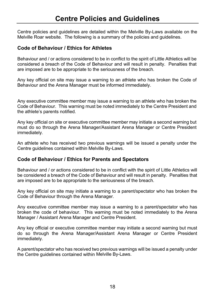Centre policies and quidelines are detailed within the Melville By-Laws available on the Melville Roar website. The following is a summary of the policies and quidelines.

#### **Code of Behaviour / Ethics for Athletes**

Behaviour and / or actions considered to be in conflict to the spirit of Little Athletics will be considered a breach of the Code of Behaviour and will result in penalty. Penalties that are imposed are to be appropriate to the seriousness of the breach.

Any key official on site may issue a warning to an athlete who has broken the Code of Behaviour and the Arena Manager must be informed immediately.

Any executive committee member may issue a warning to an athlete who has broken the Code of Behaviour. This warning must be noted immediately to the Centre President and the athlete's parents notified.

Any key official on site or executive committee member may initiate a second warning but must do so through the Arena Manager/Assistant Arena Manager or Centre President immediately.

An athlete who has received two previous warnings will be issued a penalty under the Centre guidelines contained within Melville By-Laws.

#### Code of Behaviour / Ethics for Parents and Spectators

Behaviour and / or actions considered to be in conflict with the spirit of Little Athletics will be considered a breach of the Code of Behaviour and will result in penalty. Penalties that are imposed are to be appropriate to the seriousness of the breach.

Any key official on site may initiate a warning to a parent/spectator who has broken the Code of Behaviour through the Arena Manager.

Any executive committee member may issue a warning to a parent/spectator who has broken the code of behaviour. This warning must be noted immediately to the Arena Manager / Assistant Arena Manager and Centre President.

Any key official or executive committee member may initiate a second warning but must do so through the Arena Manager/Assistant Arena Manager or Centre President immediately.

A parent/spectator who has received two previous warnings will be issued a penalty under the Centre guidelines contained within Melville By-Laws.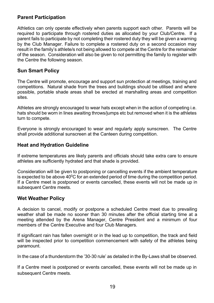#### **Parent Participation**

Athletics can only operate effectively when parents support each other. Parents will be required to participate through rostered duties as allocated by your Club/Centre. If a parent fails to participate by not completing their rostered duty they will be given a warning by the Club Manager. Failure to complete a rostered duty on a second occasion may result in the family's athlete/s not being allowed to compete at the Centre for the remainder of the season. Consideration will also be given to not permitting the family to register with the Centre the following season.

#### **Sun Smart Policy**

The Centre will promote, encourage and support sun protection at meetings, training and competitions. Natural shade from the trees and buildings should be utilised and where possible, portable shade areas shall be erected at marshalling areas and competition **Patia** 

Athletes are strongly encouraged to wear hats except when in the action of competing i.e. hats should be worn in lines awaiting throws/jumps etc but removed when it is the athletes turn to compete.

Everyone is strongly encouraged to wear and regularly apply sunscreen. The Centre shall provide additional sunscreen at the Canteen during competition.

#### **Heat and Hydration Guideline**

If extreme temperatures are likely parents and officials should take extra care to ensure athletes are sufficiently hydrated and that shade is provided.

Consideration will be given to postponing or cancelling events if the ambient temperature is expected to be above  $40^{\circ}$ C for an extended period of time during the competition period. If a Centre meet is postponed or events cancelled, these events will not be made up in subsequent Centre meets.

#### **Wet Weather Policy**

A decision to cancel, modify or postpone a scheduled Centre meet due to prevailing weather shall be made no sooner than 30 minutes after the official starting time at a meeting attended by the Arena Manager, Centre President and a minimum of four members of the Centre Executive and four Club Managers.

If significant rain has fallen overnight or in the lead up to competition, the track and field will be inspected prior to competition commencement with safety of the athletes being paramount.

In the case of a thunderstorm the '30-30 rule' as detailed in the By-Laws shall be observed.

If a Centre meet is postponed or events cancelled, these events will not be made up in subsequent Centre meets.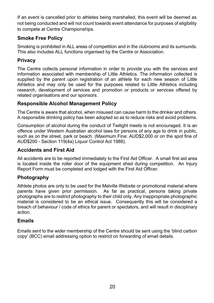If an event is cancelled prior to athletes being marshalled, this event will be deemed as not being conducted and will not count towards event attendance for purposes of eligibility to compete at Centre Championships.

#### **Smoke Free Policy**

Smoking is prohibited in ALL areas of competition and in the clubrooms and its surrounds. This also includes ALL functions organised by the Centre or Association.

#### **Privacy**

The Centre collects personal information in order to provide you with the services and information associated with membership of Little Athletics. The information collected is supplied by the parent upon registration of an athlete for each new season of Little Athletics and may only be used for the purposes related to Little Athletics including research, development of services and promotion or products or services offered by related organisations and our sponsors.

#### **Responsible Alcohol Management Policy**

The Centre is aware that alcohol, when misused can cause harm to the drinker and others. A responsible drinking policy has been adopted so as to reduce risks and avoid problems.

Consumption of alcohol during the conduct of Twilight meets is not encouraged. It is an offence under Western Australian alcohol laws for persons of any age to drink in public. such as on the street, park or beach. (Maximum Fine: AUD\$2,000 or on the spot fine of AUD\$200 - Section 119(4a) Liquor Control Act 1988).

#### **Accidents and First Aid**

All accidents are to be reported immediately to the First Aid Officer. A small first aid area is located inside the roller door of the equipment shed during competition. An Injury Report Form must be completed and lodged with the First Aid Officer.

#### Photography

Athlete photos are only to be used for the Melville Website or promotional material where parents have given prior permission. As far as practical, persons taking private photographs are to restrict photography to their child only. Any inappropriate photographic material is considered to be an ethical issue. Consequently this will be considered a breach of behaviour / code of ethics for parent or spectators, and will result in disciplinary action.

#### **Fmails**

Emails sent to the wider membership of the Centre should be sent using the 'blind carbon copy' (BCC) email addressing option to restrict on forwarding of email details.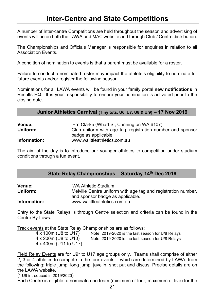A number of Inter-centre Competitions are held throughout the season and advertising of events will be on both the LAWA and MAC website and through Club / Centre distribution.

The Championships and Officials Manager is responsible for enquiries in relation to all **Association Events.** 

A condition of nomination to events is that a parent must be available for a roster.

Failure to conduct a nominated roster may impact the athlete's eligibility to nominate for future events and/or register the following season.

Nominations for all LAWA events will be found in your family portal new notifications in Results HQ. It is your responsibility to ensure your nomination is activated prior to the closing date.

| <b>Venue:</b> | Ern Clarke (Wharf St, Cannington WA 6107)                  |
|---------------|------------------------------------------------------------|
| Uniform:      | Club uniform with age tag, registration number and sponsor |
|               | badge as applicable                                        |
| Information:  | www.walittleathletics.com.au                               |

The aim of the day is to introduce our younger athletes to competition under stadium conditions through a fun event.

| State Relay Championships - Saturday 14th Dec 2019 |  |  |  |  |  |
|----------------------------------------------------|--|--|--|--|--|
|----------------------------------------------------|--|--|--|--|--|

| <b>Venue:</b> | WA Athletic Stadium                                           |
|---------------|---------------------------------------------------------------|
| Uniform:      | Melville Centre uniform with age tag and registration number, |
|               | and sponsor badge as applicable.                              |
| Information:  | www.walittleathletics.com.au                                  |

Entry to the State Relays is through Centre selection and criteria can be found in the Centre Bv-Laws.

Track events at the State Relay Championships are as follows:

| 4 x 100m (U8 to U17)  | Note: 2019-2020 is the last season for U/8 Relays |
|-----------------------|---------------------------------------------------|
| 4 x 200m (U8 to U10)  | Note: 2019-2020 is the last season for U/8 Relays |
| 4 x 400m (U11 to U17) |                                                   |

Field Relay Events are for U9\* to U17 age groups only. Teams shall comprise of either 2, 3 or 4 athletes to compete in the four events – which are determined by LAWA, from the following: triple jump, long jump, javelin, shot put and discus. Precise details are on the LAWA website.

(\* U9 introduced in 2019/2020)

Each Centre is eligible to nominate one team (minimum of four, maximum of five) for the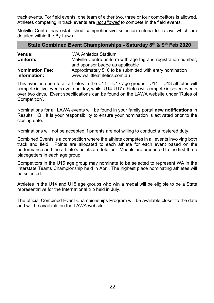track events. For field events, one team of either two, three or four competitors is allowed. Athletes competing in track events are not allowed to compete in the field events.

Melville Centre has established comprehensive selection criteria for relays which are detailed within the By-Laws.

#### State Combined Event Championships - Saturday 8th & 9th Feb 2020

| <b>Venue:</b><br>Uniform: | WA Athletics Stadium<br>Melville Centre uniform with age tag and registration number,<br>and sponsor badge as applicable |
|---------------------------|--------------------------------------------------------------------------------------------------------------------------|
| <b>Nomination Fee:</b>    | Approximately \$10 to be submitted with entry nomination                                                                 |
| Information:              | www.walittleathletics.com.au                                                                                             |

This event is open to all athletes in the  $U11 - U17$  age groups.  $U11 - U13$  athletes will compete in five events over one day, whilst U14-U17 athletes will compete in seven events over two days. Event specifications can be found on the LAWA website under 'Rules of Competition'.

Nominations for all LAWA events will be found in your family portal new notifications in Results HQ. It is your responsibility to ensure your nomination is activated prior to the closing date.

Nominations will not be accepted if parents are not willing to conduct a rostered duty.

Combined Events is a competition where the athlete competes in all events involving both track and field. Points are allocated to each athlete for each event based on the performance and the athlete's points are totalled. Medals are presented to the first three placegetters in each age group.

Competitors in the U15 age group may nominate to be selected to represent WA in the Interstate Teams Championship held in April. The highest place nominating athletes will be selected.

Athletes in the U14 and U15 age groups who win a medal will be eligible to be a State representative for the International trip held in July.

The official Combined Event Championships Program will be available closer to the date and will be available on the LAWA website.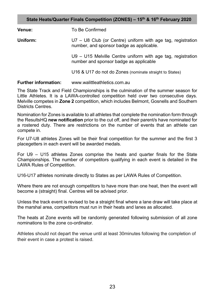State Heats/Quarter Finals Competition (ZONES) - 15th & 16th February 2020

| <b>Venue:</b> | To Be Confirmed                                                                                           |  |  |  |
|---------------|-----------------------------------------------------------------------------------------------------------|--|--|--|
| Uniform:      | $U7 - U8$ Club (or Centre) uniform with age tag, registration<br>number, and sponsor badge as applicable. |  |  |  |
|               | $U9 - U15$ Melville Centre uniform with age tag, registration<br>number and sponsor badge as applicable   |  |  |  |
|               | U16 & U17 do not do Zones (nominate straight to States)                                                   |  |  |  |
|               |                                                                                                           |  |  |  |

#### **Further information:** www.walittleathletics.com.au

The State Track and Field Championships is the culmination of the summer season for Little Athletes. It is a LAWA-controlled competition held over two consecutive days. Melville competes in Zone 2 competition, which includes Belmont, Gosnells and Southern Districts Centres

Nomination for Zones is available to all athletes that complete the nomination form through the ResultsHQ new notification prior to the cut off, and their parent/s have nominated for a rostered duty. There are restrictions on the number of events that an athlete can compete in.

For U7-U8 athletes Zones will be their final competition for the summer and the first 3 placegetters in each event will be awarded medals.

For U9 - U15 athletes Zones comprise the heats and quarter finals for the State Championships. The number of competitors qualifying in each event is detailed in the LAWA Rules of Competition.

U16-U17 athletes nominate directly to States as per LAWA Rules of Competition.

Where there are not enough competitors to have more than one heat, then the event will become a (straight) final. Centres will be advised prior.

Unless the track event is revised to be a straight final where a lane draw will take place at the marshal area, competitors must run in their heats and lanes as allocated.

The heats at Zone events will be randomly generated following submission of all zone nominations to the zone co-ordinator

Athletes should not depart the venue until at least 30 minutes following the completion of their event in case a protest is raised.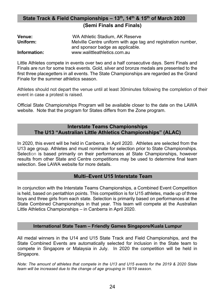#### State Track & Field Championships - 13th, 14th & 15th of March 2020 (Semi Finals and Finals)

| <b>Venue:</b> | WA Athletic Stadium. AK Reserve                               |
|---------------|---------------------------------------------------------------|
| Uniform:      | Melville Centre uniform with age tag and registration number, |
|               | and sponsor badge as applicable.                              |
| Information:  | www.walittleathletics.com.au                                  |

Little Athletes compete in events over two and a half consecutive days. Semi Finals and Finals are run for some track events. Gold, silver and bronze medals are presented to the first three placegetters in all events. The State Championships are regarded as the Grand Finale for the summer athletics season

Athletes should not depart the venue until at least 30minutes following the completion of their event in case a protest is raised.

Official State Championships Program will be available closer to the date on the LAWA website. Note that the program for States differs from the Zone program.

#### **Interstate Teams Championships** The U13 "Australian Little Athletics Championships" (ALAC)

In 2020, this event will be held in Canberra, in April 2020. Athletes are selected from the U13 age group. Athletes and must nominate for selection prior to State Championships. Selection is based primarily on their performances at State Championships, however results from other State and Centre competitions may be used to determine final team selection. See LAWA website for more details.

#### Multi-Event U15 Interstate Team

In conjunction with the Interstate Teams Championships, a Combined Event Competition is held, based on pentathlon points. This competition is for U15 athletes, made up of three boys and three girls from each state. Selection is primarily based on performances at the State Combined Championships in that year. This team will compete at the Australian Little Athletics Championships - in Canberra in April 2020.

#### International State Team - Friendly Games Singapore/Kuala Lumpur

All medal winners in the U14 and U15 State Track and Field Championships, and the State Combined Events are automatically selected for inclusion in the State team to compete in Singapore or Malaysia in July. In 2020 the competition will be held in Singapore.

Note: The amount of athletes that compete in the U13 and U15 events for the 2019 & 2020 State team will be increased due to the change of age grouping in 18/19 season.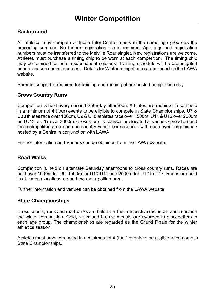#### **Background**

All athletes may compete at these Inter-Centre meets in the same age group as the preceding summer. No further registration fee is reguired. Age tags and registration numbers must be transferred to the Melville Roar singlet. New registrations are welcome. Athletes must purchase a timing chip to be worn at each competition. The timing chip may be retained for use in subsequent seasons. Training schedule will be promulgated prior to season commencement. Details for Winter competition can be found on the LAWA website.

Parental support is required for training and running of our hosted competition day.

#### **Cross Country Runs**

Competition is held every second Saturday afternoon. Athletes are required to compete in a minimum of 4 (four) events to be eligible to compete in State Championships. U7 & U8 athletes race over 1000m, U9 & U10 athletes race over 1500m, U11 & U12 over 2000m and U13 to U17 over 3000m. Cross Country courses are located at venues spread around the metropolitan area and one country venue per season – with each event organised / hosted by a Centre in conjunction with LAWA.

Further information and Venues can be obtained from the LAWA website.

#### **Road Walks**

Competition is held on alternate Saturday afternoons to cross country runs. Races are held over 1000m for U9, 1500m for U10-U11 and 2000m for U12 to U17. Races are held in at various locations around the metropolitan area.

Further information and venues can be obtained from the LAWA website

#### **State Championships**

Cross country runs and road walks are held over their respective distances and conclude the winter competition. Gold. silver and bronze medals are awarded to placegetters in each age group. The championships are regarded as the Grand Finale for the winter athletics season

Athletes must have competed in a minimum of 4 (four) events to be eligible to compete in State Championships.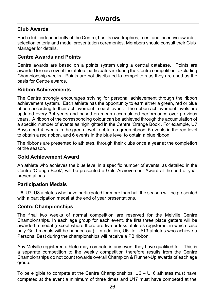#### Club Awards

Each club, independently of the Centre, has its own trophies, merit and incentive awards, selection criteria and medal presentation ceremonies. Members should consult their Club Manager for details.

#### **Centre Awards and Points**

Centre awards are based on a points system using a central database. Points are awarded for each event the athlete participates in during the Centre competition, excluding Championship weeks. Points are not distributed to competitors as they are used as the basis for Centre awards.

#### **Ribbon Achievements**

The Centre strongly encourages striving for personal achievement through the ribbon achievement system. Each athlete has the opportunity to earn either a green, red or blue ribbon according to their achievement in each event. The ribbon achievement levels are updated every 3-4 years and based on mean accumulated performance over previous years. A ribbon of the corresponding colour can be achieved through the accumulation of a specific number of events as highlighted in the Centre 'Orange Book'. For example, U7 Boys need 4 events in the green level to obtain a green ribbon, 5 events in the red level to obtain a red ribbon, and 6 events in the blue level to obtain a blue ribbon.

The ribbons are presented to athletes, through their clubs once a vear at the completion of the season

#### **Gold Achievement Award**

An athlete who achieves the blue level in a specific number of events, as detailed in the Centre 'Orange Book', will be presented a Gold Achievement Award at the end of year presentations

#### **Participation Medals**

U6, U7, U8 athletes who have participated for more than half the season will be presented with a participation medal at the end of year presentations.

#### **Centre Championships**

The final two weeks of normal competition are reserved for the Melville Centre Championships. In each age group for each event, the first three place getters will be awarded a medal (except where there are five or less athletes registered, in which case only Gold medals will be handed out). In addition, U6 -to- U/13 athletes who achieve a Personal Best during the championships will receive a PB ribbon.

Any Melville registered athlete may compete in any event they have qualified for. This is a separate competition to the weekly competition therefore results from the Centre Championships do not count towards overall Champion & Runner-Up awards of each age group.

To be eligible to compete at the Centre Championships, U6 - U16 athletes must have competed at the event a minimum of three times and U17 must have competed at the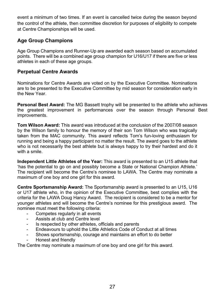event a minimum of two times. If an event is cancelled twice during the season bevond the control of the athlete, then committee discretion for purposes of eligibility to compete at Centre Championships will be used.

#### **Age Group Champions**

Age Group Champions and Runner-Up are awarded each season based on accumulated points. There will be a combined age group champion for U16/U17 if there are five or less athletes in each of these age groups.

#### **Perpetual Centre Awards**

Nominations for Centre Awards are voted on by the Executive Committee. Nominations are to be presented to the Executive Committee by mid season for consideration early in the New Year.

Personal Best Award: The MG Bassett trophy will be presented to the athlete who achieves the greatest improvement in performances over the season through Personal Best improvements.

**Tom Wilson Award:** This award was introduced at the conclusion of the 2007/08 season by the Wilson family to honour the memory of their son Tom Wilson who was tragically taken from the MAC community. This award reflects Tom's fun-loving enthusiasm for running and being a happy participant no matter the result. The award goes to the athlete who is not necessarily the best athlete but is always happy to try their hardest and do it with a smile

Independent Little Athletes of the Year: This award is presented to an U15 athlete that 'has the potential to go on and possibly become a State or National Champion Athlete.' The recipient will become the Centre's nominee to LAWA. The Centre may nominate a maximum of one boy and one girl for this award.

Centre Sportsmanship Award: The Sportsmanship award is presented to an U15, U16 or U17 athlete who, in the opinion of the Executive Committee, best complies with the criteria for the LAWA Doug Hancy Award. The recipient is considered to be a mentor for younger athletes and will become the Centre's nominee for this prestigious award. The nominee must meet the following criteria:

- Competes regularly in all events
- Assists at club and Centre level
- Is respected by other athletes, officials and parents
- Endeavours to uphold the Little Athletics Code of Conduct at all times
- Shows sportsmanship, courage and maintains an effort to do better  $\sim$ Honest and friendly

The Centre may nominate a maximum of one boy and one girl for this award.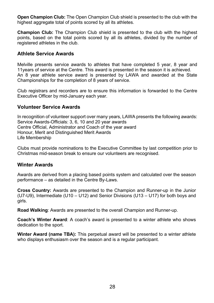Open Champion Club: The Open Champion Club shield is presented to the club with the highest aggregate total of points scored by all its athletes.

**Champion Club:** The Champion Club shield is presented to the club with the highest points, based on the total points scored by all its athletes, divided by the number of registered athletes in the club.

#### **Athlete Service Awards**

Melville presents service awards to athletes that have completed 5 year, 8 year and 11 years of service at the Centre. This award is presented in the season it is achieved. An 8 year athlete service award is presented by LAWA and awarded at the State Championships for the completion of 8 years of service.

Club registrars and recorders are to ensure this information is forwarded to the Centre Executive Officer by mid-January each year.

#### **Volunteer Service Awards**

In recognition of volunteer support over many years, LAWA presents the following awards: Service Awards-Officials: 3, 6, 10 and 20 year awards Centre Official. Administrator and Coach of the year award Honour, Merit and Distinguished Merit Awards Life Membership

Clubs must provide nominations to the Executive Committee by last competition prior to Christmas mid-season break to ensure our volunteers are recognised.

#### **Winter Awards**

Awards are derived from a placing based points system and calculated over the season performance – as detailed in the Centre By-Laws.

Cross Country: Awards are presented to the Champion and Runner-up in the Junior (U7-U9), Intermediate (U10 - U12) and Senior Divisions (U13 - U17) for both boys and airls.

Road Walking: Awards are presented to the overall Champion and Runner-up.

**Coach's Winter Award:** A coach's award is presented to a winter athlete who shows dedication to the sport.

Winter Award (name TBA): This perpetual award will be presented to a winter athlete who displays enthusiasm over the season and is a regular participant.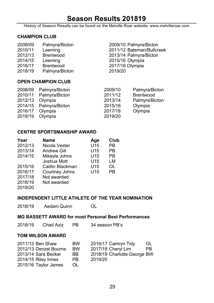# Season Results 201819

History of Season Results can be found on the Melville Roar website: www.melvilleroar.com

#### **CHAMPION CLUB**

| 2008/09 | Palmyra/Bicton   | 2009/10 Palmyra/Bicton    |
|---------|------------------|---------------------------|
| 2010/11 | Leeming          | 2011/12 Bateman/Bullcreek |
| 2012/13 | Brentwood        | 2013/14 Palmyra/Bicton    |
| 2014/15 | Leeming          | 2015/16 Olympia           |
| 2016/17 | <b>Brentwood</b> | 2017/18 Olympia           |
| 2018/19 | Palmyra/Bicton   | 2019/20                   |
|         |                  |                           |

#### **OPEN CHAMPION CLUB**

| Palmyra/Bicton | 2009/10                | Palmyra/Bicton   |
|----------------|------------------------|------------------|
| Palmyra/Bicton | 2011/12                | <b>Brentwood</b> |
| Olympia        | 2013/14                | Palmyra/Bicton   |
|                | 2015/16                | Olympia          |
| Olympia        | 2017/18                | Olympia          |
| Olympia        | 2019/20                |                  |
|                | 2014/15 Palmyra/Bicton |                  |

#### **CENTRE SPORTSMANSHIP AWARD**

| Year    | <b>Name</b>        | Age             | Club |
|---------|--------------------|-----------------|------|
| 2012/13 | Nicola Vester      | U <sub>15</sub> | РB   |
| 2013/14 | <b>Andrew Gill</b> | U15             | PB   |
| 2014/15 | Mikayla Johns      | U15             | PB   |
|         | Joshua Mott        | U15             | LM   |
| 2015/16 | Caitlin Blackman   | U15             | OL   |
| 2016/17 | Courtney Johns     | U15             | PB   |
| 2017/18 | Not awarded        |                 |      |
| 2018/19 | Not awarded        |                 |      |
| 2019/20 |                    |                 |      |

#### INDEPENDENT LITTLE ATHLETE OF THE YEAR NOMINATION

2018/19 Aedam Quinn  $\Omega$ 

#### MG BASSETT AWARD for most Personal Best Performances

2018/19 Chad Aziz PB 34 season PB's

#### **TOM WILSON AWARD**

| 2011/12 Ben Shaw    |                       | <b>BW</b> |         | 2016/17 Camryn Tidy         | OL. |
|---------------------|-----------------------|-----------|---------|-----------------------------|-----|
|                     | 2012/13 Denzel Bourne | <b>BW</b> |         | 2017/18 Cheryl Lim          | PB. |
|                     | 2013/14 Sara Becker   | BB.       |         | 2018/19 Charlotte George BW |     |
| 2014/15 Riley Innes |                       | PB.       | 2019/20 |                             |     |
|                     | 2015/16 Taylor James  | OL.       |         |                             |     |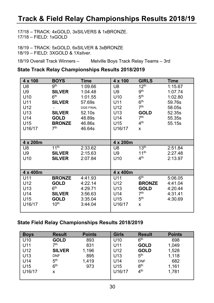# Track & Field Relay Championships Results 2018/19

17/18 - TRACK: 4xGOLD, 3xSILVERS & 1xBRONZE.  $17/18 - FIFLD: 1xGOLD$ 

18/19 - TRACK: 5xGOLD, 6xSILVER & 3xBRONZE 18/19 - FIELD: 3XGOLD & 1Xsilver.

18/19 Overall Track Winners -Melville Boys Track Relay Teams - 3rd

#### State Track Relay Championships Results 2018/2019

| $4 \times 100$   | <b>BOYS</b>      | <b>Time</b>      | $4 \times 100$   | <b>GIRLS</b>     | Time    |
|------------------|------------------|------------------|------------------|------------------|---------|
| U8               | 9 <sup>th</sup>  | 1:09.66          | U8               | 12 <sup>th</sup> | 1:15.67 |
| U9               | <b>SILVER</b>    | 1:04.48          | U9               | 9 <sup>th</sup>  | 1:07.74 |
| U <sub>10</sub>  | 6 <sup>th</sup>  | 1:01.55          | U <sub>10</sub>  | 5 <sup>th</sup>  | 1:02.80 |
| U11              | <b>SILVER</b>    | 57.69s           | U11              | 6 <sup>th</sup>  | 59.76s  |
| U12              |                  | <b>DOS FINAL</b> | U12              | 7 <sup>th</sup>  | 58.05s  |
| U <sub>13</sub>  | <b>SILVER</b>    | 52.10s           | U <sub>13</sub>  | <b>GOLD</b>      | 52.35s  |
| U14              | <b>GOLD</b>      | 48.89s           | U14              | 7 <sup>th</sup>  | 55.35s  |
| U15              | <b>BRONZE</b>    | 46.86s           | U15              | 4 <sup>th</sup>  | 55.15s  |
| U16/17           | 7 <sup>th</sup>  | 46.64s           | U16/17           | x                |         |
|                  |                  |                  |                  |                  |         |
| $4 \times 200$ m |                  |                  | $4 \times 200$ m |                  |         |
| U8               | 11 <sup>th</sup> | 2:33.62          | U8               | 13 <sup>th</sup> | 2:51.84 |
| U9               | <b>SILVER</b>    | 2:15.63          | U9               | 11 <sup>th</sup> | 2:27.48 |
| U <sub>10</sub>  | <b>SILVER</b>    | 2:07.84          | U10              | 4 <sup>th</sup>  | 2:13.97 |
|                  |                  |                  |                  |                  |         |
| 4 x 400m         |                  |                  | 4 x 400m         |                  |         |
| U11              | <b>BRONZE</b>    | 4:41.93          | U11              | 6 <sup>th</sup>  | 5:06.05 |
| U12              | <b>GOLD</b>      | 4:22.14          | U12              | <b>BRONZE</b>    | 4:41.04 |
| U <sub>13</sub>  | 6 <sup>th</sup>  | 4:29.71          | U13              | <b>GOLD</b>      | 4:20.44 |
| U14              | <b>SILVER</b>    | 3:56.63          | U14              | 7 <sup>th</sup>  | 4:31.41 |
| U15              | <b>GOLD</b>      | 3:35.04          | U15              | 5 <sup>th</sup>  | 4:30.69 |
| U16/17           | 10 <sup>th</sup> | 3:44.04          | U16/17           | X                |         |
|                  |                  |                  |                  |                  |         |

#### State Field Relay Championships Results 2018/2019

| <b>Boys</b>     | <b>Result</b>   | <b>Points</b> | <b>Girls</b> | <b>Result</b>   | <b>Points</b> |
|-----------------|-----------------|---------------|--------------|-----------------|---------------|
| U <sub>10</sub> | <b>GOLD</b>     | 893           | U10          | 6 <sup>th</sup> | 698           |
| U11             | 7 <sup>th</sup> | 831           | U11          | <b>GOLD</b>     | 1,049         |
| U12             | <b>SILVER</b>   | 1,196         | U12          | <b>GOLD</b>     | 1,528         |
| U <sub>13</sub> | <b>DNF</b>      | 895           | U13          | 5 <sup>th</sup> | 1,118         |
| U14             | 5 <sup>th</sup> | 1.419         | U14          | <b>DNF</b>      | 682           |
| U <sub>15</sub> | 6 <sup>th</sup> | 973           | U15          | 8 <sup>th</sup> | 1,161         |
| U16/17          | x               |               | U16/17       | 4 <sup>th</sup> | 1,781         |
|                 |                 |               |              |                 |               |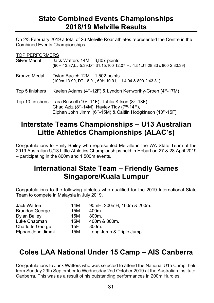# **State Combined Events Championships** 2018/19 Melville Results

On 2/3 February 2019 a total of 26 Melville Roar athletes represented the Centre in the Combined Events Championships.

TOP PERFORMERS

| Silver Medal        | Jack Watters $14M - 3,807$ points<br>(90H-13.37, LJ-5.39, DT-31.15, 100-12.07, HJ-1.51, JT-28.83 & 800-2:30.39)                                                                                                                               |
|---------------------|-----------------------------------------------------------------------------------------------------------------------------------------------------------------------------------------------------------------------------------------------|
| <b>Bronze Medal</b> | Dylan Bacich 12M - 1,502 points<br>(100m-13.99, DT-18.01, 60H-10.91, LJ-4.04 & 800-2:43.31)                                                                                                                                                   |
| Top 5 finishers     | Kaelen Adams (4 <sup>th</sup> -12F) & Lyndon Kenworthy-Groen (4 <sup>th</sup> -17M)                                                                                                                                                           |
| Top 10 finishers    | Lara Bussell (10 <sup>th</sup> -11F), Tahlia Kitson (8 <sup>th</sup> -13F),<br>Chad Aziz (8 <sup>th</sup> -14M), Hayley Tidy (7 <sup>th</sup> -14F),<br>Elphan John Jimmi (6 <sup>th</sup> -15M) & Caitlin Hodgkinson (10 <sup>th</sup> -15F) |

# Interstate Teams Championships - U13 Australian **Little Athletics Championships (ALAC's)**

Congratulations to Emily Bailey who represented Melville in the WA State Team at the 2019 Australian U/13 Little Athletics Championships held in Hobart on 27 & 28 April 2019 - participating in the 800m and 1.500m events.

# **International State Team - Friendly Games** Singapore/Kuala Lumpur

Congratulations to the following athletes who qualified for the 2019 International State Team to compete in Malaysia in July 2019.

| <b>Jack Watters</b>     | 14M | 90mH, 200mH, 100m & 200m. |
|-------------------------|-----|---------------------------|
| <b>Brandon George</b>   | 15M | 400m.                     |
| Dylan Bailey            | 15M | 800 <sub>m</sub>          |
| Luke Chapman            | 15M | 400m & 800m.              |
| <b>Charlotte George</b> | 15F | 800 <sub>m</sub>          |
| Elphan John Jimmi       | 15M | Long Jump & Triple Jump.  |

# Coles LAA National Under 15 Camp - AIS Canberra

Congratulations to Jack Watters who was selected to attend the National U15 Camp held from Sunday 29th September to Wednesday 2nd October 2019 at the Australian Institute, Canberra. This was as a result of his outstanding performances in 200m Hurdles.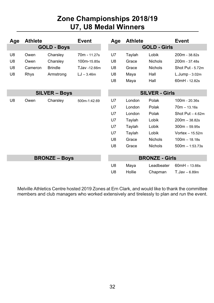# Zone Championships 2018/19 U7, U8 Medal Winners

| Age                | <b>Athlete</b> |                      | <b>Event</b> | Age                   | <b>Athlete</b> |                       | <b>Event</b>      |
|--------------------|----------------|----------------------|--------------|-----------------------|----------------|-----------------------|-------------------|
| <b>GOLD - Boys</b> |                |                      |              | <b>GOLD - Girls</b>   |                |                       |                   |
| U8                 | Owen           | Charsley             | 70m - 11.27s | U7                    | Taylah         | Lobik                 | $200m - 38.82s$   |
| U8                 | Owen           | Charsley             | 100m-15.85s  | U8                    | Grace          | <b>Nichols</b>        | 200m - 37.48s     |
| U <sub>8</sub>     | Cameron        | <b>Brindle</b>       | TJav -12.66m | U8                    | Grace          | <b>Nichols</b>        | Shot Put - 5.72m  |
| U <sub>8</sub>     | Rhys           | Armstrong            | $LJ - 3.46m$ | U8                    | Maya           | Hall                  | L.Jump - 3.02m    |
|                    |                |                      |              | U8                    | Maya           | Hall                  | 60mH - 12.82s     |
|                    |                |                      |              |                       |                |                       |                   |
|                    |                | <b>SILVER – Boys</b> |              | <b>SILVER - Girls</b> |                |                       |                   |
| U8                 | Owen           | Charsley             | 500m-1:42.69 | U7                    | London         | Polak                 | $100m - 20.36s$   |
|                    |                |                      |              | U7                    | London         | Polak                 | $70m - 13.16s$    |
|                    |                |                      |              | U7                    | London         | Polak                 | Shot Put $-4.62m$ |
|                    |                |                      |              | U7                    | Taylah         | Lobik                 | $200m - 38.82s$   |
|                    |                |                      |              | U7                    | Taylah         | Lobik                 | $300m - 59.95s$   |
|                    |                |                      |              | U7                    | Taylah         | Lobik                 | Vortex $-15.52m$  |
|                    |                |                      |              | U8                    | Grace          | <b>Nichols</b>        | $100m - 18.18s$   |
|                    |                |                      |              | U8                    | Grace          | <b>Nichols</b>        | $500m - 1:53.73s$ |
|                    |                |                      |              |                       |                |                       |                   |
|                    |                | <b>BRONZE - Boys</b> |              |                       |                | <b>BRONZE - Girls</b> |                   |
|                    |                |                      |              | U8                    | Maya           | Leadbeater            | $60mH - 13.66s$   |
|                    |                |                      |              | U8                    | Hollie         | Chapman               | $T$ .Jav – 6.89m  |

Melville Athletics Centre hosted 2019 Zones at Ern Clark, and would like to thank the committee members and club managers who worked extensively and tirelessly to plan and run the event.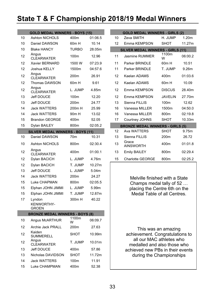# State T & F Championship 2018/19 Medal Winners

|    | <b>GOLD MEDAL WINNERS - BOYS (15)</b>   |                   |         |
|----|-----------------------------------------|-------------------|---------|
| 10 | Ashton NICHOLS                          | 400m              | 01:06.5 |
| 10 | Daniel DAWSON                           | 60 <sub>m</sub> H | 10.14   |
| 10 | <b>Blake HANCY</b>                      | TURBO             | 28.05m  |
| 12 | Angus<br><b>CLEARWATER</b>              | 100m              | 12.96   |
| 12 | Xavier BERNARD                          | 1500 W            | 07:23.9 |
| 12 | Joshua KELLY                            | 1500m             | 04:57.6 |
| 12 | Angus<br><b>CLEARWATER</b>              | 200 <sub>m</sub>  | 26.91   |
| 12 | Thomas DAWSON                           | 60m H             | 9.61    |
| 12 | Angus<br><b>CLEARWATER</b>              | L. JUMP           | 4.85m   |
| 13 | <b>Jeff DOUCE</b>                       | 100m              | 12.20   |
| 13 | <b>Jeff DOUCE</b>                       | 200 <sub>m</sub>  | 24.77   |
| 14 | <b>Jack WATTERS</b>                     | 200m H            | 25.99   |
| 14 | <b>Jack WATTERS</b>                     | 90 <sub>m</sub> H | 13.02   |
| 15 | <b>Brandon GEORGE</b>                   | 400m              | 52.05   |
| 15 | Dylan BAILEY                            | 800m              | 02:05.2 |
|    | <b>SILVER MEDAL WINNERS - BOYS (11)</b> |                   |         |
| 10 | Daniel DAWSON                           | 70 <sub>m</sub>   | 10.31   |
| 10 | <b>Ashton NICHOLS</b>                   | 800m              | 02:30.4 |
| 12 | Angus<br><b>CLEARWATER</b>              | 400m              | 01:00.1 |
| 12 | Dylan BACICH                            | L. JUMP           | 4.76m   |
| 12 | Dylan BACICH                            | T. JUMP           | 10.27m  |
| 13 | <b>Jeff DOUCE</b>                       | L. JUMP           | 5.04m   |
| 14 | <b>Jack WATTERS</b>                     | 200m              | 24.27   |
| 15 | Luke CHAPMAN                            | 800m              | 02:05.5 |
| 15 | Elphan JOHN JIMMI                       | L. JUMP           | 5.99m   |
| 15 | Elphan JOHN JIMMI                       | T. JUMP           | 12.87m  |
| 17 | Lyndon                                  | 300m H            | 40.22   |
|    | <b>KENWORTHY-</b><br><b>GROEN</b>       |                   |         |
|    | <b>BRONZE MEDAL WINNERS - BOYS (8)</b>  |                   |         |
| 10 | Angus McARTHUR                          | 1100m<br>w        | 06:09.7 |
| 12 | Archie Jack PRALL                       | 200m              | 27.63   |
| 12 | Kaiden<br><b>SUMMERELL</b>              | SHOT              | 10.99m  |
| 12 | Angus<br><b>CLEARWATER</b>              | T. JUMP           | 10.01m  |
| 13 | <b>Jeff DOUCE</b>                       | 400m              | 57.86   |
| 13 | Nicholas DAVIDSON                       | <b>SHOT</b>       | 11.72m  |
| 14 | <b>Jack WATTERS</b>                     | 100m              | 11.91   |
| 15 | <b>Luke CHAMPMAN</b>                    | 400m              | 52.38   |

|                                          | <b>GOLD MEDAL WINNERS - GIRLS (2)</b>   |                   |                   |  |  |  |  |  |  |
|------------------------------------------|-----------------------------------------|-------------------|-------------------|--|--|--|--|--|--|
| 10                                       | <b>Zeva SMITH</b>                       | H.IIIMP           | 1 20 <sub>m</sub> |  |  |  |  |  |  |
| 12                                       | Fmma KFMPSON                            | <b>SHOT</b>       | 11 27m            |  |  |  |  |  |  |
| <b>SILVER MEDAL WINNERS - GIRLS (11)</b> |                                         |                   |                   |  |  |  |  |  |  |
| 11                                       | Jasmine RUMMER                          | 1100m<br>W        | 06:00.2           |  |  |  |  |  |  |
| 11                                       | Parker BRINDLE                          | 60 <sub>m</sub> H | 10.51             |  |  |  |  |  |  |
| 11                                       | Parker BRINDI F                         | T. JUMP           | 9 26m             |  |  |  |  |  |  |
| 12                                       | Kaelan ADAMS                            | 400m              | 01:03.6           |  |  |  |  |  |  |
| 12                                       | Kaelan ADAMS                            | 60 <sub>m</sub> H | 10.09             |  |  |  |  |  |  |
| 12                                       | <b>Emma KEMPSON</b>                     | <b>DISCUS</b>     | 28.40m            |  |  |  |  |  |  |
| 12                                       | Emma KEMPSON                            | <b>JAVELIN</b>    | 27.70m            |  |  |  |  |  |  |
| 13                                       | Sienna FILLIS                           | 100m              | 12.62             |  |  |  |  |  |  |
| 16                                       | Vanessa MII I FR                        | 1500m             | 04:50.0           |  |  |  |  |  |  |
| 16                                       | Vanessa MILLER                          | 800m              | 02:19.8           |  |  |  |  |  |  |
| 17                                       | Courtney JOHNS                          | SHOT              | 10.33m            |  |  |  |  |  |  |
|                                          | <b>BRONZE MEDAL WINNERS - GIRLS (5)</b> |                   |                   |  |  |  |  |  |  |
| 12                                       | Ava WATTFRS                             | SHOT              | 9.75m             |  |  |  |  |  |  |
| 13                                       | Sienna FILLIS                           | 200 <sub>m</sub>  | 26.72             |  |  |  |  |  |  |
| 13                                       | Grace<br><b>AINSWORTH</b>               | 400m              | 01:01.8           |  |  |  |  |  |  |
| 13                                       | <b>Emily BAILEY</b>                     | 800m              | 02:29.4           |  |  |  |  |  |  |
| 15                                       | <b>Charlotte GEORGE</b>                 | 800m              | 02:25.2           |  |  |  |  |  |  |

Melville finished with a State Champs medal tally of 52 ... placing the Centre 6th on the Medal Table of all Centres.

This was an amazing achievement. Congratulations to all our MAC athletes who medalled and also those who achieved new PBs in their events during the Championships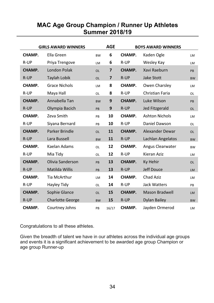### **MAC Age Group Champion / Runner Up Athletes Summer 2018/19**

|               | <b>GIRLS AWARD WINNERS</b> |           | <b>AGE</b>     |               | <b>BOYS AWARD WINNERS</b> |           |
|---------------|----------------------------|-----------|----------------|---------------|---------------------------|-----------|
| CHAMP.        | Ella Green                 | <b>BW</b> | 6              | CHAMP.        | Kaden Ogle                | <b>LM</b> |
| R-UP          | Priya Trengove             | LM        | 6              | R-UP          | Wesley Kay                | <b>LM</b> |
| <b>CHAMP.</b> | London Polak               | <b>OL</b> | $\overline{7}$ | <b>CHAMP.</b> | Xavi Raeburn              | PB        |
| R-UP          | Taylah Lobik               | <b>OL</b> | $\overline{7}$ | R-UP          | Jake Stott                | <b>BW</b> |
| CHAMP.        | <b>Grace Nichols</b>       | LM        | 8              | CHAMP.        | Owen Charsley             | <b>LM</b> |
| R-UP          | Maya Hall                  | OL        | 8              | R-UP          | Christian Faria           | 0L        |
| CHAMP.        | Annabella Tan              | <b>BW</b> | 9              | CHAMP.        | Luke Wilson               | PB        |
| R-UP          | Olympia Bacich             | PB        | 9              | R-UP          | <b>Jed Fitzgerald</b>     | <b>OL</b> |
| CHAMP.        | Zeva Smith                 | PB        | 10             | CHAMP.        | <b>Ashton Nichols</b>     | <b>LM</b> |
| R-UP          | Siyana Bernard             | PB        | 10             | R-UP          | Daniel Dawson             | 0L        |
| <b>CHAMP.</b> | <b>Parker Brindle</b>      | <b>OL</b> | 11             | <b>CHAMP.</b> | <b>Alexander Dewar</b>    | <b>OL</b> |
| R-UP          | Lara Bussell               | <b>BW</b> | 11             | R-UP          | Lachlan Angelatos         | <b>BW</b> |
| CHAMP.        | Kaelan Adams               | OL        | 12             | CHAMP.        | Angus Clearwater          | <b>BW</b> |
| R-UP          | Mia Tidy                   | OL        | 12             | R-UP          | Kieran Aziz               | <b>LM</b> |
| <b>CHAMP.</b> | Olivia Sanderson           | PB        | 13             | <b>CHAMP.</b> | Ky Hehir                  | <b>OL</b> |
| R-UP          | Matilda Willis             | PB        | 13             | R-UP          | <b>Jeff Douce</b>         | <b>LM</b> |
| CHAMP.        | Tia McArthur               | LM        | 14             | CHAMP.        | Chad Aziz                 | <b>LM</b> |
| R-UP          | Hayley Tidy                | OL        | 14             | R-UP          | <b>Jack Watters</b>       | PB        |
| CHAMP.        | Sophie Glance              | <b>OL</b> | 15             | CHAMP.        | <b>Mason Bradwell</b>     | <b>LM</b> |
| R-UP          | <b>Charlotte George</b>    | <b>BW</b> | 15             | R-UP          | Dylan Bailey              | <b>BW</b> |
| CHAMP.        | Courtney Johns             | PB        | 16/17          | CHAMP.        | Jayden Ormerod            | LM        |

Congratulations to all these athletes.

Given the breadth of talent we have in our athletes across the individual age groups and events it is a significant achievement to be awarded age group Champion or age group Runner-up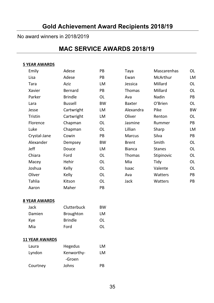#### **Gold Achievement Award Recipients 2018/19**

#### No award winners in 2018/2019

## **MAC SERVICE AWARDS 2018/19**

#### 5 YEAR AWARDS

| Emily        | Adese          | PB        | Taya          | Mascarenhas   | OL        |
|--------------|----------------|-----------|---------------|---------------|-----------|
| Lisa         | Adese          | <b>PB</b> | Ewan          | McArthur      | LM        |
| Tara         | Aziz           | LM        | Jessica       | Millard       | OL        |
| Xavier       | Bernard        | PB        | Thomas        | Millard       | OL        |
| Parker       | <b>Brindle</b> | OL        | Ava           | Nadin         | PB        |
| Lara         | <b>Bussell</b> | <b>BW</b> | <b>Baxter</b> | O'Brien       | OL        |
| Jesse        | Cartwright     | LM        | Alexandra     | Pike          | <b>BW</b> |
| Tristin      | Cartwright     | LM        | Oliver        | Renton        | OL        |
| Florence     | Chapman        | OL        | Jasmine       | Rummer        | PB        |
| Luke         | Chapman        | OL        | Lillian       | Sharp         | LM        |
| Crystal-Jane | Cowin          | PB        | <b>Marcus</b> | Silva         | PB        |
| Alexander    | Dempsey        | <b>BW</b> | <b>Brent</b>  | Smith         | 0L        |
| Jeff         | Douce          | LM        | <b>Bianca</b> | <b>Stanes</b> | OL        |
| Chiara       | Ford           | OL        | Thomas        | Stipinovic    | OL        |
| Macey        | Hehir          | OL        | Mia           | Tidy          | OL        |
| Joshua       | Kelly          | OL        | Isaac         | Valente       | OL        |
| Oliver       | Kelly          | OL        | Ava           | Watters       | PB        |
| Tahlia       | Kitson         | OL        | Jack          | Watters       | PB        |
| Aaron        | Maher          | PB        |               |               |           |

#### **8 YEAR AWARDS**

| Jack   | Clutterbuck      | ВW  |
|--------|------------------|-----|
| Damien | <b>Broughton</b> | LM  |
| Kye    | <b>Brindle</b>   | ΩL  |
| Mia    | Ford             | 0L. |

#### **11 YEAR AWARDS**

| Laura    | Hegedus    | I M |
|----------|------------|-----|
| Lyndon   | Kenworthy- | LM  |
|          | -Groen     |     |
| Courtney | Johns      | PR  |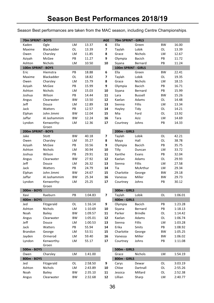Season Best performances are taken from the MAC season, including Centre Championships.

| 70m SPRINT - BOYS   |                |           |         | <b>AGE</b> | 70m SPRINT - GIRLS    |                |           |         |
|---------------------|----------------|-----------|---------|------------|-----------------------|----------------|-----------|---------|
| Kaden               | Ogle           | LM        | 13.37   | 6          | Ella                  | Green          | <b>BW</b> | 16.00   |
| Maxime              | Blackadder     | OL        | 13.39   | 7          | Taylah                | Lobik          | OL        | 13.39   |
| Owen                | Charsley       | LM        | 11.85   | 8          | Grace                 | Nichols        | LM        | 12.67   |
| Aziyah              | McGee          | PB        | 11.27   | 9          | Olympia               | Bacich         | PB        | 11.72   |
| Ashton              | Nichols        | LM        | 10.50   | 10         | Siyana                | Bernard        | PB        | 11.24   |
| 100m SPRINT - BOYS  |                |           |         |            | 100m SPRINT - GIRLS   |                |           |         |
| Eric                | Hiemstra       | PB        | 18.88   | 6          | Ella                  | Green          | <b>BW</b> | 22.41   |
| Maxime              | Blackadder     | OL        | 18.82   | 7          | Taylah                | Lobik          | OL        | 19.35   |
| Owen                | Charsley       | LM        | 15.79   | 8          | Grace                 | Nichols        | LM        | 18.15   |
| Aziyah              | McGee          | PB        | 15.99   | 9          | Olympia               | Bacich         | PB        | 16.71   |
| Ashton              | <b>Nichols</b> | LM        | 15.03   | 10         | Siyana                | Bernard        | PB        | 15.99   |
| Joshua              | Wilson         | PB        | 14.44   | 11         | Lara                  | <b>Bussell</b> | <b>BW</b> | 15.26   |
| Angus               | Clearwater     | <b>BW</b> | 13.50   | 12         | Kaelan                | Adams          | OL        | 14.48   |
| Jeff                | Douce          | LM        | 12.89   | 13         | Sienna                | Fillis         | LM        | 13.34   |
| Jack                | Watters        | PB        | 12.57   | 14         | Hayley                | Tidy           | OL        | 14.21   |
| Elphan              | John Jimmi     | <b>BW</b> | 12.04   | 15         | Mia                   | Ford           | OL        | 13.92   |
| Jaffar              | Al Jashammim   | <b>BW</b> | 12.24   | 16         | Tara                  | Aziz           | LM        | 14.69   |
| Lyndon              | Kenworthy-     | LM        | 12.36   | 17         | Courtney              | Johns          | PB        | 14.33   |
| 200m SPRINT - BOYS  | Groen          |           |         |            | 200m - GIRLS          |                |           |         |
| Jake                | Stott          | <b>BW</b> | 40.18   | 7          | Taylah                | Lobik          | OL        | 42.21   |
| Owen                | Charsley       | LM        | 35.27   | 8          | Maya                  | Hall           | OL        | 38.78   |
| Aziyah              | McGee          | PB        | 33.56   | 9          | Olympia               | Bacich         | PB        | 35.75   |
| Ashton              | Nichols        | LM        | 30.94   | 10         | Tilly                 | Duncan         | LM        | 33.72   |
| Joshua              | Wilson         | PB        | 29.91   | 11         | Xanthe                | Evans          | PB        | 32.04   |
| Angus               | Clearwater     | <b>BW</b> | 27.92   | 12         | Kaelan                | Adams          | OL        | 29.93   |
| Jeff                | Douce          | LM        | 26.32   | 13         | Sienna                | Fillis         | LM        | 27.58   |
| Jack                | Watters        | PB        | 24.79   | 14         | Tia                   | McArthur       | LM        | 29.34   |
| Elphan              | John Jimmi     | BW        | 24.67   | 15         | Charlotte             | George         | <b>BW</b> | 29.18   |
| Jaffar              | Al Jashammim   | <b>BW</b> | 25.34   | 16         | Vanessa               | Miller         | <b>BW</b> | 29.73   |
| Lyndon              | Kenworthy-     | LM        | 25.25   | 17         | Courtney              | Johns          | PB        | 30.12   |
|                     | Groen          |           |         |            |                       |                |           |         |
| 300m - BOYS         |                |           |         |            | 300m - GIRLS          |                |           |         |
| Xavi                | Raeburn        | PB        | 1:04.83 | 7          | Taylah                | Lobik          | OL        | 1:06.01 |
| 400m - BOYS         |                |           |         |            | 400m - GIRLS          |                |           |         |
| Jed                 | Fitzgerald     | OL        | 1:16.14 | 9          | Olympia               | Bacich         | PB        | 1:23.28 |
| Ashton              | Nichols        | LM        | 1:10.69 | 10         | Siyana                | Bernard        | PB        | 1:18.13 |
| Noah                | <b>Bailey</b>  | <b>BW</b> | 1:09.57 | 11         | Parker                | <b>Brindle</b> | OL        | 1:14.42 |
| Angus               | Clearwater     | <b>BW</b> | 1:05.01 | 12         | Kaelan                | Adams          | OL        | 1:06.74 |
| Jeff                | Douce          | LM        | 1:00.53 | 13         | Sienna                | <b>Fillis</b>  | LM        | 1:03.28 |
| Jack                | Watters        | PB        | 55.94   | 14         | Erika                 | Smits          | PB        | 1:08.92 |
| Brandon             | George         | LM        | 53.51   | 15         | Charlotte             | George         | <b>BW</b> | 1:05.25 |
| Jayden              | Ormerod        | LM        | 59.40   | 16         | Vanessa               | Miller         | <b>BW</b> | 1:06.02 |
| Lyndon              | Kenworthy-     | LM        | 55.17   | 17         | Courtney              | Johns          | PB        | 1:11.08 |
|                     | Groen          |           |         |            | 500m - GIRLS          |                |           |         |
| 500m - BOYS         |                |           |         |            |                       | Nichols        |           |         |
| Owen<br>800m - BOYS | Charsley       | LM        | 1:41.00 |            | Grace<br>800m - GIRLS |                | LM        | 1:54.19 |
| Jed                 | Fitzgerald     | OL        | 2:58.50 | 9          | Carys                 | Dewar          | OL        | 3:03.19 |
| Ashton              | Nichols        | LM        | 2:43.89 | 10         | Chloe                 | Dartnall       | OL        | 2:55.26 |
| Noah                | <b>Bailey</b>  | <b>BW</b> | 2:35.10 | 11         | Jessica               | Millard        | OL        | 2:52.38 |
| Angus               | Clearwater     | <b>BW</b> | 2:32.68 | 12         | Lillian               | Sharp          | LM        | 2:40.77 |
|                     |                |           |         |            |                       |                |           |         |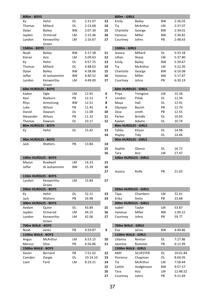| 800m - BOYS        |                     |           |          |                          | 800m - GIRLS        |                      |           |          |
|--------------------|---------------------|-----------|----------|--------------------------|---------------------|----------------------|-----------|----------|
| Кy                 | Hehir               | OL        | 2:31.07  | 13                       | Emily               | Bailey               | <b>BW</b> | 2:36.03  |
| Thomas             | Millard             | OL        | 2:23.68  | 14                       | Tia                 | McArthur             | LM        | 2:37.07  |
| Dylan              | Bailey              | <b>BW</b> | 2:07.30  | 15                       | Charlotte           | George               | <b>BW</b> | 2:34.01  |
| Jayden             | Ormerod             | LM        | 2:31.46  | 16                       | Vanessa             | Miller               | <b>BW</b> | 2:30.82  |
| Lyndon             | Kenworthy-          | LM        | 2:16.67  | 17                       | Courtney            | Johns                | PB        | 2:48.63  |
|                    | Groen               |           |          |                          |                     |                      |           |          |
| 1500m - BOYS       |                     |           |          |                          | 1500m - GIRLS       |                      |           |          |
| Noah               | Bailey              | <b>BW</b> | 5:17.38  | 11                       | Jessica             | Millard              | OL        | 5:33.18  |
| Kieran             | Aziz                | LM        | 5:09.63  | 12                       | Lillian             | Sharp                | LM        | 5:37.80  |
| Κy                 | Hehir               | OL        | 4:57.75  | 13                       | Emily               | Bailey               | <b>BW</b> | 5:39.67  |
| Thomas             | Millard             | OL        | 4:48.63  | 14                       | Tia                 | McArthur             | LM        | 5:22.30  |
| Dylan              | <b>Bailey</b>       | <b>BW</b> | 4:38.06  | 15                       | Charlotte           | George               | <b>BW</b> | 6:16.08  |
| Jaffar             | Al Jashammim        | <b>BW</b> | 6:40.52  | 16                       | Vanessa             | Miller               | <b>BW</b> | 5:17.87  |
| Lyndon             | Kenworthy-          | LM        | 4:49.00  | 17                       | Courtney            | Johns                | PB        | 6:30.19  |
|                    | Groen               |           |          |                          |                     |                      |           |          |
| 60m HURDLES - BOYS |                     |           |          |                          | 60m HURDLES - GIRLS |                      |           |          |
| Kaden              | Ogle                | LM        | 12.91    | 6                        | Priya               | Trengove             | LM        | 15.36    |
| Xavi               | Raeburn             | PB        | 12.21    | $\overline{\phantom{a}}$ | London              | Polak                | OL        | 12.34    |
| Rhys               | Armstrong           | <b>BW</b> | 12.51    | 8                        | Maya                | Hall                 | <b>OL</b> | 12.91    |
| Luke               | Wilson              | PB        | 11.45    | 9                        | Olympia             | Bacich               | PB        | 12.70    |
| Daniel             | Dawson              | OL        | 11.08    | 10                       | Zeva                | smith                | PB        | 12.55    |
| Alexander          | Wilson              | PB        | 11.32    | 11                       | Parker              | <b>Brindle</b>       | OL        | 10.93    |
| Thomas             | Dawson              | OL        | 10.17    | 12                       | Kaelan              | Adams                | <b>OL</b> | 10.74    |
| 80m HURDLES - BOYS |                     |           |          |                          | 80m HURDLES - GIRLS |                      |           |          |
| Кy                 | Hehir               | OL        | 15.42    | 13                       | Tahlia              | Kitson               | OL        | 14.98    |
|                    |                     |           |          | 14                       | Hayley              | Tidy                 | OL        | 14.46    |
| 90m HURDLES - BOYS |                     |           |          |                          | 90m HURDLES - GIRLS |                      |           |          |
| Jack               | Watters             | PB        | 13.84    | 14                       |                     |                      |           |          |
|                    |                     |           |          | 15                       | Sophie              | Glance               | <b>OL</b> | 16.72    |
|                    |                     |           |          | 16                       | Tara                | Aziz                 | LM        | 27.47    |
|                    | 100m HURDLES - BOYS |           |          |                          |                     | 100m HURDLES - GIRLS |           |          |
| Mason<br>Jaffar    | Bradwell            | LM        | 14.33    | 15                       |                     |                      |           |          |
|                    | Al Jashammim        | <b>BW</b> | 15.39    | 16<br>17                 | Jessica             | Rolfe                | PB        | 21.03    |
|                    | 110m HURDLES - BOYS |           |          |                          |                     |                      |           |          |
| Lyndon             | Kenworthy-          | LM        | 15.84    | 17                       |                     |                      |           |          |
|                    | Groen               |           |          |                          |                     |                      |           |          |
|                    | 200m HURDLES - BOYS |           |          |                          |                     | 200m HURDLES - GIRLS |           |          |
| Кy                 | Hehir               | OL        | 32.21    | 13                       | Taya                | Chambers             | LM        | 32.41    |
| Jack               | Watters             | PB        | 26.98    | 14                       | Erika               | Smits                | PB        | 33.68    |
|                    | 300m HURDLES - BOYS |           |          |                          |                     | 300m HURDLES - GIRLS |           |          |
| Aedam              | Quinn               | OL        | 43.84    | 15                       | Isabel              | Taylor               | LM        | 53.87    |
| Jayden             | Ormerod             | LM        | 44.25    | 16                       | Vanessa             | Miller               | <b>BW</b> | 1:09.22  |
| Lyndon             | Kenworthy-          | LM        | 42.06    | 17                       | Courtney            | Johns                | PB        | 59.77    |
|                    | Groen               |           |          |                          |                     |                      |           |          |
| 700m WALK - BOYS   |                     |           |          |                          | 700m WALK - GIRLS   |                      |           |          |
| Noah               | Janes               | PB        | 4:59.87  | 9                        | Eva                 | Jarvis               | <b>BW</b> | 4:49.86  |
| 1100m WALK - BOYS  |                     |           |          |                          | 1100m WALK - GIRLS  |                      |           |          |
| Angus              | McArthur            | LM        | 6:53.15  | 10                       | Lilianna            | Renton               | OL        | 7:27.86  |
| Marcus             | Silva               | PB        | 6:56.86  | 11                       | Jasmine             | Rummer               | PB        | 6:12.99  |
| 1500m WALK - BOYS  |                     |           |          |                          | 1500m WALK - GIRLS  |                      |           |          |
| Xavier             | Bernard             | PB        | 7:51.02  | 12                       | AMY                 | SILVESTER            | OL        | 10:01.84 |
| Camden             | Dargie              | OL        | 10:14.10 | 13                       | Florence            | Chapman              | OL        | 8:04.05  |
| Liam               | Ford                | LM        | 8:19.21  | 14                       | Tia                 | McArthur             | LM        | 7:58.44  |
|                    |                     |           |          | 15                       | Caitlin             | Hodgkinson           | <b>BW</b> | 9:57.57  |
|                    |                     |           |          | 16                       | Tara                | Aziz                 | LM        | 12:48.52 |
|                    |                     |           |          | 17                       | Courtney            | Johns                | PB        | 9:21.69  |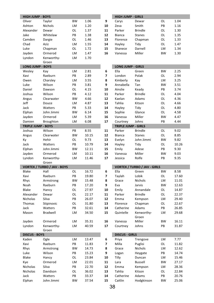| <b>HIGH JUMP - BOYS</b>   |                                    |           |       |                | <b>HIGH JUMP - GIRLS</b>   |                                     |           |       |
|---------------------------|------------------------------------|-----------|-------|----------------|----------------------------|-------------------------------------|-----------|-------|
| Oliver                    | Taylor                             | <b>BW</b> | 1.06  | 9              | Carys                      | Dewar                               | OL        | 1.04  |
| Ashton                    | <b>Nichols</b>                     | LM        | 1.20  | 10             | Zeva                       | Smith                               | PB        | 1.16  |
| Alexander                 | Dewar                              | OL        | 1.37  | 11             | Parker                     | <b>Brindle</b>                      | OL        | 1.30  |
| Jake                      | Whitelaw                           | PB        | 1.38  | 12             | Bianca                     | Stanes                              | OL        | 1.35  |
| Camden                    | Dargie                             | OL        | 1.46  | 13             | Florence                   | Chapman                             | OL        | 1.33  |
| Chad                      | Aziz                               | LM        | 1.55  | 14             | Hayley                     | Tidy                                | OL        | 1.47  |
| Luke                      | Chapman                            | OL        | 1.72  | 15             | Shanece                    | Darnell                             | LM        | 1.34  |
| Jayden                    | Ormerod                            | LM        | 1.47  | 16             | Vanessa                    | Miller                              | <b>BW</b> | 1.30  |
| Lyndon                    | Kenworthy-                         | LM        | 1.70  |                |                            |                                     |           |       |
|                           | Groen                              |           |       |                |                            |                                     |           |       |
| <b>LONG JUMP - BOYS</b>   |                                    |           |       |                | <b>LONG JUMP - GIRLS</b>   |                                     |           |       |
| Wesley                    | Kay                                | LM        | 2.81  | 6              | Ella                       | Green                               | <b>BW</b> | 2.25  |
| Xavi                      | Raeburn                            | PB        | 2.89  | $\overline{7}$ | London                     | Polak                               | OL        | 2.94  |
| Owen                      | Charsley                           | LM        | 3.55  | 8              | Kimberly                   | Kay                                 | LM        | 3.25  |
| Luke                      | Wilson                             | PB        | 3.81  | 9              | Annabella                  | Tan                                 | <b>BW</b> | 3.51  |
| Daniel                    | Dawson                             | OL        | 4.15  | 10             | Ainslie                    | Keady                               | PB        | 3.74  |
| Joshua                    | Wilson                             | PB        | 4.12  | 11             | Parker                     | <b>Brindle</b>                      | OL        | 4.04  |
| Angus                     | Clearwater                         | <b>BW</b> | 4.66  | 12             | Kaelan                     | Adams                               | OL        | 4.36  |
| Jeff                      | Douce                              | LM        | 4.87  | 13             | Tahlia                     | Kitson                              | OL        | 4.66  |
| Jack                      | Watters                            | PB        | 5.33  | 14             | Hayley                     | Tidy                                | OL        | 4.80  |
| Elphan                    | John Jimmi                         | <b>BW</b> | 6.14  | 15             | Sophie                     | Glance                              | OL        | 4.58  |
| Jayden                    | Ormerod                            | LM        | 5.39  | 16             | Vanessa                    | Miller                              | <b>BW</b> | 4.47  |
| Damien                    | Broughton                          | LM        | 6.08  | 17             | Courtney                   | Johns                               | PB        | 4.44  |
| <b>TRIPLE JUMP - BOYS</b> |                                    |           |       |                | <b>TRIPLE JUMP - GIRLS</b> |                                     |           |       |
| Joshua                    | Wilson                             | PB        | 8.55  | 11             | Parker                     | <b>Brindle</b>                      | OL        | 9.02  |
| Angus                     | Clearwater                         | <b>BW</b> | 10.15 | 12             | Bianca                     | <b>Stanes</b>                       | OL        | 8.85  |
| Кy                        | Hehir                              | OL        | 9.73  | 13             | Evelyn                     | John Jimmi                          | <b>BW</b> | 9.82  |
| Jack                      | Watters                            | PB        | 10.79 | 14             | Hayley                     | Tidy                                | OL        | 10.26 |
| Elphan                    | John Jimmi                         | <b>BW</b> | 12.11 | 15             | Emily                      | Adese                               | PB        | 9.30  |
| Jayden                    | Ormerod                            | LM        | 10.11 | 16             | Vanessa                    | Miller                              | BW        | 9.03  |
| Lyndon                    | Kenworthy-                         | LM        | 11.46 | 17             | Jessica                    | Rolfe                               | PB        | 9.35  |
|                           | Groen                              |           |       |                |                            |                                     |           |       |
|                           | <b>VORTEX / TURBO / JAV - BOYS</b> |           |       |                |                            | <b>VORTEX / TURBO / JAV - GIRLS</b> |           |       |
| Blake                     | Hall                               | OL        | 16.72 | 6              | Ella                       | Green                               | <b>BW</b> | 8.58  |
| Xavi                      | Raeburn                            | PB        | 19.80 | 7              | Taylah                     | Lobik                               | OL        | 17.60 |
| Rhys                      | Armstrong                          | <b>BW</b> | 15.48 | 8              | Grace                      | Nichols                             | LM        | 11.01 |
| Noah                      | Raeburn                            | PB        | 17.20 | 9              | Eva                        | Jarvis                              | <b>BW</b> | 12.63 |
| Blake                     | Hancy                              | OL        | 27.97 | 10             |                            |                                     |           | 14.87 |
| Alexander                 | Dewar                              |           |       |                | Emily                      | Annandale                           | OL        |       |
| Nicholas                  |                                    | OL        | 22.17 | 11             | Parker                     | <b>Brindle</b>                      | OL        | 22.37 |
| Thomas                    | Silva                              | PB        | 26.07 | 12             | Emma                       | Kempson                             | LM        | 29.40 |
|                           | Stipinovic                         | OL        | 31.80 | 13             | Florence                   | Chapman                             | OL        | 22.67 |
| Jack                      | Watters                            | PB        | 32.61 | 14             | Catherine                  | Adams                               | PB        | 26.85 |
| Mason                     | Bradwell                           | LM        | 34.50 | 15             | Quintelle                  | Kenworthy-                          | LM        | 29.68 |
|                           |                                    |           |       |                |                            | Groen                               |           |       |
| Jayden                    | Ormerod                            | LM        | 35.31 | 16             | Vanessa                    | Miller                              | <b>BW</b> | 16.11 |
| Lyndon                    | Kenworthy-<br>Groen                | LM        | 40.59 | 17             | Courtney                   | Johns                               | PB        | 31.87 |
| <b>DISCUS - BOYS</b>      |                                    |           |       |                | <b>DISCUS - GIRLS</b>      |                                     |           |       |
| Kaden                     | Ogle                               | LM        | 13.47 | 6              | Priya                      | Trengove                            | LM        | 7.77  |
| Xavi                      | Raeburn                            | PB        | 11.83 | 7              | Milla                      | Puglisi                             | OL        | 11.82 |
| Rhys                      | Armstrong                          | ВW        | 14.73 | 8              | Grace                      | Nichols                             | LM        | 12.62 |
| Luke                      | Wilson                             | PB        | 15.23 | 9              | Logan                      | Heygate                             | PB        | 14.74 |
| Blake                     | Hancy                              | OL        | 23.84 | 10             | Tilly                      | Duncan                              | LM        | 15.46 |
| Kye                       | Ormerod                            | LM        | 22.01 | 11             | Lara                       | Bussell                             | BW        | 27.17 |
| Nicholas                  | Silva                              | PB        | 22.70 | 12             | Emma                       | Kempson                             | LM        | 28.36 |
| Nicholas                  | Davidson                           | OL        | 36.02 | 13             | Tahlia                     | Kitson                              | OL        | 22.84 |
| Jack                      | Watters                            | PB        | 33.37 | 14             | Catherine                  | Adams                               | PB        | 20.76 |
| Elphan                    | John Jimmi                         | ВW        | 37.54 | 15             | Caitlin                    | Hodgkinson                          | BW        | 25.06 |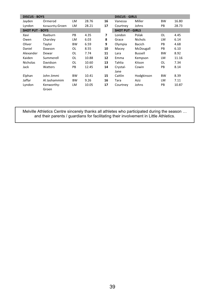| <b>DISCUS - BOYS</b>   |                     |           |       |    | <b>DISCUS - GIRLS</b>   |                |           |       |
|------------------------|---------------------|-----------|-------|----|-------------------------|----------------|-----------|-------|
| Jayden                 | Ormerod             | LM        | 28.76 | 16 | Vanessa                 | Miller         | <b>BW</b> | 16.80 |
| Lyndon                 | Kenworthy-Groen     | LM        | 28.21 | 17 | Courtney                | Johns          | PB        | 28.73 |
| <b>SHOT PUT - BOYS</b> |                     |           |       |    | <b>SHOT PUT - GIRLS</b> |                |           |       |
| Xavi                   | Raeburn             | PB        | 4.35  | 7  | London                  | Polak          | OL        | 4.45  |
| Owen                   | Charsley            | LM        | 6.03  | 8  | Grace                   | <b>Nichols</b> | LM        | 6.14  |
| Oliver                 | Taylor              | <b>BW</b> | 6.59  | 9  | Olympia                 | Bacich         | PB        | 4.68  |
| Daniel                 | Dawson              | OL        | 8.55  | 10 | Macey                   | McDougall      | PB        | 6.10  |
| Alexander              | Dewar               | OL        | 7.74  | 11 | Lara                    | Bussell        | <b>BW</b> | 8.92  |
| Kaiden                 | Summerell           | OL        | 10.88 | 12 | Emma                    | Kempson        | LM        | 11.16 |
| <b>Nicholas</b>        | Davidson            | OL        | 10.60 | 13 | Tahlia                  | Kitson         | OL        | 7.34  |
| Jack                   | Watters             | PB        | 12.45 | 14 | Crystal-                | Cowin          | PB        | 8.14  |
|                        |                     |           |       |    | Jane                    |                |           |       |
| Elphan                 | John Jimmi          | <b>BW</b> | 10.41 | 15 | Caitlin                 | Hodgkinson     | <b>BW</b> | 8.39  |
| Jaffar                 | Al Jashammim        | <b>BW</b> | 9.26  | 16 | Tara                    | Aziz           | LM        | 7.11  |
| Lyndon                 | Kenworthy-<br>Groen | LM        | 10.05 | 17 | Courtney                | Johns          | PB        | 10.87 |

Melville Athletics Centre sincerely thanks all athletes who participated during the season ...<br>and their parents / guardians for facilitating their involvement in Little Athletics.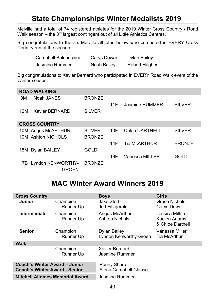# **State Championships Winter Medalists 2019**

Melville had a total of 74 registered athletes for the 2019 Winter Cross Country / Road Walk season - the 3rd largest contingent out of all Little Athletics Centres.

Big congratulations to the six Melville athletes below who competed in EVERY Cross Country run of the season;

| Campbell Baldacchino | Carys Dewar | Dylan Bailey         |
|----------------------|-------------|----------------------|
| Jasmine Rummer       | Noah Bailey | <b>Robert Hughes</b> |

Big congratulations to Xavier Bernard who participated in EVERY Road Walk event of the Winter season.

|     | <b>ROAD WALKING</b>   |               |     |                     |               |
|-----|-----------------------|---------------|-----|---------------------|---------------|
| 9M  | Noah JANES            | <b>BRONZE</b> |     |                     |               |
|     |                       |               | 11F | Jasmine RUMMER      | SILVER        |
| 12M | Xavier BERNARD        | <b>SILVER</b> |     |                     |               |
|     |                       |               |     |                     |               |
|     | <b>CROSS COUNTRY</b>  |               |     |                     |               |
|     | 10M Angus McARTHUR    | <b>SILVER</b> | 10F | Chloe DARTNELL      | <b>SILVER</b> |
|     | 10M Ashton NICHOLS    | <b>BRONZE</b> |     |                     |               |
|     |                       |               | 14F | <b>Tia McARTHUR</b> | <b>BRONZE</b> |
|     | 15M Dylan BAILEY      | GOLD          |     |                     |               |
|     |                       |               | 16F | Vanessa MILLER      | GOL D         |
|     | 17B Lyndon KENWORTHY- | <b>BRONZE</b> |     |                     |               |
|     | GROEN                 |               |     |                     |               |

# **MAC Winter Award Winners 2019**

| <b>Cross Country</b>                                           |                       | <b>Boys</b>                             | Girls                                               |  |  |  |
|----------------------------------------------------------------|-----------------------|-----------------------------------------|-----------------------------------------------------|--|--|--|
| Junior                                                         | Champion<br>Runner Up | Jake Stott<br>Jed Fitzgerald            | Grace Nichols<br>Carys Dewar                        |  |  |  |
| Intermediate                                                   | Champion<br>Runner Up | Angus McArthur<br><b>Ashton Nichols</b> | Jessica Millard<br>Kaelen Adams<br>& Chloe Dartnell |  |  |  |
| <b>Senior</b>                                                  | Champion<br>Runner Up | Dylan Bailey<br>Lyndon Kenworthy-Groen  | Vanessa Miller<br>Tia McArthur                      |  |  |  |
| <b>Walk</b>                                                    |                       |                                         |                                                     |  |  |  |
|                                                                | Champion<br>Runner Up | Xavier Bernard<br>Jasmine Rummer        |                                                     |  |  |  |
| Coach's Winter Award - Junior<br>Coach's Winter Award - Senior |                       | Penny Sharp<br>Siena Campbell-Clause    |                                                     |  |  |  |
| <b>Mitchell Allomes Memorial Award</b>                         |                       | Jasmine Rummer                          |                                                     |  |  |  |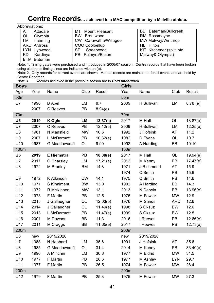# Centre Records... achieved in a MAC competition by a Melville athlete.

| Abbreviations: |  |
|----------------|--|
|                |  |

| AT         | Attadale    | <b>Mount Pleasant</b><br>мт | <b>BB</b> Bateman/Bullcreek |
|------------|-------------|-----------------------------|-----------------------------|
| OL         | Olympia     | Brentwood<br><b>BW</b>      | RM Rossmoyne                |
| LM         | Leeming     | CW Carawatha/Willagee       | MW Melway/Winthrop          |
|            | ARD Ardross | COO Coolbellup              | HL Hilton                   |
| <b>LYN</b> | Lynwood     | Spearwood<br>SP             | KIT Kitchener (split into   |
| KD         | Kardinya    | PB Palmyra/Bicton           | Melway& Olympia)            |
|            | RTM Rateman |                             |                             |

Note: 1. Timing gates were purchased and introduced in 2006/07 season. Centre records that have been broken using electronic timing since are indicated with an (e).

Note: 2. Only records for current events are shown. Manual records are maintained for all events and are held by Centre Recorder.

Note 3. Records achieved in the previous season are in **Bold underlined** 

| <b>Boys</b>     |      |                   |           |          | <b>Girls</b>    |            |            |          |
|-----------------|------|-------------------|-----------|----------|-----------------|------------|------------|----------|
| Age             | Year | Name              | Club      | Result   | Year            | Name       | Club       | Result   |
| 50 <sub>m</sub> |      |                   |           |          | 50 <sub>m</sub> |            |            |          |
| U7              | 1996 | <b>B</b> Abel     | LM        | 8.7      | 2009            | H Sullivan | LM         | 8.78(e)  |
|                 | 2007 | C Reeves          | PB        | 8.94(e)  |                 |            |            |          |
| 70m             |      |                   |           |          | 70 <sub>m</sub> |            |            |          |
| U <sub>6</sub>  | 2019 | K Ogle            | LM        | 13.37(e) | 2017            | M Hall     | <b>OL</b>  | 13.87(e) |
| U7              | 2007 | C Reeves          | PB        | 12.12(e) | 2009            | H Sullivan | LM         | 12.25(e) |
| U8              | 1981 | N Mansfield       | <b>MW</b> | 10.6     | 1992            | J Hofsink  | AT         | 11.2     |
| U9              | 2007 | L McDermott       | PB        | 10.32(e) | 1982            | D Evans    | OL         | 10.7     |
| U10             | 1987 | G Meadowcroft     | <b>OL</b> | 9.90     | 1992            | A Harding  | BB         | 10.10    |
| 100m            |      |                   |           |          | 100m            |            |            |          |
| U <sub>6</sub>  | 2019 | <b>E</b> Hiemstra | PB        | 18.88(e) | 2017            | M Hall     | OL         | 19.94(e) |
| U7              | 2017 | O Charsley        | LM        | 17.21(e) | 2012            | M Kenny    | PB         | 17.47(e) |
| U8              | 1972 | M Bradley         | <b>RM</b> | 14.8     | 1971            | J Richmond | AT         | 15.9     |
|                 |      |                   |           |          | 1974            | C Smith    | <b>PB</b>  | 15.9     |
| U9              | 1972 | K Atkinson        | <b>CW</b> | 14.1     | 1975            | C Smith    | <b>PB</b>  | 14.6     |
| U10             | 1971 | S Kinniment       | <b>BW</b> | 13.0     | 1992            | A Harding  | <b>BB</b>  | 14.3     |
| U11             | 1972 | R McKinnon        | <b>MW</b> | 13.1     | 2013            | N Darwin   | BB         | 13.96(e) |
| U12             | 1978 | F Martin          | PB        | 12.5     | 1975            | M Fowler   | <b>MW</b>  | 12.9     |
| U13             | 2013 | J Gallaugher      | OL        | 12.03(e) | 1976            | M Sands    | <b>ARD</b> | 12.6     |
| U14             | 2014 | J Gallaugher      | OL        | 11.49(e) | 1998            | S Oksuz    | <b>BW</b>  | 12.6     |
| U15             | 2013 | L McDermott       | PB        | 11.47(e) | 1999            | S Oksuz    | <b>BW</b>  | 12.5     |
| U16             | 2001 | M Dawson          | BB        | 11.3     | 2016            | I Reeves   | PB         | 12.86(e) |
| U17             | 2011 | M.Craggs          | BB        | 11.65(e) | 2017            | I Reeves   | PB         | 12.73(e) |
| 200m            |      |                   |           |          | 200m            |            |            |          |
| U <sub>6</sub>  | new  | 2019/2020         |           |          | new             | 2019/2020  |            |          |
| U7              | 1988 | N Hebbard         | LM        | 35.6     | 1991            | J Hofsink  | AT         | 35.6     |
| U8              | 1985 | G Meadowcroft     | OL        | 31.4     | 2014            | M Kenny    | PB         | 33.40(e) |
| U9              | 1996 | A Minchin         | LM        | 30.8     | 1977            | M Eldrid   | <b>MW</b>  | 31.5     |
| U10             | 1977 | F Martin          | PB        | 28.6     | 1977            | M Ashley   | <b>LYN</b> | 29.7     |
| U11             | 1977 | F Martin          | PB        | 26.5     | 1974            | M Fowler   | <b>MW</b>  | 28.4     |
| 200m            |      |                   |           |          | 200m            |            |            |          |
| U12             | 1979 | F Martin          | <b>PB</b> | 25.3     | 1975            | M Fowler   | <b>MW</b>  | 27.3     |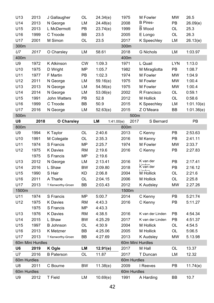| U13             | 2013             | J Gallaugher      | OL        | 24.34(e)         | 1975        | M Fowler                            | <b>MW</b>  | 26.5       |
|-----------------|------------------|-------------------|-----------|------------------|-------------|-------------------------------------|------------|------------|
| U14             | 2013             | N George          | LM        | 24.48(e)         | 2008        | <b>B</b> Pires-                     | PB         | 26.09(e)   |
| U15             | 2013             | L McDermott       | PB        | 23.74(e)         | 1999        | <b>B</b> Wood                       | OL         | 25.3       |
| U16             | 1999             | C Troode          | BB        | 23.5             | 2005        | E Longo                             | OL         | 26.3       |
| U17             | 2001             | M Simon           | OL        | 23.5             | 2017        | K Speechley                         | LM         | 26.13(e)   |
| 300m            |                  |                   |           |                  | 300m        |                                     |            |            |
| U7              | 2017             | O Charsley        | LM        | 58.61            | 2018        | <b>G</b> Nichols                    | LM         | 1:03.97    |
| 400m            |                  |                   |           |                  | 400m        |                                     |            |            |
| U9              | 1972             | K Atkinson        | <b>CW</b> | 1:09.3           | 1971        | L Quail                             | <b>LYN</b> | 1:13.0     |
| U10             | 1975             | D Wright          | <b>MP</b> | 1:05.7           | 1982        | M Miragliotta                       | PB         | 1:08.7     |
| U11             | 1977             | F Martin          | PB        | 1:02.3           | 1974        | M Fowler                            | <b>MW</b>  | 1:04.9     |
| U12             | 2011             | N George          | LM        | 59.16(e)         | 1975        | M Fowler                            | <b>MW</b>  | 1:00.4     |
| U13             | 2013             | N George          | LM        | 54.56(e)         | 1975        | M Fowler                            | <b>MW</b>  | 1:00.4     |
| U14             | 2014             | N George          | LM        | 53.06(e)         | 2002        | R Francisco                         | OL         | 0:59.1     |
| U15             | 1991             | John Watters      | PB        | 52.8             | 2012        | M Hollick                           | OL         | 0:58.6     |
| U16             | 1999             | C Troode          | BB        | 50.9             | 2015        | K Speechley                         | LM         | 1:01.10(e) |
| U17             | 2016             | N George          | LM        | 52.63(e)         | 2015        | Z O'Meara                           | BB         | 1:01.36(e) |
| 500m            |                  |                   |           |                  | 500m        |                                     |            |            |
| U8              | 2018             | O Charsley        |           | LM<br>1:41.00(e) | 2017        | S Bernard                           |            | PB         |
| 800m            |                  |                   |           |                  | 800m        |                                     |            |            |
| U9              | 1994             | K Taylor          | OL        | 2:40.6           | 2013        | C Kenny                             | PB         | 2:53.63    |
| U10             | 1991             | M Colegate        | OL        | 2:35.3           | 2016        | M Kenny                             | PB         | 2:41.11    |
| U11             | 1974             | S Francis         | <b>MP</b> | 2:25.7           | 1974        | M Fowler                            | <b>MW</b>  | 2:33.7     |
| U12             | 1975             | <b>K</b> Davies   | <b>RM</b> | 2:19.6           | 2016        | C Kenny                             | PB         | 2:27.83    |
|                 | 1975             | S Francis         | <b>MP</b> | 2:19.6           |             |                                     |            |            |
| U13             | 2012             | N George          | LM        | 2:13.41          | 2016        | K van der                           | PB         | 2:17.41    |
| U14             | 2016             | L Shaw            | <b>BW</b> | 2:09.80          | 2018        | Linder<br>Kvan der<br><b>Linder</b> | PB         | 2:16.12    |
| U15             | 1990             | S Hair            | KD        | 2:06.8           | 2004        | M Hollick                           | OL         | 2:21.6     |
| U16             | 2011             | A Tharle          | OL        | 2:04.15          | 2006        | M Hollick                           | OL         | 2:25.8     |
| U17             | 2013             | T Kenworthy-Groen | BB        | 2:03.43          | 2012        | <b>K</b> Audsley                    | <b>MW</b>  | 2.27.26    |
| 1500m           |                  |                   |           |                  | 1500m       |                                     |            |            |
| U11             | 1974             | S Francis         | MP        | 5:00.7           | 2014        | C Kenny                             | PB         | 5:21:74    |
| U12             | 1975             | <b>K</b> Davies   | RM        | 4:43.3           | 2016        | C Kenny                             | PB         | 5:11.27    |
|                 | 1975             | S Francis         | <b>MP</b> | 4:43.3           |             |                                     |            |            |
| U <sub>13</sub> | 1976             | <b>K</b> Davies   | <b>RM</b> | 4:38.5           | 2016        | K van der Linden                    | PB         | 4:54.34    |
| U14             | 2015             | L Shaw            | <b>BW</b> | 4:25.29          | 2017        | K van der Linden                    | PB         | 4:51.37    |
| U15             | 1997             | <b>B</b> Johnson  | OL        | 4:30.9           | 2004        | M Hollick                           | OL         | 4:54.5     |
| U16             | 2013             | K Metzner         | BB        | 4:25.06          | 2005        | M Hollick                           | OL         | 5:06.5     |
| U17             | 2013             | T Kenworthy-Groen | BB        | 4:27.69          | 2013        | <b>K</b> Audsley                    | <b>MW</b>  | 5.13.98    |
|                 | 60m Mini Hurdles |                   |           |                  |             | 60m Mini Hurdles                    |            |            |
| U6              | 2019             | K Ogle            | LM        | 12.91(e)         | 2017        | M Hall                              | OL         | 13.37      |
| U7              | 2016             | <b>B</b> Paterson | OL        | 11.87            | 2017        | T Duncan                            | LM         | 12.32      |
| 60m Hurdles     |                  |                   |           |                  | 60m Hurdles |                                     |            |            |
| U8              | 2011             | C Bourne          | BW        | 11.38(e)         | 2009        | I Reeves                            | PB         | 11.74(e)   |
| 60m Hurdles     |                  |                   |           |                  | 60m Hurdles |                                     |            |            |
| U9              | 2012             | <b>T</b> Field    | LM        | 10.69(e)         | 1991        | A Harding                           | ВB         | 10.7       |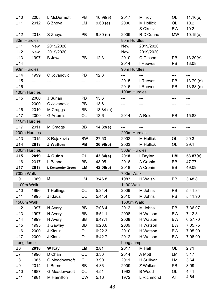| U10                 | 2008           | L McDermott                 | PB              | 10.99(e)     | 2017                 | M Tidy                      | OL        | 11.16(e)     |
|---------------------|----------------|-----------------------------|-----------------|--------------|----------------------|-----------------------------|-----------|--------------|
| U11                 | 2012           | S Zhoya                     | LM              | 9.60(e)      | 2000                 | M Hollick                   | OL        | 10.2         |
|                     |                |                             |                 |              |                      | S Oksuz                     | <b>BW</b> | 10.2         |
| U12                 | 2013           | S Zhoya                     | PB              | 9.80(e)      | 2009                 | R D'Cunha                   | <b>MW</b> | 10.19(e)     |
| 80m Hurdles         |                |                             |                 |              | 80m Hurdles          |                             |           |              |
| U11                 | New            | 2019/2020                   |                 |              | New                  | 2019/2020                   |           |              |
| U12                 | New            | 2019/2020                   |                 |              | New                  | 2019/2020                   |           |              |
| U13                 | 1997           | <b>B</b> Jewell             | PB              | 12.3         | 2010                 | C Gibson                    | PB        | 13.20(e)     |
| U14                 | $\overline{a}$ | ---                         | ---             | ---          | 2014                 | I Reeves                    | PB        | 13.08        |
| 90m Hurdles         |                |                             |                 |              | 90m Hurdles          |                             |           |              |
| U14                 | 1999           | C Jovanovic                 | РB              | 12.8         | ---                  |                             | ---       | $---$        |
| U15                 | ---            | ---                         | ---             | ---          | 2015                 | I Reeves                    | PB        | 13.79(e)     |
| U16<br>100m Hurdles | ---            | ---                         | ---             | ---          | 2016<br>100m Hurdles | I Reeves                    | PB        | 13.88(e)     |
| U15                 | 2000           | J Surjan                    | PB              | 13.6         | ---                  | ---                         | ---       | ---          |
|                     | 2000           | C Jovanovic                 | PB              | 13.6         | ---                  | ---                         | ---       | ---          |
| U16                 | 2010           | M Craggs                    | BB              | 13.84(e)     | ---                  | ---                         | ---       | ---          |
| U17                 | 2000           | <b>G</b> Artemis            | OL              | 13.6         | 2014                 | A Reid                      | PB        | 15.83        |
| 110m Hurdles        |                |                             |                 |              |                      |                             |           |              |
| U17                 | 2011           | M Craggs                    | BB              | 14.88(e)     | ---                  | ---                         | ---       | ---          |
| 200m Hurdles        |                |                             |                 |              | 200m Hurdles         |                             |           |              |
| U13                 | 2015           | S Rajakovic                 | <b>BW</b>       | 27.53        | 2002                 | M Hollick                   | OL        | 29.3         |
| U14                 | 2018           | <b>J</b> Watters            | PB              | 26.98(e)     | 2003                 | M Hollick                   | OL        | 29.1         |
|                     |                |                             |                 |              |                      |                             |           |              |
|                     |                |                             |                 |              |                      |                             |           |              |
| 300m Hurdles<br>U15 | 2019           | A Quinn                     | <b>OL</b>       | 43.84(e)     | 300m Hurdles<br>2018 | I Taylor                    | LМ        | 53.87(e)     |
| U16                 | 2017           | L Bennett                   | BB              | 43.95        | 2016                 | A Cronin                    | BB        | 47.77        |
| U17                 | 2018           | L Kenworthy-Groen           | LM              | 42.06(e)     | 2018                 | A Cronin                    | BB        | 49.09        |
| 700m Walk           |                |                             |                 |              | 700m Walk            |                             |           |              |
| U9                  | 1989           | D                           | LM              | 3:46.8       | 1983                 | H Walsh                     | BВ        | 3:48.8       |
| 1100m Walk          |                |                             |                 |              | <b>1100 Walk</b>     |                             |           |              |
| U10                 | 1996           | T Hellings                  | OL              | 5:34.4       | 2009                 | M Johns                     | PВ        | 5:41.84      |
| U11                 | 1995           | J Klauz                     | OL              | 5:44.4       | 2010                 | M Johns                     | PB        | 5:41.90      |
| 1500m Walk          |                |                             |                 |              | 1500m Walk           |                             |           |              |
| U12                 | 1997           | N Avery                     | BB              | 7:08.4       | 2012                 | M Johns                     | PB        | 7:36.07      |
| U13                 | 1997           | N Avery                     | BB              | 6:51.1       | 2008                 | H Watson                    | <b>BW</b> | 7:12.8       |
| U14                 | 1999           | N Avery                     | BB              | 6:47.1       | 2008                 | H Watson                    | <b>BW</b> | 6:57:70      |
| U15                 | 1995           | J Gawley                    | BB              | 6:28.6       | 2009                 | H Watson                    | <b>BW</b> | 7:05.75      |
| U16                 | 2000           | J Klauz                     | OL              | 6:22.3       | 2010                 | H Watson                    | BW        | 7.05.00      |
| U17                 | 2000           | J Klauz                     | OL              | 6:42.7       | 2012                 | H Watson                    | BW        | 7.08.00      |
| Long Jump           |                |                             |                 |              | Long Jump            |                             |           |              |
| U6                  | 2018           | W Kay                       | LM              | 2.81         | 2017                 | M Hall                      | OL        | 2.71         |
| U7                  | 1996           | D Chan                      | OL              | 3.36         | 2014                 | A Mott                      | LM        | 3.17         |
| U8                  | 1985           | G Meadowcroft               | <b>OL</b>       | 3.90         | 2011                 | H Sullivan                  | LM        | 3.64         |
| U9                  | 2014           | L Burns                     | BB              | 4.36         | 2009                 | Z Walker                    | PB        | 3.99         |
| U10<br>U11          | 1987<br>1981   | G Meadowcroft<br>M Hamilton | OL<br><b>CW</b> | 4.51<br>5.16 | 1993<br>1972         | <b>B</b> Wood<br>L Richmond | OL<br>AT  | 4.41<br>4.84 |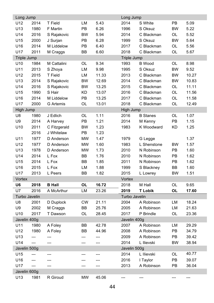| Long Jump          |                |                  |           |       | Long Jump     |                 |           |       |  |
|--------------------|----------------|------------------|-----------|-------|---------------|-----------------|-----------|-------|--|
| U12                | 2014           | T Field          | LM        | 5.43  | 2014          | S White         | PB        | 5.09  |  |
| U13                | 1980           | F Martin         | PB        | 6.26  | 1996          | S Oksuz         | <b>BW</b> | 5.22  |  |
| U14                | 2016           | S Rajakovic      | <b>BW</b> | 5.94  | 2014          | C Blackman      | OL        | 5.52  |  |
| U15                | 2000           | J Surjan         | PB        | 6.28  | 1999          | S Oksuz         | <b>BW</b> | 5.64  |  |
| U16                | 2014           | M Liddelow       | PB        | 6.40  | 2017          | C Blackman      | OL        | 5.56  |  |
| U17                | 2011           | M Craggs         | BB        | 6.60  | 2018          | C Blackman      | OL        | 5.67  |  |
| <b>Triple Jump</b> |                |                  |           |       | Triple Jump   |                 |           |       |  |
| U10                | 1984           | M Cattalini      | OL        | 9.34  | 1993          | <b>B</b> Wood   | OL        | 8.98  |  |
| U11                | 2013           | S Zhoya          | LM        | 9.98  | 1995          | S Oksuz         | <b>BW</b> | 9.52  |  |
| U12                | 2015           | T Field          | LM        | 11.33 | 2013          | C Blackman      | <b>BW</b> | 10.27 |  |
| U13                | 2014           | S Rajakovic      | <b>BW</b> | 12.69 | 2014          | C Blackman      | BW        | 10.83 |  |
| U14                | 2016           | S Rajakovic      | BW        | 13.25 | 2015          | C Blackman      | OL        | 11.11 |  |
| U15                | 1990           | S Hair           | KD        | 13.07 | 2016          | C Blackman      | OL        | 11.56 |  |
| U16                | 2014           | M Liddelow       | PB        | 13.25 | 2017          | C Blackman      | OL        | 11.58 |  |
| U17                | 2000           | <b>G</b> Artemis | OL        | 13.01 | 2018          | C Blackman      | OL        | 12.49 |  |
| High Jump          |                |                  |           |       | High Jump     |                 |           |       |  |
| U8                 | 1980           | J Edlich         | OL        | 1.11  | 2016          | <b>B</b> Stanes | OL        | 1.07  |  |
| U9                 | 2014           | A Harvey         | PB        | 1.21  | 2014          | M Kenny         | PB        | 1.15  |  |
| U10                | 2011           | C Fitzgerald     | <b>BW</b> | 1.23  | 1983          | K Woodward      | <b>KD</b> | 1.25  |  |
|                    | 2016           | J Whitelaw       | PB        | 1.23  |               |                 |           |       |  |
| U11                | 1977           | D Anderson       | <b>MW</b> | 1.47  | 1979          | G Legge         |           | 1.37  |  |
| U12                | 1977           | D Anderson       | <b>MW</b> | 1.60  | 1983          | L Shenstone     | <b>BW</b> | 1.57  |  |
| U13                | 1978           | D Anderson       | <b>MW</b> | 1.73  | 2010          | N Robinson      | PB        | 1.60  |  |
| U14                | 2014           | L Fox            | BB        | 1.76  | 2010          | N Robinson      | PB        | 1.62  |  |
| U15                | 2014           | L Fox            | BB        | 1.85  | 2011          | N Robinson      | PB        | 1.62  |  |
| U16                | 2015           | L Fox            | LM        | 1.88  | 1999          | S Blackney      | BB        | 1.60  |  |
| U17                | 2013           | L Peers          | ВB        | 1.82  | 2015          | L Lowrey        | BW        | 1.51  |  |
| Vortex             |                |                  |           |       | Vortex        |                 |           |       |  |
| U6                 | 2018           | <b>B</b> Hall    | OL        | 16.72 | 2018          | M Hall          | OL        | 9.65  |  |
| U7                 | 2016           | A McArthur       | LM        | 23.26 | 2019          | T Lobik         | OL        | 17.60 |  |
| Turbo Javelin      |                |                  |           |       | Turbo Javelin |                 |           |       |  |
| U8                 | 2001           | D Duplock        | <b>CW</b> | 21.11 | 2004          | A Robinson      | LM        | 18.24 |  |
| U9                 | 2002           | M Craggs         | BB        | 25.76 | 2005          | A Robinson      | LM        | 21.63 |  |
| U10                | 2017           | T Dawson         | OL        | 28.45 | 2017          | P Brindle       | OL        | 23.36 |  |
| Javelin 400g       |                |                  |           |       | Javelin 400g  |                 |           |       |  |
| U11                | 1980           | A Foley          | BB        | 42.78 | 2007          | A Robinson      | LM        | 29.29 |  |
| U12                | 1980           | A Foley          | BB        | 44.96 | 2008          | A Robinson      | PB        | 34.79 |  |
| U13                | ---            | ---              | ---       | ---   | 2009          | A Robinson      | PB        | 39.42 |  |
| U14                | $- - -$        |                  |           |       | 2014          | L Ilievski      | BW        | 38.94 |  |
| Javelin 500g       |                |                  |           |       | Javelin 500g  |                 |           |       |  |
| U15                | ---            | ---              |           | ---   | 2014          | L Ilievski      | OL        | 40.77 |  |
| U16                | ---            | ---              |           |       | 2016          | I Taylor        | PB        | 39.07 |  |
| U17                | $\overline{a}$ | ---              | ---       | ---   | 2013          | A Robinson      | PB        | 36.04 |  |
| Javelin 600g       |                |                  |           |       |               |                 |           |       |  |
| U13                | 1981           | R Giroud         | <b>MW</b> | 45.06 | ---           | ---             | ---       | ---   |  |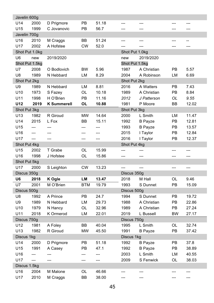| Javelin 600g    |                |                    |            |       |                |                |     |       |
|-----------------|----------------|--------------------|------------|-------|----------------|----------------|-----|-------|
| U14             | 2000           | D Prigmore         | PB         | 51.18 | ---            | ---            |     |       |
| U15             | 1999           | C Jovanovic        | PB         | 56.7  |                |                |     |       |
| Javelin 700g    |                |                    |            |       |                |                |     |       |
| U <sub>16</sub> | 2010           | M Craggs           | BB         | 51.24 | ---            | ---            |     | --    |
| U17             | 2002           | A Hofstee          | <b>CW</b>  | 52.0  | ---            | ---            | --- | ---   |
|                 | Shot Put 1.0kg |                    |            |       | Shot Put 1.0kg |                |     |       |
| U6              | new            | 2019/2020          |            |       | new            | 2019/2020      |     |       |
|                 | Shot Put 1.5kg |                    |            |       | Shot Put 1.5kg |                |     |       |
| U7              | 2008           | O Bodlovich        | BW         | 5.96  | 1987           | A Christian    | PB  | 5.57  |
| U8              | 1989           | N Hebbard          | LM         | 8.29  | 2004           | A Robinson     | LM  | 6.69  |
| Shot Put 2kg    |                |                    |            |       | Shot Put 2kg   |                |     |       |
| U9              | 1989           | N Hebbard          | LM         | 8.81  | 2016           | A Watters      | PB  | 7.43  |
| U10             | 1973           | S Fazey            | OL         | 10.18 | 1989           | A Christian    | PB  | 8.84  |
| U11             | 1998           | H O'Brien          | PB         | 11.16 | 2012           | J Patterson    | OL  | 9.55  |
| U12             | 2019           | <b>K</b> Summerell | OL         | 10.88 | 1981           | P Moore        | BВ  | 12.02 |
| Shot Put 3kg    |                |                    |            |       | Shot Put 3kg   |                |     |       |
| U13             | 1982           | R Giroud           | <b>MW</b>  | 14.64 | 2000           | L Smith        | LM  | 11.47 |
| U14             | 2015           | L Fox              | ВB         | 15.11 | 1992           | <b>B</b> Payze | PB  | 12.81 |
| U15             | ---            | ---                | ---        | ---   | 1993           | <b>B</b> Payze | PB  | 13.57 |
| U16             | ---            |                    |            |       | 2015           | I Taylor       | PB  | 12.84 |
| U17             | $\overline{a}$ | ---                |            | ---   | 2016           | I Taylor       | PB  | 12.37 |
| Shot Put 4kg    |                |                    |            |       | Shot Put 4kg   |                |     |       |
| U15             | 2002           | T Grabe            | OL         | 15.99 | ---            | ---            | --- | ---   |
| U16             | 1998           | J Hofstee          | <b>OL</b>  | 15.86 | ---            | ---            | --- | ---   |
| Shot Put 5kg    |                |                    |            |       |                |                |     |       |
| U17             | 2000           | S Leighton         | <b>CW</b>  | 13.23 | $\overline{a}$ | $\overline{a}$ | --- | ---   |
| Discus 350g     |                |                    |            |       | Discus 350g    |                |     |       |
| U6              | 2018           | K Ogle             | LM         | 13.47 | 2018           | M Hall         | OL  | 9.46  |
| U7              | 2001           | M O'Brien          | <b>BTM</b> | 19.79 | 1993           | S Dunnet       | PB  | 15.09 |
| Discus 500g     |                |                    |            |       | Discus 500g    |                |     |       |
| U8              | 1992           | A Prince           | PB         | 24.7  | 1994           | S Dunnet       | PB  | 19.72 |
| U9              | 1989           | N Hebbard          | LM         | 29.73 | 1988           | A Christian    | PB  | 22.86 |
| U10             | 1979           | N Hancy            | OL         | 32.96 | 1989           | A Christian    | PB  | 27.24 |
| U11             | 2018           | K Ormerod          | LM         | 22.01 | 2019           | L Bussell      | BW  | 27.17 |
| Discus 750g     |                |                    |            |       | Discus 750g    |                |     |       |
| U12             | 1981           | A Foley            | BB         | 40.04 | 1995           | L Smith        | OL  | 32.74 |
| U13             | 1982           | R Giroud           | <b>MW</b>  | 45.50 | 1991           | <b>B</b> Payze | PB  | 37.42 |
| Discus 1kg      |                |                    |            |       | Discus 1kg     |                |     |       |
| U14             | 2000           | D Prigmore         | PB         | 51.18 | 1992           | <b>B</b> Payze | PB  | 37.8  |
| U15             | 1991           | A Casey            | РB         | 47.1  | 1992           | <b>B</b> Payze | PB  | 38.89 |
| U16             | ---            | ---                | ---        | ---   | 2003           | L Smith        | LM  | 40.55 |
| U17             | ---            | ---                | ---        | ---   | 2009           | S Fenwick      | OL  | 38.03 |
| Discus 1.5kg    |                |                    |            |       |                |                |     |       |
| U16             | 2004           | M Malone           | OL         | 46.66 | ---            | ---            |     | ---   |
| U17             | 2010           |                    | BB         |       |                |                |     |       |
|                 |                | M Craggs           |            | 38.00 |                | ---            |     | ---   |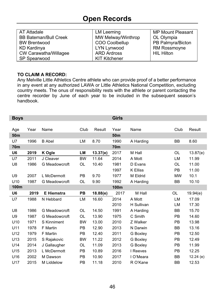# **Open Records**

| AT Attadale                  | LM Leeming         | <b>MP Mount Pleasant</b> |
|------------------------------|--------------------|--------------------------|
| <b>BB Bateman/Bull Creek</b> | MW Melway/Winthrop | OL Olympia               |
| <b>BW Brentwood</b>          | COO Coolbellup     | PB Palmyra/Bicton        |
| KD Kardinya                  | LYN Lynwood        | <b>RM Rossmoyne</b>      |
| CW Carawatha/Willagee        | <b>ARD Ardross</b> | <b>HIL Hilton</b>        |
| SP Spearwood                 | KIT Kitchener      |                          |

#### TO CLAIM A RECORD:

Any Melville Little Athletics Centre athlete who can provide proof of a better performance in any event at any authorized LAWA or Little Athletics National Competition. excluding country meets. The onus of responsibility rests with the athlete or parent contacting the centre recorder by June of each year to be included in the subsequent season's handbook.

| <b>Boys</b>     |      |                   |           |          | <b>Girls</b>    |                 |           |          |
|-----------------|------|-------------------|-----------|----------|-----------------|-----------------|-----------|----------|
|                 |      |                   |           |          |                 |                 |           |          |
| Age             | Year | Name              | Club      | Result   | Year            | Name            | Club      | Result   |
| 50 <sub>m</sub> |      |                   |           |          | 50 <sub>m</sub> |                 |           |          |
| U7              | 1996 | <b>B</b> Abel     | LM        | 8.70     | 1990            | A Harding       | <b>BB</b> | 8.60     |
| <b>70m</b>      |      |                   |           |          | 70m             |                 |           |          |
| U6              | 2019 | K Ogle            | LМ        | 13.37(e) | 2017            | M Hall          | OL        | 13.87(e) |
| U7              | 2011 | J Cleaver         | <b>BW</b> | 11.64    | 2014            | A Mott          | LM        | 11.99    |
| U8              | 1986 | G Meadowcroft     | OL        | 10.40    | 1981            | D Evans         | <b>OL</b> | 11.00    |
|                 |      |                   |           |          | 1997            | <b>K</b> Elliss | PB        | 11.00    |
| U9              | 2007 | L McDermott       | <b>PB</b> | 9.70     | 1977            | M Eldrid        | <b>MW</b> | 10.1     |
| U <sub>10</sub> | 1987 | G Meadowcroft     | OL        | 9.90     | 1992            | A Harding       | BB        | 10.10    |
| 100m            |      |                   |           |          | 100m            |                 |           |          |
|                 |      |                   |           |          |                 |                 |           |          |
| U6              | 2019 | <b>E</b> Hiemstra | PB        | 18.88(e) | 2017            | M Hall          | OL        | 19.94(e) |
| U7              | 1988 | N Hebbard         | LM        | 16.60    | 2014            | A Mott          | LM        | 17.09    |
|                 |      |                   |           |          | 2010            | H Sullivan      | LM        | 17.30    |
| U8              | 1986 | G Meadowcroft     | <b>OL</b> | 14.50    | 1991            | A Harding       | BB        | 15.70    |
| U9              | 1987 | G Meadowcroft     | <b>OL</b> | 13.90    | 1975            | C Smith         | PB        | 14.60    |
| U <sub>10</sub> | 1971 | S Kinniment       | <b>BW</b> | 13.00    | 2010            | Z Walker        | PB        | 13.98    |
| U11             | 1978 | <b>F</b> Martin   | <b>PB</b> | 12.90    | 2013            | N Darwin        | BB        | 13.16    |
| U12             | 1979 | F Martin          | <b>PB</b> | 12.40    | 2011            | G Boxley        | PB        | 12.50    |
| U13             | 2015 | S Rajakovic       | <b>BW</b> | 11.22    | 2012            | G Boxley        | PB        | 12.49    |
| U14             | 2014 | J Gallaugher      | OL.       | 11.09    | 2013            | G Boxley        | PB        | 11.99    |
| U15             | 2013 | L McDermott       | <b>PB</b> | 10.89    | 2016            | I Reeves        | PB        | 12.25    |
| U16             | 2002 | M Dawson          | <b>PB</b> | 10.90    | 2017            | I O'Meara       | BB        | 12.24(e) |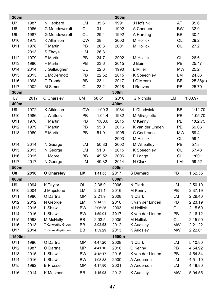| 200m            |      |                   |           |         | 200m  |                  |           |          |
|-----------------|------|-------------------|-----------|---------|-------|------------------|-----------|----------|
| U7              | 1987 | N Hebbard         | LM        | 35.6    | 1991  | J Hofsink        | AT        | 35.6     |
| U8              | 1986 | G Meadowcroft     | OL        | 31      | 1992  | A Chequer        | <b>BW</b> | 32.9     |
| U9              | 1987 | G Meadowcroft     | OL        | 29.4    | 1992  | A Harding        | ВB        | 30.4     |
| U <sub>10</sub> | 1973 | K Atkinson        | <b>CW</b> | 28      | 2000  | M Hollick        | OL        | 29.2     |
| U11             | 1978 | F Martin          | PB        | 26.3    | 2001  | M Hollick        | OL        | 27.2     |
|                 | 2013 | S Zhoya           | LM        | 26.3    |       |                  |           |          |
| U12             | 1979 | F Martin          | РB        | 24.7    | 2002  | M Hollick        | OL        | 26.6     |
| U13             | 1980 | F Martin          | PB        | 23.6    | 2015  | J Bain           | PB        | 25.47    |
| U14             | 2014 | J Gallaugher      | OL        | 22.6    | 1990  | L Miller         | <b>MW</b> | 25.2     |
| U15             | 2013 | L McDermott       | PB        | 22.52   | 2015  | K Speechley      | LM        | 24.86    |
| U16             | 1998 | C Troode          | BB        | 23.1    | 2017  | I O'Meara        | BB        | 25.38(e) |
| U17             | 2002 | M Simon           | OL        | 23.2    | 2018  | I Reeves         | PB        | 25.70    |
| 300m            |      |                   |           |         | 300m  |                  |           |          |
| U7              | 2017 | O Charsley        | LM        | 58.61   | 2018  | <b>G</b> Nichols | LM        | 1:03.97  |
| 400m            |      |                   |           |         | 400m  |                  |           |          |
| U9              | 1972 | K Atkinson        | <b>CW</b> | 1:09.3  | 1984  | L Chadwick       | <b>BB</b> | 1:12.70  |
| U10             | 1986 | J Watters         | PB        | 1:04.4  | 1982  | M Miragliotta    | PB        | 1:05.70  |
| U11             | 1978 | <b>F</b> Martin   | PB        | 1:00.6  | 2015  | C Kenny          | PB        | 1:02:75  |
| U12             | 1979 | <b>F</b> Martin   | PB        | 55.0    | 2016  | K van der Linden | PB        | 59.06    |
| U13             | 1980 | <b>F</b> Martin   | PB        | 51.9    | 1995  | C Cochrane       | <b>MW</b> | 59.4     |
|                 |      |                   |           |         | 2003  | M Hollick        | OL        | 59.4     |
| U14             | 2014 | N George          | LM        | 50.83   | 2002  | M Wheatley       | PB        | 57.8     |
| U15             | 2015 | N George          | LM        | 51.0    | 2015  | K Speechley      | OL        | 57.48    |
| U16             | 2015 | L Moore           | ВB        | 49.52   | 2006  | E Longo          | OL        | 1:00.1   |
| U17             | 2017 | N George          | LM        | 49.32   | 2014  | N Clark          | LM        | 59.52    |
| 500m            |      |                   |           |         | 500m  |                  |           |          |
| U8              | 2018 | O Charsley        | LM        | 1:41.00 | 2017  | S Bernard        | PB        | 1:52.55  |
| 800m            |      |                   |           |         | 800m  |                  |           |          |
| U9              | 1994 | K Taylor          | OL        | 2:38.9  | 2006  | N Clark          | LM        | 2:50.10  |
| U10             | 2004 | J Mapstone        | LM        | 2:31.1  | 2016  | M Kenny          | PB        | 2:37.19  |
| U11             | 1986 | O Dartnall        | MP        | 2:21.9  | 2008  | N Clark          | LM        | 2:29.40  |
| U12             | 2012 | N George          | LM        | 2:14.55 | 2016  | K van der Linden | PB        | 2:23.19  |
| U13             | 2015 | L Shaw            | <b>BW</b> | 2:06:25 | 2003  | M Hollick        | OL        | 2:15.60  |
| U14             | 2016 | L Shaw            | <b>BW</b> | 1:59.01 | 2017  | K van der Linden | PB        | 2:16.12  |
| U15             | 1998 | M McNally         | <b>BB</b> | 2:03.5  | 2005  | M Hollick        | OL        | 2:15.90  |
| U16             | 2013 | T Kenworthy-Groen | ВB        | 2:02.58 | 2012  | K Audsley        | <b>MW</b> | 2:21.22  |
| U17             | 2014 | T Kenworthy-Groen | <b>BB</b> | 1:59.29 | 2013  | K Audsley        | <b>MW</b> | 2:22.01  |
| 1500m           |      |                   |           |         | 1500m |                  |           |          |
| U11             | 1986 | O Dartnall        | MP        | 4:47.20 | 2008  | N Clark          | LM        | 5:10.80  |
| U12             | 1987 | O Dartnall        | MP        | 4:41.10 | 2016  | C Kenny          | PB        | 4:54.92  |
| U13             | 2015 | L Shaw            | <b>BW</b> | 4:18:17 | 2016  | K van der Linden | PB        | 4:54.34  |
| U14             | 2016 | L Shaw            | BW        | 4:08.83 | 2000  | A Anderson       | LM        | 4:51.10  |
| U15             | 1992 | <b>B</b> Prosser  | <b>MP</b> | 4:17.80 | 2001  | A Anderson       | LM        | 4:48.80  |
| U16             | 2014 | K Metzner         | <b>BB</b> | 4:15.93 | 2012  | <b>K</b> Audsley | <b>MW</b> | 5:04.55  |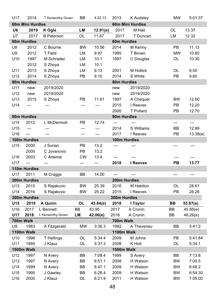| U17              | 2014             | T Kenworthy-Groen | BВ        | 4.22.13  | 2013              | K Audsley            | <b>MW</b> | 5:01.37        |
|------------------|------------------|-------------------|-----------|----------|-------------------|----------------------|-----------|----------------|
|                  | 60m Mini Hurdles |                   |           |          |                   | 60m Mini Hurdles     |           |                |
| U6               | 2019             | K Ogle            | <b>LM</b> | 12.91(e) | 2017              | M Hall               | OL        | 13.37          |
| U7               | 2017             | <b>B</b> Paterson | OL        | 11.87    | 2017              | T Duncan             | LM        | 12.32          |
|                  | 60m Hurdles      |                   |           |          | 60m Hurdles       |                      |           |                |
| U8               | 2012             | C Bourne          | BW        | 10.56    | 2014              | M Kenny              | PB        | 11.13          |
| U9               | 2012             | T Field           | LM        | 9.97     | 1995              | T Brown              | <b>MW</b> | 10.60          |
| U10              | 1997             | M Schrader        | LM        | 10.1     | 1997              | C Douglas            | OL        | 10.30          |
|                  | 2012             | S Zhoya           | LM        | 10.1     |                   |                      |           |                |
| U11              | 2013             | S Zhoya           | LM        | 9.13     | 2001              | M Hollick            | OL        | 9.50           |
| U12              | 2014             | S Zhoya           | PB        | 9.10     | 2014              | S White              | PB        | 9.60           |
|                  | 80m Hurdles      |                   |           |          | 80m Hurdles       |                      |           |                |
| U11              | new              | 2019/2020         |           |          | new               | 2019/2020            |           |                |
| U12              | new              | 2019/2020         |           |          | new               | 2019/2020            |           |                |
| U13              | 2015             | S Zhoya           | PB        | 11.61    | 1997              | A Chequer            | BW        | 12.60          |
| U14              | ---              | ---               | ---       | ---      | 2015              | I Reeves             | PB        | 12.20          |
|                  |                  |                   |           |          | 2000              | <b>T</b> Pollard     | PB        | 12.70          |
|                  | 90m Hurdles      |                   |           |          | 90m Hurdles       |                      |           |                |
| U14              | 2012             | L McDermott       | PB        | 12.74    | ---               | $\overline{a}$       | ---       | $\overline{a}$ |
| U15              | $---$            | $\overline{a}$    | ---       | ---      | 2014              | S Williams           | BВ        | 12.99          |
| U16              | $\overline{a}$   | ---               | ---       | ---      | 2017              | I Reeves             | PB        | 13.38(e)       |
|                  | 100m Hurdles     |                   |           |          |                   | 100m Hurdles         |           |                |
| U15              | 2000             | J Surian          | PB        | 13.2     | ---               |                      | ---       | ---            |
|                  | 2000             | C Jovanovic       | PB        | 13.2     |                   |                      |           |                |
| U16              | 2003             | C Artemis         | CW        | 13.4     | ---               |                      | ---       | ---            |
| U17              | ---              | ---               | ---       | ---      | 2018              | I Reeves             | PB        | 13.77          |
|                  | 110m Hurdles     |                   |           |          |                   |                      |           |                |
| U17              | 2011             | M Craggs          | ВB        | 14.00    | $---$             | ---                  | ---       | ---            |
|                  | 200m Hurdles     |                   |           |          |                   | 200m Hurdles         |           |                |
| U13              | 2015             | S Rajakovic       | BW        | 25.39    | 2016              | M Hebiton            | OL        | 28.61          |
| U14              | 2016             | S Rajakovic       | BW        | 25.22    | 2015              | I Reeves             | PB        | 28.26          |
|                  | 300m Hurdles     |                   |           |          | 300m Hurdles      |                      |           |                |
| U15              | 2019             | A Quinn           | OL        | 43.84(e) | 2018              | I Taylor             | BВ        | 53.87(e)       |
| U16              | 2017             | L Bennett         | BВ        | 43.95    | 2017              | A Cronin<br>A Cronin | ВB        | 45.85(e)       |
| U17<br>700m Walk | 2018             | L Kenworthy-Groen | LM        | 42.06(e) | 2018<br>700m Walk |                      | ВB        | 46.26(e)       |
| U <sub>9</sub>   | 1983             | A Fitzgerald      | <b>MW</b> | 3:36.3   | 1992              | A Thevenau           | BВ        | 3:41.3         |
|                  | 1100m Walk       |                   |           |          | 1100m Walk        |                      |           |                |
| U10              | 1996             | <b>T</b> Hellings | OL        | 5:34.4   | 2009              | M Johns              | PB        | 5:41.84        |
| U11              | 1995             | J Klauz           | OL        | 5:37.3   | 2008              | K Holt               | OL        | 5:34.1         |
|                  | 1500m Walk       |                   |           |          | 1500m Walk        |                      |           |                |
| U12              | 1997             | N Avery           | BB        | 7:08.4   | 1999              | S Avery              | BB        | 7:13.8         |
| U13              | 1997             | N Avery           | BB        | 6:51.1   | 2008              | H Watson             | BW        | 7:00.5         |
| U14              | 1999             | N Avery           | BB        | 6:47.1   | 2009              | H Watson             | BW        | 6:48.2         |
| U15              | 1995             | J Gawley          | BB        | 6:28.4   | 2009              | H Watson             | BW        | 6:54.30        |
| U16              | 2000             | J Klauz           | OL        | 6:21.9   | 2011              | H Watson             | BW        | 7.05.00        |
|                  |                  |                   |           |          |                   |                      |           |                |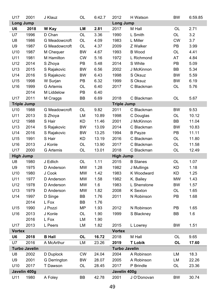| U17                | 2001                 | J Klauz             | OL        | 6:42.7 | 2012                 | H Watson        | <b>BW</b> | 6:59.85 |
|--------------------|----------------------|---------------------|-----------|--------|----------------------|-----------------|-----------|---------|
| <b>Long Jump</b>   |                      |                     |           |        | <b>Long Jump</b>     |                 |           |         |
| U6                 | 2018                 | W Kay               | LМ        | 2.81   | 2017                 | M Hall          | OL        | 2.71    |
| U7                 | 1996                 | D Chan              | OL        | 3.36   | 1990                 | L Smith         | OL        | 3.2     |
| U8                 | 1986                 | G Meadowcroft       | OL        | 4.09   | 1983                 | L Miller        | <b>CW</b> | 3.7     |
| U9                 | 1987                 | G Meadowcroft       | OL        | 4.37   | 2009                 | Z Walker        | PB        | 3.99    |
| U10                | 1987                 | M Chequer           | <b>BW</b> | 4.67   | 1993                 | <b>B</b> Wood   | OL        | 4.41    |
| U11                | 1981                 | M Hamilton          | <b>CW</b> | 5.16   | 1972                 | L Richmond      | AT        | 4.84    |
| U12                | 2014                 | S Zhoya             | PB        | 5.48   | 2014                 | S White         | PB        | 5.09    |
| U13                | 2015                 | S Rajakovic         | BW        | 6.56   | 2002                 | J McKinnon      | BB        | 5.34    |
| U14                | 2016                 | S Rajakovic         | <b>BW</b> | 6.43   | 1998                 | S Oksuz         | <b>BW</b> | 5.59    |
| U15                | 1998                 | W Surjan            | PB        | 6.32   | 1999                 | S Oksuz         | BW        | 6.19    |
| U16                | 1999                 | <b>G</b> Artemis    | OL        | 6.40   | 2017                 | C Blackman      | OL        | 5.76    |
|                    | 2014                 | M Liddelow          | PB        | 6.40   |                      |                 |           |         |
| U17                | 2011                 | M Craggs            | ВB        | 6.69   | 2018                 | C Blackman      | OL        | 5.67    |
| <b>Triple Jump</b> |                      |                     |           |        | <b>Triple Jump</b>   |                 |           |         |
| U10                | 1988                 | G Meadowcroft       | OL        | 9.82   | 2011                 | C Blackman      | BW        | 9.53    |
| U11                | 2013                 | S Zhoya             | LM        | 10.89  | 1998                 | C Douglas       | OL        | 10.12   |
| U12                | 1988                 | S Hair              | KD        | 11.46  | 2001                 | J McKinnon      | BB        | 11.04   |
| U13                | 2014                 | S Rajakovic         | <b>BW</b> | 13.09  | 2014                 | C Blackman      | <b>BW</b> | 10.83   |
| U14                | 2016                 | S Rajakovic         | <b>BW</b> | 13.25  | 1994                 | <b>B</b> Payze  | PB        | 11.11   |
| U15                | 1991                 | S Hair              | KD        | 13.19  | 2016                 | C Blackman      | OL        | 11.80   |
| U16                | 2013                 | J Konle             | OL        | 13.90  | 2017                 | C Blackman      | OL        | 11.58   |
| U17                | 2000                 | <b>G</b> Artemis    | OL        | 13.01  | 2018                 | C Blackman      | OL        | 12.49   |
| <b>High Jump</b>   |                      |                     |           |        | <b>High Jump</b>     |                 |           |         |
| U8                 | 1980                 | J Edlich            | OL        | 1.11   | 2015                 | <b>B</b> Stanes | OL        | 1.07    |
| U9                 | 1975                 | D Anderson          | MW        | 1.28   | 1982                 | J Mullings      | KD        | 1.18    |
| U10                | 1980                 | J Cook              | <b>MW</b> | 1.42   | 1983                 | K Woodward      | <b>KD</b> | 1.25    |
| U11                | 1977                 | D Anderson          | <b>MW</b> | 1.58   | 1982                 | K. Bailey       | <b>MW</b> | 1.43    |
| U12                | 1978                 | D Anderson          | MW        | 1.6    | 1983                 | L Shenstone     | BW        | 1.57    |
| U13                | 1979                 | D Anderson          | MW        | 1.82   | 2008                 | K Sexton        | OL        | 1.65    |
| U14                | 1997                 | D Singe             | BВ        | 1.76   | 2011                 | N Robinson      | PB        | 1.68    |
|                    | 2014                 | L Fox               | BB        | 1.76   |                      |                 |           |         |
| U15                | 1990                 | J Pozzi             | ΜP        | 1.93   | 2012                 | N Robinson      | PB        | 1.65    |
| U16                | 2013                 | J Konle             | OL        | 1.90   | 1999                 | S Blackney      | BB        | 1.6     |
|                    | 2016                 | L Fox               | LM        | 1.90   |                      |                 |           |         |
| U17                | 2013                 | L Peers             | LM        | 1.82   | 2015                 | L Lowrey        | <b>BW</b> | 1.51    |
| <b>Vortex</b>      |                      |                     |           |        | <b>Vortex</b>        |                 |           |         |
| U6                 | 2018                 | <b>B</b> Hall       | <b>OL</b> | 16.72  | 2018                 | M Hall          | OL        | 9.65    |
| U7                 | 2016                 | A McArthur          | LM        | 23.26  | 2019                 | <b>T</b> Lobik  | OL        | 17.60   |
|                    | <b>Turbo Javelin</b> |                     |           |        | <b>Turbo Javelin</b> |                 |           |         |
| U8                 | 2002                 | D Duplock           | CW        | 24.04  | 2004                 | A Robinson      | LM        | 18.3    |
| U9                 | 2001                 | <b>G</b> Derrington | BW        | 28.07  | 2005                 | A Robinson      | LM        | 22.26   |
| U10                | 2017                 | T Dawson            | OL        | 28.45  | 2017                 | P Brindle       | OL        | 23.36   |
|                    | Javelin 400g         |                     |           |        | Javelin 400g         |                 |           |         |
| U11                | 1980                 | A Foley             | BB        | 42.78  | 2001                 | J O'Donovan     | BW        | 30.74   |
|                    |                      |                     |           |        |                      |                 |           |         |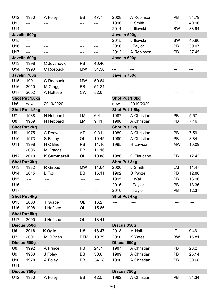| U12                | 1980                | A Foley            | ВB         | 47.7  | 2008                | A Robinson     | PB        | 34.79 |
|--------------------|---------------------|--------------------|------------|-------|---------------------|----------------|-----------|-------|
| U13                | $\overline{a}$      |                    | ---        | ---   | 1996                | L Smith        | OL        | 40.96 |
| U14                | $\overline{a}$      |                    |            | ---   | 2014                | L Ilievski     | <b>BW</b> | 38.94 |
| Javelin 500g       |                     |                    |            |       | Javelin 500g        |                |           |       |
| U15                | ---                 | ---                | ---        | ---   | 2015                | L Ilievski     | BW        | 45.96 |
| U16                | $---$               | ---                |            |       | 2016                | I Taylor       | PB        | 39.07 |
| U17                | $\overline{a}$      | ---                | ---        | ---   | 2013                | A Robinson     | PB        | 37.45 |
| Javelin 600g       |                     |                    |            |       | Javelin 600g        |                |           |       |
| U <sub>13</sub>    | 1998                | C Jovanovic        | РB         | 46.46 | ---                 | ---            | ---       | ---   |
| U14                | 1990                | C Roebuck          | <b>MW</b>  | 54.56 | ---                 | ---            | ---       | ---   |
| Javelin 700g       |                     |                    |            |       | Javelin 700g        |                |           |       |
| U15                | 1991                | C Roebuck          | <b>MW</b>  | 59.84 | ---                 |                |           | ---   |
| U <sub>16</sub>    | 2010                | M Craggs           | BB         | 51.24 | ---                 |                |           |       |
| U17                | 2002                | A Hoftsee          | <b>CW</b>  | 52.0  | ---                 | $---$          |           |       |
|                    | Shot Put 1.0kg      |                    |            |       | Shot Put 1.0kg      |                |           |       |
| U/6                | new                 | 2019/2020          |            |       | new                 | 2019/2020      |           |       |
|                    | Shot Put 1.5kg      |                    |            |       | Shot Put 1.5kg      |                |           |       |
| U7                 | 1988                | N Hebbard          | LM         | 6.4   | 1987                | A Christian    | PB        | 5.57  |
| U8                 | 1989                | N Hebbard          | LM         | 9.41  | 1988                | A Christian    | PB        | 7.46  |
|                    | <b>Shot Put 2kg</b> |                    |            |       | <b>Shot Put 2kg</b> |                |           |       |
| U9                 | 1975                | A Reeves           | AT         | 9.31  | 1989                | A Christian    | PB        | 7.59  |
| U <sub>10</sub>    | 1973                | S Fazey            | OL         | 10.45 | 1989                | A Christian    | PB        | 8.84  |
| U11                | 1998                | H O'Brien          | PB         | 11.16 | 1995                | H Lawson       | <b>MW</b> | 10.09 |
|                    |                     |                    |            |       |                     |                |           |       |
|                    | 2005                | M Craggs           | BB         | 11.16 |                     |                |           |       |
| U12                | 2019                | <b>K Summerell</b> | <b>OL</b>  | 10.88 | 1986                | C Finucane     | PB        | 12.42 |
|                    | Shot Put 3kg        |                    |            |       | <b>Shot Put 3kg</b> |                |           |       |
| U13                | 1982                | R Giroud           | MW         | 14.64 | 2000                | L Smith        | LМ        | 11.47 |
| U14                | 2015                | L Fox              | ВB         | 15.11 | 1992                | <b>B</b> Payze | PB        | 12.88 |
| U15                | $---$               |                    | ---        | ---   | 1995                | L Wai          | PB        | 13.96 |
| U16                | ---                 | ---                | ---        | ---   | 2016                | I Taylor       | PB        | 13.36 |
| U17                | $\overline{a}$      | ---                |            | ---   | 2016                | I Taylor       | PB        | 12.37 |
|                    | <b>Shot Put 4kg</b> |                    |            |       | <b>Shot Put 4kg</b> |                |           |       |
| U15                | 2003                | T Grabe            | OL         | 16.2  |                     |                |           |       |
| U16                | 1998                | J Hoftsee          | OL         | 15.86 | ---                 | ---            | ---       | ---   |
|                    | <b>Shot Put 5kg</b> |                    |            |       |                     |                |           |       |
| U17                | 2000                | J Hoftsee          | OL         | 13.41 | $\overline{a}$      | $---$          | ---       | ---   |
| Discus 350g        |                     |                    |            |       | Discus 350g         |                |           |       |
| U6                 | 2018                | K Ogle             | LM         | 13.47 | 2018                | M Hall         | OL        | 9.46  |
| U7                 | 2001                | M O'Brien          | <b>BTM</b> | 19.79 | 2010                | K Yates        | <b>BW</b> | 16.81 |
| Discus 500g        |                     |                    |            |       | Discus 500g         |                |           |       |
| U8                 | 1992                | A Prince           | PB         | 24.7  | 1987                | A Christian    | РB        | 20.2  |
| U9                 | 1983                | J Foley            | BB         | 30.8  | 1989                | A Christian    | PB        | 25.14 |
| U10                | 1978                | A Foley            | BB         | 34.28 | 1990                | A Christian    | PB        | 30.68 |
| U11                |                     |                    |            |       |                     |                |           |       |
| Discus 750g<br>U12 | 1980                | A Foley            | BB         | 42.5  | Discus 750g<br>1992 | A Christian    | PB        | 34.34 |

 $\overline{\phantom{a}}$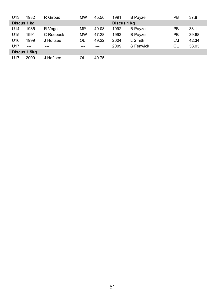| U13             | 1982         | R Giroud  | <b>MW</b> | 45.50 | 1991        | <b>B</b> Payze | РB | 37.8  |
|-----------------|--------------|-----------|-----------|-------|-------------|----------------|----|-------|
|                 | Discus 1 kg  |           |           |       | Discus 1 kg |                |    |       |
| U14             | 1985         | R Vogel   | MP        | 49.08 | 1992        | <b>B</b> Payze | PB | 38.1  |
| U15             | 1991         | C Roebuck | <b>MW</b> | 47.28 | 1993        | <b>B</b> Payze | PB | 39.68 |
| U <sub>16</sub> | 1999         | J Hoftsee | OL        | 49.22 | 2004        | L Smith        | LM | 42.34 |
| U <sub>17</sub> | $---$        | ---       | $---$     | ---   | 2009        | S Fenwick      | OL | 38.03 |
|                 | Discus 1.5kg |           |           |       |             |                |    |       |
| U17             | 2000         | J Hoftsee | OL        | 40.75 |             |                |    |       |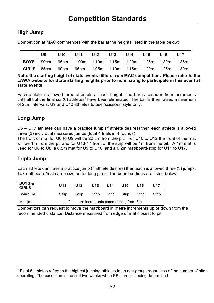#### **High Jump**

Competition at MAC commences with the bar at the heights listed in the table below:

|      | U9                                                                         | $ U10\rangle$ | U11   U12   U13   U14   U15   U16 |  |  | U17 |
|------|----------------------------------------------------------------------------|---------------|-----------------------------------|--|--|-----|
| BOYS | 90cm 95cm 1.00m 1.10m 1.15m 1.20m 1.25m 1.30m 1.35m                        |               |                                   |  |  |     |
|      | GIRLS   85cm   90cm   95cm   1.05m   1.10m   1.15m   1.20m   1.25m   1.30m |               |                                   |  |  |     |

Note: the starting height of state events differs from MAC competition. Please refer to the LAWA website for State starting heights prior to nominating to participate in this event at state events.

Each athlete is allowed three attempts at each height. The bar is raised in 5cm increments until all but the final six (6) athletes<sup>1</sup> have been eliminated. The bar is then raised a minimum of 2cm intervals. U9 and U10 athletes to use 'scissors' style only.

#### **Long Jump**

U6 - U17 athletes can have a practice jump (if athlete desires) then each athlete is allowed three (3) individual measured jumps (total 4 trials in 4 rounds).

The front of mat for U6 to U9 will be 20 cm from the pit. For U10 to U12 the front of the mat will be 1m from the pit and for U13-17 front of the strip will be 1m from the pit. A 1m mat is used for U6 to U8, a 0.5m mat for U9 to U10, and a 0.2m mat/board/strip for U11 to U17.

#### **Triple Jump**

Each athlete can have a practice jump (if athlete desires) then each is allowed three (3) jumps. Take-off board/mat same size as for long jump. The board settings are listed below:

| <b>BOYS &amp;</b><br><b>GIRLS</b> | U <sub>11</sub> | U12                                         | U13   | U14   | U15   | U16   | U17   |
|-----------------------------------|-----------------|---------------------------------------------|-------|-------|-------|-------|-------|
| Board (m)                         | Strip           | Strip                                       | Strip | Strip | Strip | Strip | Strip |
| Mat $(m)$                         |                 | In full metre increments commencing from 5m |       |       |       |       |       |

Competitors can request to move the mat/board in metre increments up or down from the recommended distance. Distance measured from edge of mat closest to pit.

<sup>&</sup>lt;sup>1</sup> Final 6 athletes refers to the highest jumping athletes in an age group, regardless of the number of sites operating. The exception is the first two weeks when PB's are still being determined.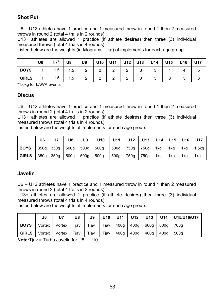#### **Shot Put**

U6 – U12 athletes have 1 practice and 1 measured throw in round 1 then 2 measured throws in round 2 (total 4 trails in 2 rounds)

U13+ athletes are allowed 1 practice (if athlete desires) then three (3) individual measured throws (total 4 trials in 4 rounds).

Listed below are the weights (in kilograms  $-$  kg) of implements for each age group:

|              | U6 | $U7*$ | U8  | U9 | U10 | U11 | <b>U12</b> | U13 | U14 | U15 | U16 | <b>U17</b> |
|--------------|----|-------|-----|----|-----|-----|------------|-----|-----|-----|-----|------------|
| <b>BOYS</b>  |    | 1.5   | 1.5 |    | ⌒   | -   | ⌒          |     | u   |     |     |            |
| <b>GIRLS</b> |    | 1.5   | 1.5 |    | ⌒   |     | ◠          |     |     | ີ   | ັ   |            |

\*1.0kg for LAWA events

#### **Discus**

U6 - U12 athletes have 1 practice and 1 measured throw in round 1 then 2 measured throws in round 2 (total 4 trails in 2 rounds)

U13+ athletes are allowed 1 practice (if athlete desires) then three (3) individual measured throws (total 4 trials in 4 rounds).

Listed below are the weights of implements for each age group:

|              | U6        |           | U8               | U9   | U <sub>10</sub> | U11              | <b>U12</b> | U13  |     | U14   U15   U16 |     | <b>U17</b> |
|--------------|-----------|-----------|------------------|------|-----------------|------------------|------------|------|-----|-----------------|-----|------------|
| I BOYS       |           | 350g 350g | 500 <sub>g</sub> | 500g | 500g            | 500 <sub>g</sub> | 750g       | 750g | 1kg | 1kg             | 1kg | 1.5kg      |
| <b>GIRLS</b> | 350g 350g |           | 500g             | 500g | 500g            | 500g             | 750g       | 750g | 1kg | 1kg             | 1kg | 1kg        |

#### Javelin

U6 - U12 athletes have 1 practice and 1 measured throw in round 1 then 2 measured throws in round 2 (total 4 trails in 2 rounds)

U13+ athletes are allowed 1 practice (if athlete desires) then three (3) individual measured throws (total 4 trials in 4 rounds).

Listed below are the weights of implements for each age group:

|                                                                                       | U6 | U7 | U8 | U9 |                                         |  | U10   U11   U12   U13   U14   U15/U16/U17 |
|---------------------------------------------------------------------------------------|----|----|----|----|-----------------------------------------|--|-------------------------------------------|
| <b>BOYS</b>   Vortex   Vortex   Tjav   Tjav   Tjav   400g   400g   600g   600g   700g |    |    |    |    |                                         |  |                                           |
| <b>GIRLS</b>   Vortex   Vortex   Tjav   Tjav                                          |    |    |    |    | Tjav   400g   400g   400g   400g   500g |  |                                           |

**Note:** Tiav = Turbo Javelin for  $U8 - U10$ .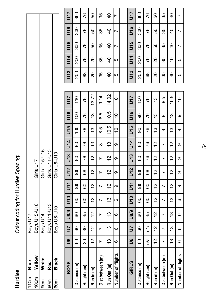Hurdles

Colour coding for Hurdles Spacing: Hurdles Colour coding for Hurdles Spacing:

|           | l0m<br>Blue | <b>Boys U17</b>             |                               |
|-----------|-------------|-----------------------------|-------------------------------|
|           | 00m Yellow  | Boys U15-U16                | Girls U17                     |
| מער.<br>ה | White       | Boys U14                    | Girls U15-U16                 |
| mo.<br>C  | Red<br>C    | Boys U11-U13<br>Boys U6-U10 | Girls U11-U13<br>Girls U6-U10 |
|           | Black       |                             |                               |
|           |             |                             |                               |

U17 300

| <b>BOYS</b>       | ဖ                                  | 5J  | U8/9 | $\frac{10}{2}$ | <b>J11</b> | <b>U12</b>  | U13        | <b>J14</b> | U15            | U16       | <b>11D</b>       | <b>U13</b> | <b>U14</b>     | U15            | U16            | 5        |
|-------------------|------------------------------------|-----|------|----------------|------------|-------------|------------|------------|----------------|-----------|------------------|------------|----------------|----------------|----------------|----------|
| Distance (m)      | 60                                 | 8   | 8    | 8              | ౚ          | ౚ           | 80         | ဓ          | $\overline{5}$ | <u>င္</u> | $\frac{1}{1}$    | 200        | 200            | వ్ల            | ခ္တ            | వ్ల      |
| Height (cm)       | 30                                 | వి  | 45   | 8              | 8          | 89          | 76         | 76         | 97             | 76        | 87               | 8          | 97             | 76             | 76             | 76       |
| Run in (m)        | $\tilde{c}$                        | 51  | 2    | 51             | 51         | 51          | 51         | చ          | చ              | 5         | 3.72             | ຊ          | 20             | 50             | 50             | ន        |
| Dist between (m)  |                                    | r   | r    | r              | N          | r           | N          | ∞          | 8.5            | 8.5       | 9.14             | 35         | 35             | 35             | 35             | 35       |
| Run Out (m)       | ო                                  | స   | చ    | స              | 51         | 51          | 51         | స          | 10.5           | 10.5      | 14.02            | 9          | ੩              | $\overline{6}$ | $\overline{a}$ | 9        |
| Number of flights | G                                  | ဖ   | ဖ    | ဖ              | თ          | တ           | တ          | თ          | ő              | S         | $\overline{0}$   | 5          | 5              | r              | r              | N        |
|                   |                                    |     |      |                |            |             |            |            |                |           |                  |            |                |                |                |          |
| GIRLS             | ဖ                                  | 5   | U8/9 | $\frac{1}{2}$  | ミコ         | <b>U12</b>  | <b>U13</b> | <b>U14</b> | U15            | <u>ទី</u> | <b>117</b>       | U13        | <b>5L</b>      | <b>J15</b>     | <b>SLN</b>     | <u>ד</u> |
| Distance (m)      | $\circ$<br>ō                       | 8   | 8    | 8              | 80         | 8           | 8          | 8          | ဓ              | ဓ         | $\overline{100}$ | 200        | 200            | ន្ល            | 300            | వ్ల      |
| Height (cm)       | n/a                                | n/a | 45   | 8              | 8          | 89          | 76         | 87         | 87             | 76        | 87               | 89         | 87             | 76             | 87             | 76       |
| Run in (m)        | $\sim$<br>$\overline{\phantom{0}}$ | 2   | 2    | 2              | 51         | $\tilde{c}$ | 2          | 2          | చ              | <u>ლ</u>  | చ                | 20         | 20             | 50             | 8              | ន        |
| Dist between (m)  |                                    | Ľ   | Ľ    | Ľ              | Ľ          | Ń           | N          | Ľ          | ∞              | ∞         | ŗö<br>∞          | 35         | 35             | 35             | 35             | 35       |
| Run Out (m)       | ო<br>↽                             | స   | 3    | έò             | 2          | 2           | 5          | 2          | చ              | ĉ         | 10.5             | 9          | $\overline{6}$ | $\frac{4}{1}$  | $\overline{6}$ | 9        |
| Number of flights | <u>ဖ</u>                           | ဖ   | ဖ    | ဖ              | ω          | ω           | ω          | ω          | ω              | ω         | Ş                | 5          | 5              | Ņ              |                | Ľ        |

U17 300

97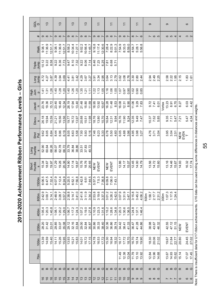2019-2020 Achievement Ribbon Performance Level  $S - G$ irls

| ga<br>G                                                                      |                 |                                                           | $\frac{3}{2}$                             |        |                                                             | $\frac{3}{2}$           |                            |                                                                                         | $\frac{3}{2}$                                |                |                                                                                                                                                                                                                                                                                      | 13                                                                        |                                                                                                                                                                                                                                                                                                     | $\overline{\tau}$       |                            |                               |                     |                                                                                                                                                                                                                                                                                       |                            |                |          | ≓                                                                                                                                                                                                                                                                          |       |                                    | ග |                            |       |                                    | $\sigma$ |                            |                                                      |                                                                          | $\circ$ |                  |  |
|------------------------------------------------------------------------------|-----------------|-----------------------------------------------------------|-------------------------------------------|--------|-------------------------------------------------------------|-------------------------|----------------------------|-----------------------------------------------------------------------------------------|----------------------------------------------|----------------|--------------------------------------------------------------------------------------------------------------------------------------------------------------------------------------------------------------------------------------------------------------------------------------|---------------------------------------------------------------------------|-----------------------------------------------------------------------------------------------------------------------------------------------------------------------------------------------------------------------------------------------------------------------------------------------------|-------------------------|----------------------------|-------------------------------|---------------------|---------------------------------------------------------------------------------------------------------------------------------------------------------------------------------------------------------------------------------------------------------------------------------------|----------------------------|----------------|----------|----------------------------------------------------------------------------------------------------------------------------------------------------------------------------------------------------------------------------------------------------------------------------|-------|------------------------------------|---|----------------------------|-------|------------------------------------|----------|----------------------------|------------------------------------------------------|--------------------------------------------------------------------------|---------|------------------|--|
|                                                                              | #               |                                                           | $\sigma \in \mathfrak{D}$                 |        |                                                             | တ ထ                     | $\overline{r}$             |                                                                                         | <b>ာ</b> ထ                                   | $\overline{ }$ |                                                                                                                                                                                                                                                                                      | $\sigma$ $\infty$ $\sim$                                                  |                                                                                                                                                                                                                                                                                                     | $\circ$ $\circ$ $\circ$ |                            |                               | $\sigma$ $\infty$ r |                                                                                                                                                                                                                                                                                       | တ ထ                        | $\overline{r}$ | $\infty$ |                                                                                                                                                                                                                                                                            | G     |                                    |   | 6 In                       |       |                                    |          | 6 10 4                     |                                                      |                                                                          |         | თ ი              |  |
|                                                                              | Walk            | 9:38.1<br>11:36.9<br>12:51.7                              |                                           |        |                                                             |                         |                            | 9:38.1<br>11:36.9<br>12:51.7<br>8:58.2<br>10:34.4<br>11:27.1                            |                                              |                |                                                                                                                                                                                                                                                                                      |                                                                           |                                                                                                                                                                                                                                                                                                     |                         |                            |                               |                     | $\begin{array}{l} 9.02.2 \\ 9.056.4 \\ 11.45.7 \\ 11.45.7 \\ 11.45.7 \\ 11.17.4 \\ 11.17.4 \\ 11.17.4 \\ 11.17.4 \\ 11.17.4 \\ 11.17.4 \\ 11.17.4 \\ 11.17.4 \\ 11.17.4 \\ 11.17.4 \\ 11.17.4 \\ 11.17.4 \\ 11.17.4 \\ 11.17.4 \\ 11.17.4 \\ 11.17.4 \\ 11.17.4 \\ 11.17.4 \\ 11.17.$ |                            |                |          | $4:54.7$<br>5:28.1<br>5:56.8                                                                                                                                                                                                                                               |       |                                    |   |                            |       |                                    |          |                            |                                                      |                                                                          |         |                  |  |
| Triple<br>Jump                                                               |                 | $10.12$<br>$9.22$<br>$8.58$                               |                                           |        |                                                             |                         | 9.22<br>8.36<br>7.73       |                                                                                         |                                              |                | $3.68$ $\frac{2.8}{2.3}$<br>$\frac{2.8}{2.3}$<br>$\frac{2.8}{2.3}$<br>$\frac{2.8}{2.3}$<br>$\frac{2.4}{2.3}$<br>$\frac{2.4}{2.3}$<br>$\frac{2.8}{2.3}$<br>$\frac{2.4}{2.3}$<br>$\frac{2.8}{2.3}$<br>$\frac{2.8}{2.3}$<br>$\frac{2.8}{2.3}$<br>$\frac{2.8}{2.3}$<br>$\frac{2.8}{2.3}$ |                                                                           |                                                                                                                                                                                                                                                                                                     |                         |                            |                               |                     |                                                                                                                                                                                                                                                                                       |                            |                |          |                                                                                                                                                                                                                                                                            |       |                                    |   |                            |       |                                    |          |                            |                                                      |                                                                          |         |                  |  |
| <b>Quunr</b>                                                                 |                 |                                                           |                                           |        |                                                             |                         |                            |                                                                                         |                                              |                |                                                                                                                                                                                                                                                                                      |                                                                           |                                                                                                                                                                                                                                                                                                     |                         |                            |                               |                     |                                                                                                                                                                                                                                                                                       |                            |                |          |                                                                                                                                                                                                                                                                            |       |                                    |   | 2.34<br>2.49<br>2.25       |       |                                    |          |                            | 2.58<br>2.21<br>2.45                                 | 2.15                                                                     |         | $1.83$<br>$1.61$ |  |
| 들 트 미                                                                        |                 |                                                           | $\frac{4}{1}$ $\frac{5}{1}$ $\frac{8}{1}$ |        |                                                             |                         | $7.80$<br>$7.80$           |                                                                                         |                                              |                | $1.26$<br>$1.20$<br>$1.35$<br>$1.5$<br>$1.1$                                                                                                                                                                                                                                         |                                                                           | $1.32$<br>$1.3$<br>$1.05$                                                                                                                                                                                                                                                                           |                         |                            |                               |                     |                                                                                                                                                                                                                                                                                       |                            |                |          | $\begin{array}{c c} 1.68 & 0.81 & 0.81 & 0.81 & 0.81 & 0.81 & 0.81 & 0.81 & 0.81 & 0.81 & 0.81 & 0.81 & 0.81 & 0.81 & 0.81 & 0.81 & 0.81 & 0.81 & 0.81 & 0.81 & 0.81 & 0.81 & 0.81 & 0.81 & 0.81 & 0.81 & 0.81 & 0.81 & 0.81 & 0.81 & 0.81 & 0.81 & 0.81 & 0.81 & 0.81 & $ |       |                                    |   |                            |       |                                    |          |                            |                                                      |                                                                          |         |                  |  |
| Javeli<br>n                                                                  |                 | 23.76<br>19.36                                            |                                           | 15.72  |                                                             |                         |                            | 23.40<br>16.49<br>12.34<br>17.94<br>13.40                                               |                                              |                |                                                                                                                                                                                                                                                                                      |                                                                           |                                                                                                                                                                                                                                                                                                     |                         |                            |                               |                     | $71480$ $7150$<br>$7150$<br>$7150$<br>$7150$<br>$7150$<br>$7150$<br>$7150$<br>$7150$<br>$7150$<br>$7150$<br>$7150$                                                                                                                                                                    |                            |                |          | $7.83$<br>$7.83$<br>$7.83$                                                                                                                                                                                                                                                 |       |                                    |   | $9.72$<br>7.41<br>6.01     |       | Vortex                             |          |                            | $\begin{array}{c} 13.23 \\ 8.91 \\ 6.70 \end{array}$ | 8.27                                                                     |         | 6.03<br>4.42     |  |
| Discu<br>s                                                                   |                 |                                                           |                                           |        | 26.38<br>26.58<br>26.58<br>26.57<br>26.57<br>26.57<br>26.57 |                         |                            |                                                                                         |                                              |                |                                                                                                                                                                                                                                                                                      |                                                                           |                                                                                                                                                                                                                                                                                                     |                         |                            |                               |                     |                                                                                                                                                                                                                                                                                       |                            |                |          |                                                                                                                                                                                                                                                                            |       |                                    |   | $7.52$<br>$7.52$<br>$5.85$ |       |                                    |          |                            |                                                      | $9.35$<br>7.11<br>5.47                                                   |         | 5.47<br>4.34     |  |
| Shot<br>Put                                                                  |                 |                                                           | 8<br>8<br>8<br>8<br>8<br>8<br>8           |        |                                                             |                         |                            |                                                                                         |                                              |                |                                                                                                                                                                                                                                                                                      |                                                                           |                                                                                                                                                                                                                                                                                                     |                         |                            |                               |                     |                                                                                                                                                                                                                                                                                       |                            |                |          |                                                                                                                                                                                                                                                                            |       |                                    |   | 4.76<br>3.71<br>3.04       |       |                                    |          |                            |                                                      |                                                                          |         |                  |  |
| $\begin{array}{c}\n\text{Long} \\ \text{Hurde} \\ \text{Hurde}\n\end{array}$ |                 | 52.90<br>60.64                                            |                                           | 68.26  |                                                             |                         | 56.07<br>62.78<br>66.72    | 33.79<br>36.84<br>38.86                                                                 |                                              |                | $33.51$<br>$37.83$<br>$40.72$                                                                                                                                                                                                                                                        |                                                                           |                                                                                                                                                                                                                                                                                                     |                         |                            |                               |                     |                                                                                                                                                                                                                                                                                       |                            |                |          |                                                                                                                                                                                                                                                                            |       |                                    |   |                            |       |                                    |          |                            |                                                      |                                                                          |         |                  |  |
| Short<br>Hurdle<br>s                                                         |                 | $15.34$<br>$19.67$<br>$19.97$                             |                                           |        | $\frac{17.29}{19.26}$                                       |                         |                            | 14.90<br>17.14<br>18.67                                                                 |                                              |                | 15.76<br>18.76<br>20.65<br>NEW<br>EVENT                                                                                                                                                                                                                                              |                                                                           |                                                                                                                                                                                                                                                                                                     |                         |                            |                               | NEW<br>EVENT        | $\begin{array}{c} 12.86 \\ 14.17 \\ 15.07 \end{array}$                                                                                                                                                                                                                                |                            |                |          | $\begin{array}{c} 12.45 \\ 14.00 \\ 14.79 \end{array}$                                                                                                                                                                                                                     |       |                                    |   | $\frac{13.56}{14.72}$      |       |                                    |          |                            | $13.16$<br>$14.46$<br>$15.67$                        | 14.93                                                                    |         | 16.32<br>17.74   |  |
|                                                                              | 1500m           | 6:06.5<br>6:47.5                                          |                                           | 7:32.4 |                                                             |                         |                            | $6.07.9$<br>7:12.4<br>8:24.9<br>6:52.1<br>6:52.1<br>7:56.8                              |                                              |                | 5:42.8<br>6:51<br>6:57.5<br>5:57.5 7:36.8<br>6:09.8<br>7:43.1                                                                                                                                                                                                                        |                                                                           |                                                                                                                                                                                                                                                                                                     |                         |                            |                               |                     |                                                                                                                                                                                                                                                                                       |                            |                |          |                                                                                                                                                                                                                                                                            |       |                                    |   |                            |       |                                    |          |                            |                                                      |                                                                          |         |                  |  |
|                                                                              | 800m            | 2:42.9<br>3:00.7                                          |                                           | 3:14.7 |                                                             |                         |                            | $2:48.9$<br>$3:28.7$<br>$3:57.2$<br>$2:38.8$<br>$3:44.7$<br>$3:41.0$                    |                                              |                | 2:41.8<br>3:11.9<br>3:34.2                                                                                                                                                                                                                                                           |                                                                           |                                                                                                                                                                                                                                                                                                     |                         | 2:53.8<br>3:19.6<br>3:37.3 |                               |                     |                                                                                                                                                                                                                                                                                       |                            |                |          | 3:01.2<br>3:26.2<br>3:42.6<br>3:31.9<br>3:45.2<br>3:45.2<br>3:34.5.2                                                                                                                                                                                                       |       | 500m<br>1:58.7<br>2:17.7<br>2:31.2 |   |                            |       | 300m<br>1:07.3<br>1:17.5<br>1:24.4 |          |                            |                                                      |                                                                          |         |                  |  |
|                                                                              | 400m            | $\begin{array}{c} 1.05.4 \\ 1.20.3 \\ 1.40.8 \end{array}$ |                                           |        |                                                             |                         |                            | $\begin{array}{c} 1:08.1 \\ 1:20.2 \\ 1:29.0 \\ 1:06.7 \\ 1:17.2 \\ 1:24.3 \end{array}$ |                                              |                |                                                                                                                                                                                                                                                                                      |                                                                           | $\begin{array}{l} 197.0 \\ 199.0 \\ 191.0 \\ 191.0 \\ 191.0 \\ 191.0 \\ 191.0 \\ 191.0 \\ 191.0 \\ 191.0 \\ 191.0 \\ 191.0 \\ 191.0 \\ 191.0 \\ 191.0 \\ 191.0 \\ 191.0 \\ 191.0 \\ 191.0 \\ 191.0 \\ 191.0 \\ 191.0 \\ 191.0 \\ 191.0 \\ 191.0 \\ 191.0 \\ 191.0 \\ 191.0 \\ 191.0 \\ 191.0 \\ 19$ |                         |                            |                               |                     |                                                                                                                                                                                                                                                                                       |                            |                |          | $\begin{array}{c}\n 1:34.8 \\  1:20.3 \\  1:36.5 \\  1:36.5 \\  1:37.1 \\  1:37.4 \\  1:37.4 \\  1:46.4\n\end{array}$                                                                                                                                                      |       |                                    |   |                            |       |                                    |          |                            |                                                      |                                                                          |         |                  |  |
|                                                                              | 200m            | 28.20<br>31.42<br>33.01                                   |                                           |        |                                                             | 29.85<br>33.08<br>35.08 |                            | 29.12<br>32.16<br>33.84                                                                 |                                              |                | 29.00<br>32.84<br>35.87                                                                                                                                                                                                                                                              |                                                                           | 30.86<br>35.33<br>38.40                                                                                                                                                                                                                                                                             |                         |                            | $32.36$<br>$36.86$<br>$39.74$ |                     | 34.42<br>38.41<br>41.33                                                                                                                                                                                                                                                               |                            |                |          | 36.47<br>41.28<br>44.86                                                                                                                                                                                                                                                    |       |                                    |   | 38.98<br>43.67<br>46.32    |       |                                    |          |                            |                                                      | $42.55$<br>$47.12$<br>$51.15$<br>NEW                                     | EVENT   |                  |  |
|                                                                              | 100m            | $13.39$<br>$14.59$<br>$15.40$                             |                                           |        |                                                             |                         |                            | $\begin{array}{c c}\n 14.71 \\  15.26 \\  19.95 \\  13.21 \\  15.83 \\  \end{array}$    |                                              |                |                                                                                                                                                                                                                                                                                      |                                                                           |                                                                                                                                                                                                                                                                                                     |                         |                            |                               |                     |                                                                                                                                                                                                                                                                                       |                            |                |          |                                                                                                                                                                                                                                                                            |       |                                    |   | 18.30<br>20.06<br>21.02    |       |                                    |          |                            |                                                      | $\begin{array}{r} 19.67 \\ 21.84 \\ 21.7 \\ 20.80 \\ \hline \end{array}$ |         | 24.45<br>27.02   |  |
|                                                                              | 70 <sub>m</sub> |                                                           |                                           |        |                                                             |                         |                            |                                                                                         |                                              |                |                                                                                                                                                                                                                                                                                      |                                                                           |                                                                                                                                                                                                                                                                                                     |                         |                            |                               |                     | $11.49$<br>$12.38$                                                                                                                                                                                                                                                                    |                            | 13.04          | 11.79    | 13.10                                                                                                                                                                                                                                                                      | 13.92 |                                    |   | $12.84$<br>$13.96$         | 14,68 |                                    |          | 13.67<br>14.93             | 15.62                                                | 15.14                                                                    | 17.07   | 17.45            |  |
|                                                                              |                 |                                                           | $\alpha$ $\alpha$ $\alpha$                |        |                                                             |                         | $\alpha$ $\alpha$ $\sigma$ |                                                                                         |                                              |                | <b>KAGGKAGKAG</b>                                                                                                                                                                                                                                                                    |                                                                           |                                                                                                                                                                                                                                                                                                     |                         |                            |                               | $C$ $D$ $C$         |                                                                                                                                                                                                                                                                                       | $\alpha$ $\alpha$ $\sigma$ |                |          | $\alpha$ $\alpha$ $\sigma$                                                                                                                                                                                                                                                 |       |                                    |   | $\alpha$ $\alpha$ $\sigma$ |       |                                    |          | $\alpha$ $\alpha$ $\sigma$ |                                                      | $\simeq$                                                                 |         | മഗ               |  |
|                                                                              |                 |                                                           | <u>ي و و</u>                              |        |                                                             | ក ត ត                   |                            |                                                                                         | $\overline{4}$ $\overline{4}$ $\overline{4}$ |                |                                                                                                                                                                                                                                                                                      | $\widetilde{\mathcal{L}} \widetilde{\mathcal{L}} \widetilde{\mathcal{L}}$ |                                                                                                                                                                                                                                                                                                     |                         |                            |                               | ロロロ                 |                                                                                                                                                                                                                                                                                       | <b>유 유 유</b>               |                |          | _<br>တ တ တ                                                                                                                                                                                                                                                                 |       |                                    |   | ထ ထ ထ                      |       |                                    |          | ファレ                        |                                                      | 6                                                                        |         | $\circ$ $\circ$  |  |

Note: There is insufficient data for U17 ribbon achievements. U16 data can be used noting g some differences in distances and weig Note: There is insufficient data for U17 ribbon achievements. U16 data can be used noting some differences in distances and weights.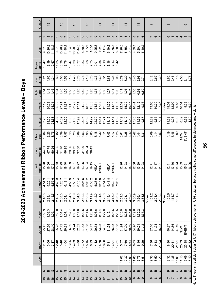2019-2020 Achievement Ribbon Performance Levels - Boys

| GOLD<br>#<br>Walk              | တ ထ<br>9:57.3                                                           | $\frac{3}{2}$<br>10:26.9 |                 | 11:48.7<br>9.67 | σ<br>9:57.3 | $\frac{3}{2}$<br>$\infty$ | 10:26.9<br>11:48.7<br>9.76                               | σ | $\frac{3}{2}$<br>$\infty$ | $0.04.6$<br>$10.28.8$<br>$11.44.5$<br>$70.47$<br>$8.39$<br>$8.77$ | $\frac{3}{2}$<br>$\infty$<br>8:50.8<br>10:21 | 10:51<br>88<br>88<br>7.73<br>7.73                     | ω | $\overline{1}$<br>$\infty$ | 9:25.8<br>10:49<br>11:39<br>9.3<br>7.3<br>7.19                | ၜ                                                      | $\overline{1}$<br>$\infty$ | 6:49.8<br>7:55.4<br>8:38.6<br>$8.78$<br>$6.42$                 | σ | $\overline{1}$<br>$\infty$               | 7:28.3<br>8:35.4<br>9:21.2                             | $\infty$<br>4:39. | $\overline{1}$<br>5:20.4                | $\sim$ $\circ$<br>5:50.7                                         |      | ၜ     |                      |                                                  |        | ၜ | S                    |                         |                                                                                   | $\circ$                                                  |
|--------------------------------|-------------------------------------------------------------------------|--------------------------|-----------------|-----------------|-------------|---------------------------|----------------------------------------------------------|---|---------------------------|-------------------------------------------------------------------|----------------------------------------------|-------------------------------------------------------|---|----------------------------|---------------------------------------------------------------|--------------------------------------------------------|----------------------------|----------------------------------------------------------------|---|------------------------------------------|--------------------------------------------------------|-------------------|-----------------------------------------|------------------------------------------------------------------|------|-------|----------------------|--------------------------------------------------|--------|---|----------------------|-------------------------|-----------------------------------------------------------------------------------|----------------------------------------------------------|
| Triple<br>Jump<br>dum<br>Buo   | $10.47$<br>9.99<br>5.21<br>4.62                                         |                          |                 | 4.34            |             |                           | $11.35$<br>$10.38$<br>8<br>6<br>6<br>4<br>4              |   |                           | $6.43$<br>$4.38$<br>$3.78$                                        | 4.76<br>4.10                                 | 3.73                                                  |   |                            | 33<br>4 3 5<br>4 3 3                                          |                                                        |                            | 88<br>36<br>36<br>36                                           |   |                                          | $3.79$<br>$3.20$<br>$2.91$                             |                   |                                         | 45<br>0.8<br>0.2<br>2.                                           |      |       |                      | 3.12<br>3.43<br>2.43                             |        |   |                      | 2.82<br>2.46<br>2.15    |                                                                                   | 2.50<br>2.17<br>1.75                                     |
| <b>High</b><br>Jump<br>Javelin | 1.54<br>37.12<br>30.62                                                  | 1.49                     | 1.46<br>24.91   |                 |             |                           | $\frac{6}{1}$ 45<br>1.36<br>35.92<br>27.71<br>21.97      |   |                           | $1.55$<br>$1.30$<br>$1.20$<br>31.48<br>22.27<br>17.11             |                                              | 5 3 3<br>5 3 3<br>24.20<br>18.59<br>15.03             |   |                            | $\frac{35}{10}$<br>$\frac{35}{10}$<br>24.34<br>17.34<br>12.88 |                                                        |                            | $\frac{27}{11}$ $\frac{27}{11}$<br>21.56<br>14.88<br>11.37     |   | 22.32<br>15.22                           | 7.58<br>10.87                                          |                   | 16.41<br>12.49                          | 9.76                                                             |      |       | $13.66$<br>10.30     | 7.66                                             | Vortex |   |                      | 19.01<br>12.99          | 9.86                                                                              | $\begin{array}{c} 16.07 \\ 9.29 \\ 6.70 \end{array}$     |
| Discus                         | 33.25<br>28.38<br>24.38<br>$\begin{array}{c} 10.04 \\ 9.26 \end{array}$ |                          | 8.75            |                 |             |                           | 34.97<br>26.82<br>22.50<br>10.82<br>8.99<br>7.87         |   |                           | 26.09<br>21.60<br>17.99<br>$0.78$<br>$0.89$<br>$0.89$             |                                              | 23.95<br>18.82<br>14.92<br>53<br>03<br>05<br>05<br>05 |   |                            | 22.70<br>16.51<br>13.24<br>8.18<br>6.32<br>5.11               |                                                        | 7.43<br>6.17               | $\begin{array}{c} 18.72 \\ 14.51 \\ 11.62 \end{array}$<br>5.25 |   | 19.19<br>14.12                           | 10.82<br>6.5<br>6.28<br>4.42                           |                   | $5.42$<br>4.44                          | $\begin{array}{c} 15.48 \\ 11.92 \\ 9.67 \end{array}$<br>3.81    |      |       |                      | $7.30$<br>$9.65$<br>$7.31$<br>5.3<br>4.53<br>3.3 |        |   |                      |                         | $\begin{array}{c} 1.69 \\ 9.03 \\ 6.92 \end{array}$<br>$4.46$<br>$3.46$<br>$2.99$ | 33<br>8 3 3<br>8 4 5<br>NEW<br>EVENT                     |
| Shot<br>Put<br>Long<br>Hurdles | 44.81<br>47.78                                                          |                          | 50.26           |                 |             |                           | 44.55<br>51.76<br>56.25                                  |   |                           | 29.26<br>33.72<br>37.00                                           |                                              | 31.00<br>35.24<br>38.49                               |   |                            |                                                               |                                                        |                            |                                                                |   |                                          |                                                        |                   |                                         |                                                                  |      |       |                      |                                                  |        |   |                      |                         |                                                                                   |                                                          |
| Short<br>Hurdles<br>1500m      | 15.70<br>4:51.9<br>5:25.1                                               | 16.56                    | 17.51<br>5:55.6 |                 |             |                           | 15.73<br>17.29<br>18.40<br>$4:48.3$<br>5:28.7<br>6:12.1  |   |                           | 14.29<br>17.51<br>19.27<br>4:55.9<br>5:58.7<br>6:15.4             | 13.95<br>17.04                               | 19.15                                                 |   |                            | NEW<br>EVENT                                                  | 5:06.2<br>6:06.2<br>6:05.28.0<br>6:16.05.16<br>6:06.05 |                            | NEW<br>EVENT<br>5:41.8<br>6:32.7<br>7:06.1                     |   |                                          | $\begin{array}{c} 12.26 \\ 14.28 \\ 15.01 \end{array}$ |                   |                                         | 12.06<br>13.29<br>14.08                                          |      |       |                      | $12.71$<br>$14.17$<br>$14.91$                    |        |   |                      |                         | $12.41$<br>$13.56$<br>$14.3$                                                      | $73.39$<br>$15.61$<br>$16.96$                            |
| 800m                           | 2:18.0<br>2:33.4<br>2:45.5<br>0:56.3<br>1:02.3                          |                          | 1,05.1          |                 |             |                           | 2:15.7<br>2:38.0<br>2:54.4<br>0:55.0<br>1:01.4<br>.507.1 |   |                           | 2:24.8<br>2:49.9<br>3:04.8<br>0:57.7<br>1:08.6<br>1:14.8          | 2:32.3<br>2:55.6<br>$1:02.5$<br>$1:14.6$     | 3:11.9<br>1:23.8                                      |   | $1:08.6$<br>1:17.4         | 2:42.0<br>3:04.5<br>3:22.0<br>1:22.6                          |                                                        | 2:49.4<br>3:13.0           | 3:26.6<br>$1:12.1$<br>$1:23.6$<br>1:29.5                       |   | 2:51.3<br>3:23.1<br>$1:16.0$<br>$1:28.0$ | 1:35.9                                                 | 3:39.9            | 3:00.9<br>3:26.4                        | 3:38.8<br>$\begin{array}{c} 119.6 \\ 130.2 \\ 137.3 \end{array}$ | 500m |       | $1:51.2$<br>$2:08.4$ | 2:22.3                                           | 300m   |   | $1:05.5$<br>$1:14.7$ | 1:21.6                  |                                                                                   |                                                          |
| 400m<br>200m                   | 25.45<br>27.26                                                          |                          | 28.10           |                 |             |                           | 25.23<br>27.42<br>29.31                                  |   | 26.59<br>29.74            | 32.02                                                             | 27.63<br>31.58                               | 34.43                                                 |   |                            | 29.53<br>33.25<br>34.65                                       |                                                        |                            | 31.64<br>35.18<br>37.68                                        |   |                                          | 31.96<br>37.98<br>39.80                                |                   | 34.76<br>39.01                          | 41.42                                                            |      |       |                      | $37.16$<br>$41.98$<br>$46.13$                    |        |   |                      | 40.87<br>44.86<br>47.40 |                                                                                   | NEW<br>EVENT                                             |
| 100m                           | 12.52<br>13.06                                                          |                          | 13.47           |                 |             |                           | 12.48<br>13.40<br>14.04                                  |   |                           | 13.05<br>14.03<br>14.86                                           | $13.72$<br>15.15                             | 16.23                                                 |   |                            | 14.42<br>15.79<br>16.66                                       |                                                        |                            | $15.31$<br>$16.91$<br>$17.51$                                  |   | 15.57<br>17.66                           | 18.64<br>$11.02$<br>$12.37$<br>13.01                   |                   | 16.65<br>18.16<br>$\frac{11.63}{12.73}$ | 19.29<br>13.51                                                   |      | 17.36 |                      | 19.33<br>21.03<br>$12.33$<br>$13.50$<br>$14.23$  |        |   |                      |                         |                                                                                   | 14.13<br>16.09<br>$13.32$<br>$14.35$<br>$15.01$<br>17.40 |
| 70 <sub>m</sub>                |                                                                         |                          |                 |                 |             |                           |                                                          |   |                           |                                                                   |                                              |                                                       |   |                            |                                                               |                                                        |                            |                                                                |   |                                          |                                                        |                   |                                         |                                                                  |      |       |                      |                                                  |        |   |                      |                         |                                                                                   |                                                          |

Note: There is insufficient data for U17 ribbon achievements. U16 data can be used noting some differences in distances and weights.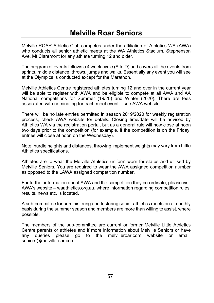Melville ROAR Athletic Club competes under the affiliation of Athletics WA (AWA) who conducts all senior athletic meets at the WA Athletics Stadium. Stephenson Ave. Mt Claremont for any athlete turning 12 and older.

The program of events follows a 4 week cycle (A to D) and covers all the events from sprints, middle distance, throws, jumps and walks. Essentially any event you will see at the Olympics is conducted except for the Marathon.

Melville Athletics Centre registered athletes turning 12 and over in the current year will be able to register with AWA and be eligible to compete at all AWA and AA National competitions for Summer (19/20) and Winter (2020). There are fees associated with nominating for each meet event - see AWA website.

There will be no late entries permitted in season 2019/2020 for weekly registration process, check AWA website for details. Closing time/date will be advised by Athletics WA via the registration portal, but as a general rule will now close at noon two days prior to the competition (for example, if the competition is on the Friday, entries will close at noon on the Wednesday).

Note: hurdle heights and distances, throwing implement weights may vary from Little Athletics specifications.

Athletes are to wear the Melville Athletics uniform worn for states and utilised by Melville Seniors. You are required to wear the AWA assigned competition number as opposed to the LAWA assigned competition number.

For further information about AWA and the competition they co-ordinate, please visit AWA's website – waathletics.org.au, where information regarding competition rules, results, news etc. is located.

A sub-committee for administering and fostering senior athletics meets on a monthly basis during the summer season and members are more than willing to assist, where possible.

The members of the sub-committee are current or former Melville Little Athletics Centre parents or athletes and if more information about Melville Seniors or have anv queries please go to the melvilleroar.com website or email: seniors@melvilleroar.com